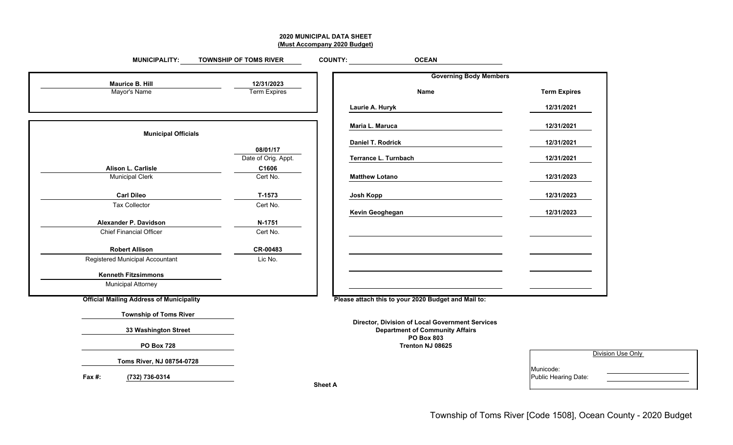# **2020 MUNICIPAL DATA SHEET (Must Accompany 2020 Budget)**

| <b>MUNICIPALITY:</b>                            | <b>TOWNSHIP OF TOMS RIVER</b> | <b>OCEAN</b><br><b>COUNTY:</b>                                                                                        |                      |
|-------------------------------------------------|-------------------------------|-----------------------------------------------------------------------------------------------------------------------|----------------------|
| Maurice B. Hill                                 | 12/31/2023                    | <b>Governing Body Members</b>                                                                                         |                      |
| Mayor's Name                                    | <b>Term Expires</b>           | <b>Name</b>                                                                                                           | <b>Term Expires</b>  |
|                                                 |                               | Laurie A. Huryk                                                                                                       | 12/31/2021           |
|                                                 |                               | Maria L. Maruca                                                                                                       | 12/31/2021           |
| <b>Municipal Officials</b>                      |                               | Daniel T. Rodrick                                                                                                     | 12/31/2021           |
|                                                 | 08/01/17                      |                                                                                                                       |                      |
|                                                 | Date of Orig. Appt.           | Terrance L. Turnbach                                                                                                  | 12/31/2021           |
| Alison L. Carlisle                              | C1606                         |                                                                                                                       |                      |
| <b>Municipal Clerk</b>                          | Cert No.                      | <b>Matthew Lotano</b>                                                                                                 | 12/31/2023           |
| <b>Carl Dileo</b>                               | T-1573                        | Josh Kopp                                                                                                             | 12/31/2023           |
| <b>Tax Collector</b>                            | Cert No.                      |                                                                                                                       |                      |
|                                                 |                               | Kevin Geoghegan                                                                                                       | 12/31/2023           |
| Alexander P. Davidson                           | N-1751                        |                                                                                                                       |                      |
| <b>Chief Financial Officer</b>                  | Cert No.                      |                                                                                                                       |                      |
| <b>Robert Allison</b>                           | CR-00483                      |                                                                                                                       |                      |
| Registered Municipal Accountant                 | Lic No.                       |                                                                                                                       |                      |
| <b>Kenneth Fitzsimmons</b>                      |                               |                                                                                                                       |                      |
| <b>Municipal Attorney</b>                       |                               |                                                                                                                       |                      |
| <b>Official Mailing Address of Municipality</b> |                               | Please attach this to your 2020 Budget and Mail to:                                                                   |                      |
| <b>Township of Toms River</b>                   |                               |                                                                                                                       |                      |
| 33 Washington Street                            |                               | <b>Director, Division of Local Government Services</b><br><b>Department of Community Affairs</b><br><b>PO Box 803</b> |                      |
| <b>PO Box 728</b>                               |                               | Trenton NJ 08625                                                                                                      |                      |
| Toms River, NJ 08754-0728                       |                               |                                                                                                                       | Division Use Only    |
|                                                 |                               |                                                                                                                       | Municode:            |
| Fax #:<br>(732) 736-0314                        |                               | <b>Sheet A</b>                                                                                                        | Public Hearing Date: |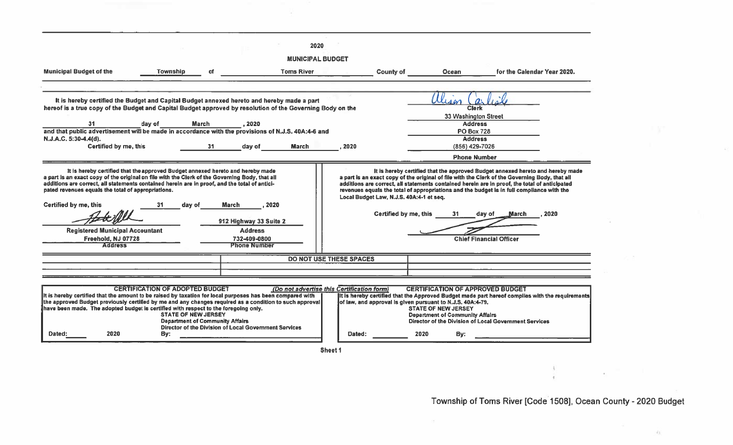|                                                                                                                                                                                                                                                                                                                                                                                                                                                    |                                                                             |    |                                                                                                    | 2020<br><b>MUNICIPAL BUDGET</b>                                       |        |                                                                   |                                                                                                                                                   |                                                                                                                                                                                                                                                                                                                                                                                                                                             |
|----------------------------------------------------------------------------------------------------------------------------------------------------------------------------------------------------------------------------------------------------------------------------------------------------------------------------------------------------------------------------------------------------------------------------------------------------|-----------------------------------------------------------------------------|----|----------------------------------------------------------------------------------------------------|-----------------------------------------------------------------------|--------|-------------------------------------------------------------------|---------------------------------------------------------------------------------------------------------------------------------------------------|---------------------------------------------------------------------------------------------------------------------------------------------------------------------------------------------------------------------------------------------------------------------------------------------------------------------------------------------------------------------------------------------------------------------------------------------|
| <b>Municipal Budget of the</b>                                                                                                                                                                                                                                                                                                                                                                                                                     | Township                                                                    | ٥f |                                                                                                    | <b>Toms River</b>                                                     |        | County of                                                         | <b>Ocean</b>                                                                                                                                      | for the Calendar Year 2020.                                                                                                                                                                                                                                                                                                                                                                                                                 |
| It is hereby certified the Budget and Capital Budget annexed hereto and hereby made a part<br>hereof is a true copy of the Budget and Capital Budget approved by resolution of the Governing Body on the<br>31<br>and that public advertisement will be made in accordance with the provisions of N.J.S. 40A:4-6 and<br>N.J.A.C. 5:30-4.4(d).<br>Certified by me, this                                                                             | <b>March</b><br>day of                                                      | 31 | . 2020<br>day of                                                                                   | <b>March</b>                                                          | . 2020 |                                                                   | llison<br><b>Clerk</b><br>33 Washington Street<br><b>Address</b><br><b>PO Box 728</b><br><b>Address</b><br>(856) 429-7026<br><b>Phone Number</b>  |                                                                                                                                                                                                                                                                                                                                                                                                                                             |
| It is hereby certified that the approved Budget annexed hereto and hereby made<br>a part is an exact copy of the original on file with the Clerk of the Governing Body, that all<br>additions are correct, all statements contained herein are in proof, and the total of antici-<br>pated revenues equals the total of appropriations.<br>Certified by me, this<br><b>Registered Municipal Accountant</b><br>Freehold, NJ 07728<br><b>Address</b> | day of<br>31.                                                               |    | March<br>. 2020<br>912 Highway 33 Suite 2<br><b>Address</b><br>732-409-0800<br><b>Phone Number</b> |                                                                       |        | Local Budget Law, N.J.S. 40A:4-1 et seq.<br>Certified by me, this | 31                                                                                                                                                | It is hereby certified that the approved Budget annexed hereto and hereby made<br>a part is an exact copy of the original of file with the Clerk of the Governing Body, that all<br>additions are correct, all statements contained herein are in proof, the total of anticipated<br>revenues equals the total of appropriations and the budget is in full compliance with the<br>day of<br>March<br>2020<br><b>Chief Financial Officer</b> |
|                                                                                                                                                                                                                                                                                                                                                                                                                                                    | <b>CERTIFICATION OF ADOPTED BUDGET</b>                                      |    |                                                                                                    | DO NOT USE THESE SPACES<br>(Do not advertise this Certification form) |        |                                                                   | <b>CERTIFICATION OF APPROVED BUDGET</b>                                                                                                           |                                                                                                                                                                                                                                                                                                                                                                                                                                             |
| It is hereby certified that the amount to be raised by taxation for local purposes has been compared with<br>the approved Budget previously certified by me and any changes required as a condition to such approval<br>$\,$ have been made. The adopted budget is certified with respect to the foregoing only.<br>2020<br>Dated:                                                                                                                 | <b>STATE OF NEW JERSEY</b><br><b>Department of Community Affairs</b><br>By: |    | Director of the Division of Local Government Services                                              |                                                                       | Dated: |                                                                   | of law, and approval is given pursuant to N.J.S. 40A:4-79.<br><b>STATE OF NEW JERSEY</b><br><b>Department of Community Affairs</b><br>2020<br>Bv: | It is hereby certified that the Approved Budget made part hereof complies with the requirements<br>Director of the Division of Local Government Services                                                                                                                                                                                                                                                                                    |

 $\mathcal{C}(\mathcal{C})$ 

Township of Toms River [Code 1508], Ocean County - 2020 Budget

 $\frac{1}{\epsilon}$ 

 $\sim$ 

 $\mathcal{A}(t)$ 

 $\sim 10^3$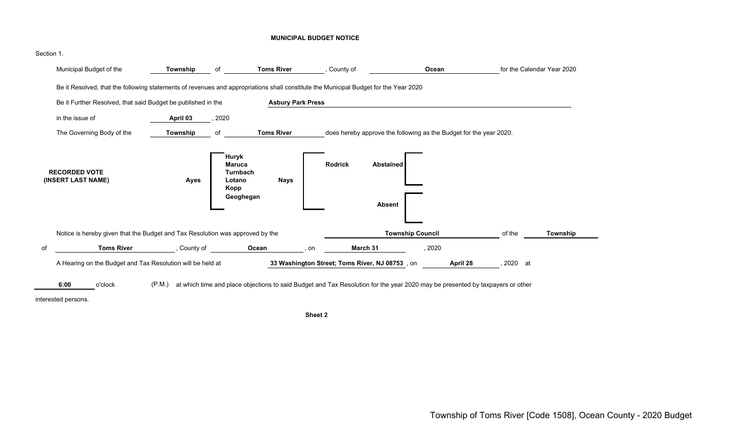#### **MUNICIPAL BUDGET NOTICE**

#### Section 1.



o'clock (P.M.) at which time and place objections to said Budget and Tax Resolution for the year 2020 may be presented by taxpayers or other **6:00**

interested persons.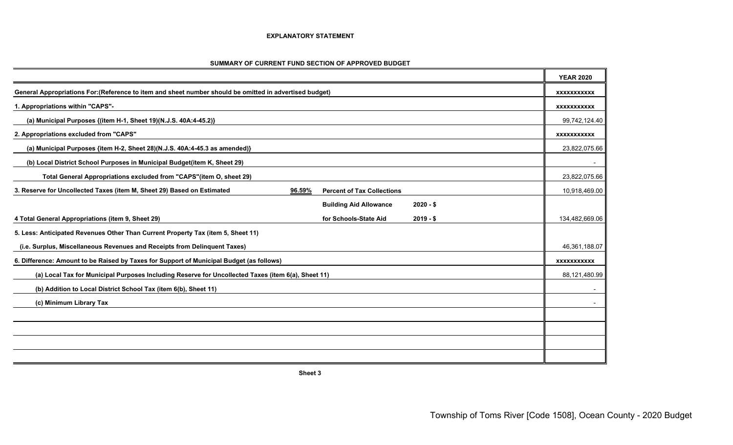#### **EXPLANATORY STATEMENT**

|                                                                                                                       | <b>YEAR 2020</b>   |
|-----------------------------------------------------------------------------------------------------------------------|--------------------|
| General Appropriations For: (Reference to item and sheet number should be omitted in advertised budget)               | <b>XXXXXXXXXXX</b> |
| 1. Appropriations within "CAPS"-                                                                                      | <b>XXXXXXXXXXX</b> |
| (a) Municipal Purposes {(item H-1, Sheet 19)(N.J.S. 40A:4-45.2)}                                                      | 99,742,124.40      |
| 2. Appropriations excluded from "CAPS"                                                                                | <b>XXXXXXXXXXX</b> |
| (a) Municipal Purposes {item H-2, Sheet 28)(N.J.S. 40A:4-45.3 as amended)}                                            | 23,822,075.66      |
| (b) Local District School Purposes in Municipal Budget(item K, Sheet 29)                                              | $\blacksquare$     |
| Total General Appropriations excluded from "CAPS"(item O, sheet 29)                                                   | 23,822,075.66      |
| 3. Reserve for Uncollected Taxes (item M, Sheet 29) Based on Estimated<br><b>Percent of Tax Collections</b><br>96.59% | 10,918,469.00      |
| <b>Building Aid Allowance</b><br>$2020 - $$                                                                           |                    |
| for Schools-State Aid<br>4 Total General Appropriations (item 9, Sheet 29)<br>$2019 - $$                              | 134,482,669.06     |
| 5. Less: Anticipated Revenues Other Than Current Property Tax (item 5, Sheet 11)                                      |                    |
| (i.e. Surplus, Miscellaneous Revenues and Receipts from Delinquent Taxes)                                             | 46,361,188.07      |
| 6. Difference: Amount to be Raised by Taxes for Support of Municipal Budget (as follows)                              | <b>XXXXXXXXXXX</b> |
| (a) Local Tax for Municipal Purposes Including Reserve for Uncollected Taxes (item 6(a), Sheet 11)                    | 88,121,480.99      |
| (b) Addition to Local District School Tax (item 6(b), Sheet 11)                                                       |                    |
| (c) Minimum Library Tax                                                                                               |                    |
|                                                                                                                       |                    |
|                                                                                                                       |                    |
|                                                                                                                       |                    |
|                                                                                                                       |                    |

#### **SUMMARY OF CURRENT FUND SECTION OF APPROVED BUDGET**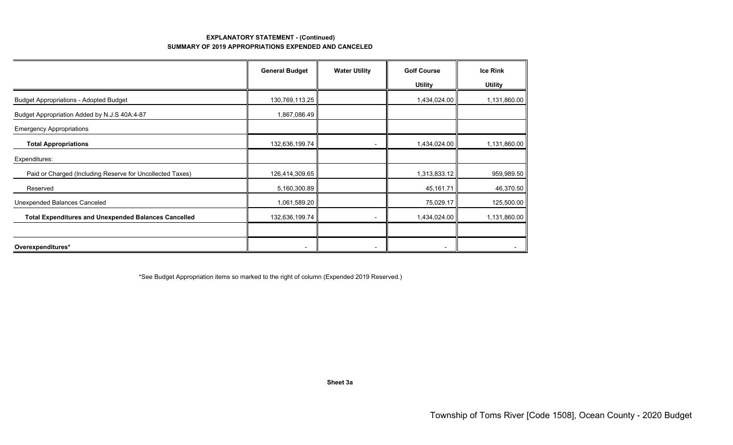## **EXPLANATORY STATEMENT - (Continued) SUMMARY OF 2019 APPROPRIATIONS EXPENDED AND CANCELED**

|                                                             | <b>General Budget</b> | <b>Water Utility</b> | <b>Golf Course</b> | <b>Ice Rink</b> |
|-------------------------------------------------------------|-----------------------|----------------------|--------------------|-----------------|
|                                                             |                       |                      | <b>Utility</b>     | <b>Utility</b>  |
| <b>Budget Appropriations - Adopted Budget</b>               | 130,769,113.25        |                      | 1,434,024.00       | 1,131,860.00    |
| Budget Appropriation Added by N.J.S 40A:4-87                | 1,867,086.49          |                      |                    |                 |
| <b>Emergency Appropriations</b>                             |                       |                      |                    |                 |
| <b>Total Appropriations</b>                                 | 132,636,199.74        |                      | 1,434,024.00       | 1,131,860.00    |
| Expenditures:                                               |                       |                      |                    |                 |
| Paid or Charged (Including Reserve for Uncollected Taxes)   | 126,414,309.65        |                      | 1,313,833.12       | 959,989.50      |
| Reserved                                                    | 5,160,300.89          |                      | 45, 161. 71        | 46,370.50       |
| Unexpended Balances Canceled                                | 1,061,589.20          |                      | 75,029.17          | 125,500.00      |
| <b>Total Expenditures and Unexpended Balances Cancelled</b> | 132,636,199.74        |                      | 1,434,024.00       | 1,131,860.00    |
|                                                             |                       |                      |                    |                 |
| Overexpenditures*                                           |                       |                      |                    |                 |

\*See Budget Appropriation items so marked to the right of column (Expended 2019 Reserved.)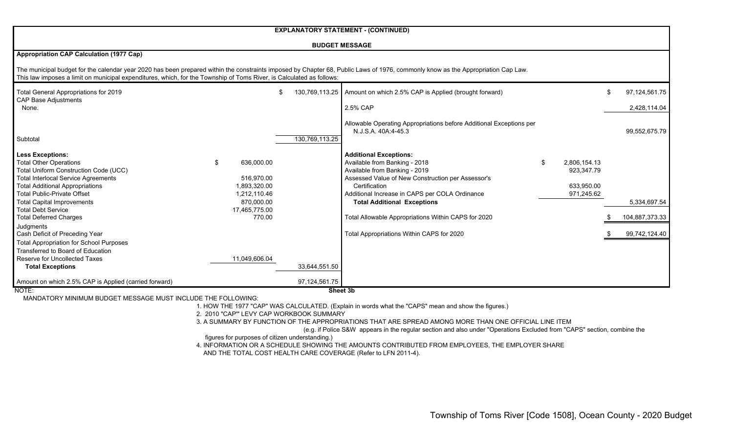|                                                                                                                                                                                                                                                                      |                                                                              |     |                | <b>EXPLANATORY STATEMENT - (CONTINUED)</b>                                                                                                                                                                                                                    |                                                              |                        |
|----------------------------------------------------------------------------------------------------------------------------------------------------------------------------------------------------------------------------------------------------------------------|------------------------------------------------------------------------------|-----|----------------|---------------------------------------------------------------------------------------------------------------------------------------------------------------------------------------------------------------------------------------------------------------|--------------------------------------------------------------|------------------------|
|                                                                                                                                                                                                                                                                      |                                                                              |     |                | <b>BUDGET MESSAGE</b>                                                                                                                                                                                                                                         |                                                              |                        |
| <b>Appropriation CAP Calculation (1977 Cap)</b>                                                                                                                                                                                                                      |                                                                              |     |                |                                                                                                                                                                                                                                                               |                                                              |                        |
| This law imposes a limit on municipal expenditures, which, for the Township of Toms River, is Calculated as follows:                                                                                                                                                 |                                                                              |     |                | The municipal budget for the calendar year 2020 has been prepared within the constraints imposed by Chapter 68, Public Laws of 1976, commonly know as the Appropriation Cap Law.                                                                              |                                                              |                        |
| Total General Appropriations for 2019                                                                                                                                                                                                                                |                                                                              | \$. |                | 130,769,113.25 Amount on which 2.5% CAP is Applied (brought forward)                                                                                                                                                                                          |                                                              | \$<br>97, 124, 561. 75 |
| <b>CAP Base Adjustments</b><br>None.                                                                                                                                                                                                                                 |                                                                              |     |                | 2.5% CAP                                                                                                                                                                                                                                                      |                                                              | 2,428,114.04           |
| Subtotal                                                                                                                                                                                                                                                             |                                                                              |     | 130,769,113.25 | Allowable Operating Appropriations before Additional Exceptions per<br>N.J.S.A. 40A:4-45.3                                                                                                                                                                    |                                                              | 99,552,675.79          |
| <b>Less Exceptions:</b><br><b>Total Other Operations</b><br>Total Uniform Construction Code (UCC)<br><b>Total Interlocal Service Agreements</b><br><b>Total Additional Appropriations</b><br><b>Total Public-Private Offset</b><br><b>Total Capital Improvements</b> | \$<br>636,000.00<br>516.970.00<br>1,893,320.00<br>1.212.110.46<br>870.000.00 |     |                | <b>Additional Exceptions:</b><br>Available from Banking - 2018<br>Available from Banking - 2019<br>Assessed Value of New Construction per Assessor's<br>Certification<br>Additional Increase in CAPS per COLA Ordinance<br><b>Total Additional Exceptions</b> | \$<br>2.806.154.13<br>923,347.79<br>633,950.00<br>971,245.62 | 5,334,697.54           |
| <b>Total Debt Service</b><br><b>Total Deferred Charges</b>                                                                                                                                                                                                           | 17.465.775.00<br>770.00                                                      |     |                | Total Allowable Appropriations Within CAPS for 2020                                                                                                                                                                                                           |                                                              | 104,887,373.33         |
| Judgments<br>Cash Deficit of Preceding Year<br><b>Total Appropriation for School Purposes</b><br>Transferred to Board of Education                                                                                                                                   |                                                                              |     |                | Total Appropriations Within CAPS for 2020                                                                                                                                                                                                                     |                                                              | 99,742,124.40          |
| <b>Reserve for Uncollected Taxes</b><br><b>Total Exceptions</b>                                                                                                                                                                                                      | 11,049,606.04                                                                |     | 33,644,551.50  |                                                                                                                                                                                                                                                               |                                                              |                        |
| Amount on which 2.5% CAP is Applied (carried forward)                                                                                                                                                                                                                |                                                                              |     | 97,124,561.75  |                                                                                                                                                                                                                                                               |                                                              |                        |
| NOTE:                                                                                                                                                                                                                                                                |                                                                              |     |                | Sheet 3b                                                                                                                                                                                                                                                      |                                                              |                        |

MANDATORY MINIMUM BUDGET MESSAGE MUST INCLUDE THE FOLLOWING:

1. HOW THE 1977 "CAP" WAS CALCULATED. (Explain in words what the "CAPS" mean and show the figures.)

2. 2010 "CAP'" LEVY CAP WORKBOOK SUMMARY

3. A SUMMARY BY FUNCTION OF THE APPROPRIATIONS THAT ARE SPREAD AMONG MORE THAN ONE OFFICIAL LINE ITEM

(e.g. if Police S&W appears in the regular section and also under "Operations Excluded from "CAPS" section, combine the

 4. INFORMATION OR A SCHEDULE SHOWING THE AMOUNTS CONTRIBUTED FROM EMPLOYEES, THE EMPLOYER SHARE figures for purposes of citizen understanding.)

AND THE TOTAL COST HEALTH CARE COVERAGE (Refer to LFN 2011-4).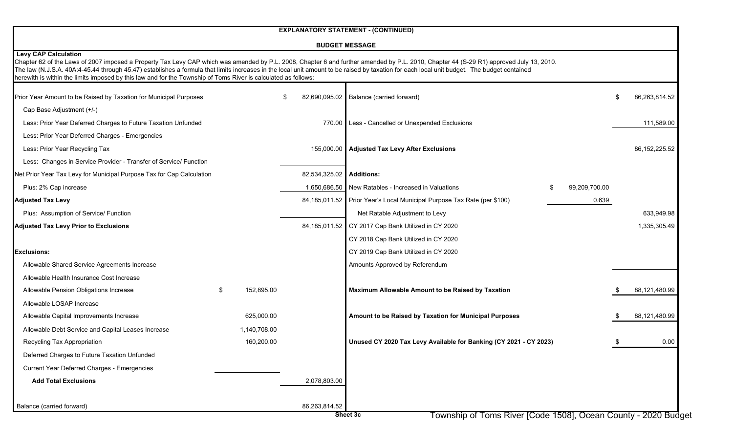|                                                                                                                                                                                                                                                                                                                                              |                    |                          | <b>EXPLANATORY STATEMENT - (CONTINUED)</b>                                                                                                                                              |       |                 |
|----------------------------------------------------------------------------------------------------------------------------------------------------------------------------------------------------------------------------------------------------------------------------------------------------------------------------------------------|--------------------|--------------------------|-----------------------------------------------------------------------------------------------------------------------------------------------------------------------------------------|-------|-----------------|
|                                                                                                                                                                                                                                                                                                                                              |                    |                          | <b>BUDGET MESSAGE</b>                                                                                                                                                                   |       |                 |
| <b>Levy CAP Calculation</b><br>The law (N.J.S.A. 40A:4-45.44 through 45.47) establishes a formula that limits increases in the local unit amount to be raised by taxation for each local unit budget. The budget contained<br>herewith is within the limits imposed by this law and for the Township of Toms River is calculated as follows: |                    |                          | Chapter 62 of the Laws of 2007 imposed a Property Tax Levy CAP which was amended by P.L. 2008, Chapter 6 and further amended by P.L. 2010, Chapter 44 (S-29 R1) approved July 13, 2010. |       |                 |
| Prior Year Amount to be Raised by Taxation for Municipal Purposes                                                                                                                                                                                                                                                                            |                    | £.                       | 82,690,095.02 Balance (carried forward)                                                                                                                                                 |       | 86,263,814.52   |
| Cap Base Adjustment (+/-)                                                                                                                                                                                                                                                                                                                    |                    |                          |                                                                                                                                                                                         |       |                 |
| Less: Prior Year Deferred Charges to Future Taxation Unfunded                                                                                                                                                                                                                                                                                |                    |                          | 770.00 Less - Cancelled or Unexpended Exclusions                                                                                                                                        |       | 111,589.00      |
| Less: Prior Year Deferred Charges - Emergencies                                                                                                                                                                                                                                                                                              |                    |                          |                                                                                                                                                                                         |       |                 |
| Less: Prior Year Recycling Tax                                                                                                                                                                                                                                                                                                               |                    |                          | 155,000.00 Adjusted Tax Levy After Exclusions                                                                                                                                           |       | 86, 152, 225.52 |
| Less: Changes in Service Provider - Transfer of Service/ Function                                                                                                                                                                                                                                                                            |                    |                          |                                                                                                                                                                                         |       |                 |
| Net Prior Year Tax Levy for Municipal Purpose Tax for Cap Calculation                                                                                                                                                                                                                                                                        |                    | 82,534,325.02 Additions: |                                                                                                                                                                                         |       |                 |
| Plus: 2% Cap increase                                                                                                                                                                                                                                                                                                                        |                    |                          | 1,650,686.50 New Ratables - Increased in Valuations<br>99,209,700.00                                                                                                                    |       |                 |
| <b>Adjusted Tax Levy</b>                                                                                                                                                                                                                                                                                                                     |                    |                          | 84,185,011.52 Prior Year's Local Municipal Purpose Tax Rate (per \$100)                                                                                                                 | 0.639 |                 |
| Plus: Assumption of Service/ Function                                                                                                                                                                                                                                                                                                        |                    |                          | Net Ratable Adjustment to Levy                                                                                                                                                          |       | 633,949.98      |
| <b>Adjusted Tax Levy Prior to Exclusions</b>                                                                                                                                                                                                                                                                                                 |                    |                          | 84,185,011.52 CY 2017 Cap Bank Utilized in CY 2020                                                                                                                                      |       | 1,335,305.49    |
|                                                                                                                                                                                                                                                                                                                                              |                    |                          | CY 2018 Cap Bank Utilized in CY 2020                                                                                                                                                    |       |                 |
| <b>Exclusions:</b>                                                                                                                                                                                                                                                                                                                           |                    |                          | CY 2019 Cap Bank Utilized in CY 2020                                                                                                                                                    |       |                 |
| Allowable Shared Service Agreements Increase                                                                                                                                                                                                                                                                                                 |                    |                          | Amounts Approved by Referendum                                                                                                                                                          |       |                 |
| Allowable Health Insurance Cost Increase                                                                                                                                                                                                                                                                                                     |                    |                          |                                                                                                                                                                                         |       |                 |
| Allowable Pension Obligations Increase                                                                                                                                                                                                                                                                                                       | 152,895.00<br>- \$ |                          | Maximum Allowable Amount to be Raised by Taxation                                                                                                                                       |       | 88,121,480.99   |
| Allowable LOSAP Increase                                                                                                                                                                                                                                                                                                                     |                    |                          |                                                                                                                                                                                         |       |                 |
| Allowable Capital Improvements Increase                                                                                                                                                                                                                                                                                                      | 625,000.00         |                          | Amount to be Raised by Taxation for Municipal Purposes                                                                                                                                  |       | 88,121,480.99   |
| Allowable Debt Service and Capital Leases Increase                                                                                                                                                                                                                                                                                           | 1,140,708.00       |                          |                                                                                                                                                                                         |       |                 |
| Recycling Tax Appropriation                                                                                                                                                                                                                                                                                                                  | 160,200.00         |                          | Unused CY 2020 Tax Levy Available for Banking (CY 2021 - CY 2023)                                                                                                                       |       | 0.00            |
| Deferred Charges to Future Taxation Unfunded                                                                                                                                                                                                                                                                                                 |                    |                          |                                                                                                                                                                                         |       |                 |
| <b>Current Year Deferred Charges - Emergencies</b>                                                                                                                                                                                                                                                                                           |                    |                          |                                                                                                                                                                                         |       |                 |
| <b>Add Total Exclusions</b>                                                                                                                                                                                                                                                                                                                  |                    | 2,078,803.00             |                                                                                                                                                                                         |       |                 |
|                                                                                                                                                                                                                                                                                                                                              |                    |                          |                                                                                                                                                                                         |       |                 |
| Balance (carried forward)                                                                                                                                                                                                                                                                                                                    |                    | 86,263,814.52            | Township of Toms River [Code 1508], Ocean County - 2020 Budget                                                                                                                          |       |                 |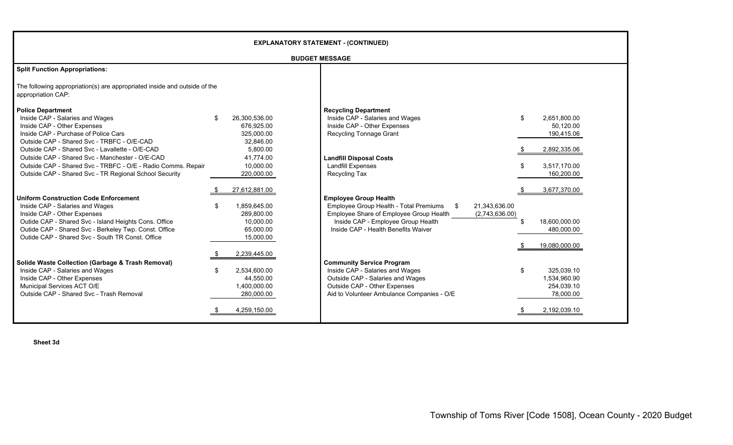| <b>EXPLANATORY STATEMENT - (CONTINUED)</b>                                                                                                                                                                                                                                                                                                                                                                       |  |                                                                                                            |                                                                                                                                                                                                                                                                                                           |  |  |  |  |
|------------------------------------------------------------------------------------------------------------------------------------------------------------------------------------------------------------------------------------------------------------------------------------------------------------------------------------------------------------------------------------------------------------------|--|------------------------------------------------------------------------------------------------------------|-----------------------------------------------------------------------------------------------------------------------------------------------------------------------------------------------------------------------------------------------------------------------------------------------------------|--|--|--|--|
|                                                                                                                                                                                                                                                                                                                                                                                                                  |  |                                                                                                            | <b>BUDGET MESSAGE</b>                                                                                                                                                                                                                                                                                     |  |  |  |  |
| <b>Split Function Appropriations:</b>                                                                                                                                                                                                                                                                                                                                                                            |  |                                                                                                            |                                                                                                                                                                                                                                                                                                           |  |  |  |  |
| The following appropriation(s) are appropriated inside and outside of the<br>appropriation CAP:                                                                                                                                                                                                                                                                                                                  |  |                                                                                                            |                                                                                                                                                                                                                                                                                                           |  |  |  |  |
| <b>Police Department</b><br>Inside CAP - Salaries and Wages<br>Inside CAP - Other Expenses<br>Inside CAP - Purchase of Police Cars<br>Outside CAP - Shared Svc - TRBFC - O/E-CAD<br>Outside CAP - Shared Svc - Lavallette - O/E-CAD<br>Outside CAP - Shared Svc - Manchester - O/E-CAD<br>Outside CAP - Shared Svc - TRBFC - O/E - Radio Comms. Repair<br>Outside CAP - Shared Svc - TR Regional School Security |  | 26,300,536.00<br>676.925.00<br>325,000.00<br>32.846.00<br>5,800.00<br>41.774.00<br>10.000.00<br>220,000.00 | <b>Recycling Department</b><br>Inside CAP - Salaries and Wages<br>\$<br>2,651,800.00<br>Inside CAP - Other Expenses<br>50,120.00<br>Recycling Tonnage Grant<br>190,415.06<br>2,892,335.06<br><b>Landfill Disposal Costs</b><br><b>Landfill Expenses</b><br>3,517,170.00<br>Recycling Tax<br>160,200.00    |  |  |  |  |
| <b>Uniform Construction Code Enforcement</b><br>Inside CAP - Salaries and Wages<br>Inside CAP - Other Expenses<br>Outide CAP - Shared Svc - Island Heights Cons. Office<br>Outide CAP - Shared Svc - Berkeley Twp. Const. Office<br>Outide CAP - Shared Svc - South TR Const. Office                                                                                                                             |  | 27,612,881.00<br>1,859,645.00<br>289.800.00<br>10.000.00<br>65.000.00<br>15,000.00                         | 3,677,370.00<br><b>Employee Group Health</b><br>Employee Group Health - Total Premiums<br>21,343,636.00<br>- \$<br>Employee Share of Employee Group Health<br>(2,743,636.00)<br>Inside CAP - Employee Group Health<br>18,600,000.00<br>Inside CAP - Health Benefits Waiver<br>480,000.00<br>19,080,000.00 |  |  |  |  |
| Solide Waste Collection (Garbage & Trash Removal)<br>Inside CAP - Salaries and Wages<br>Inside CAP - Other Expenses<br>Municipal Services ACT O/E<br>Outside CAP - Shared Svc - Trash Removal                                                                                                                                                                                                                    |  | 2,239,445.00<br>2,534,600.00<br>44.550.00<br>1,400,000.00<br>280,000.00<br>4,259,150.00                    | <b>Community Service Program</b><br>Inside CAP - Salaries and Wages<br>325,039.10<br>\$<br>Outside CAP - Salaries and Wages<br>1,534,960.90<br>Outside CAP - Other Expenses<br>254,039.10<br>Aid to Volunteer Ambulance Companies - O/E<br>78,000.00<br>2,192,039.10                                      |  |  |  |  |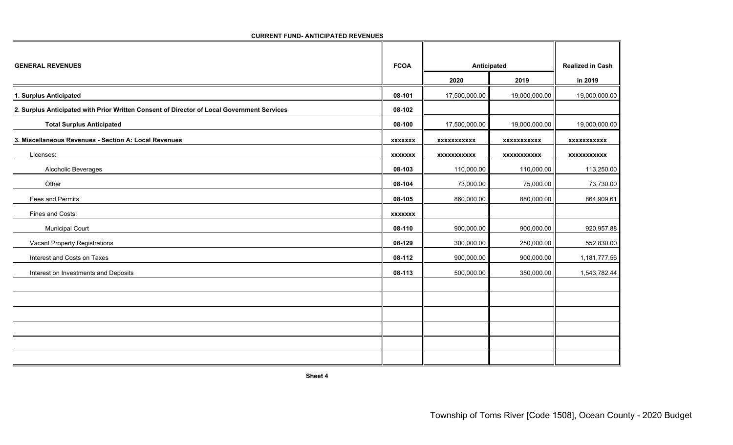| <b>GENERAL REVENUES</b>                                                                    |                | Anticipated        | <b>Realized in Cash</b> |                    |
|--------------------------------------------------------------------------------------------|----------------|--------------------|-------------------------|--------------------|
|                                                                                            |                | 2020               | 2019                    | in 2019            |
| 1. Surplus Anticipated                                                                     | 08-101         | 17,500,000.00      | 19,000,000.00           | 19,000,000.00      |
| 2. Surplus Anticipated with Prior Written Consent of Director of Local Government Services | 08-102         |                    |                         |                    |
| <b>Total Surplus Anticipated</b>                                                           | 08-100         | 17,500,000.00      | 19,000,000.00           | 19,000,000.00      |
| 3. Miscellaneous Revenues - Section A: Local Revenues                                      | <b>XXXXXXX</b> | <b>XXXXXXXXXXX</b> | <b>XXXXXXXXXXX</b>      | xxxxxxxxxx         |
| Licenses:                                                                                  | <b>XXXXXXX</b> | <b>XXXXXXXXXXX</b> | <b>XXXXXXXXXXX</b>      | <b>XXXXXXXXXXX</b> |
| Alcoholic Beverages                                                                        | 08-103         | 110,000.00         | 110,000.00              | 113,250.00         |
| Other                                                                                      | 08-104         | 73,000.00          | 75,000.00               | 73,730.00          |
| Fees and Permits                                                                           | 08-105         | 860,000.00         | 880,000.00              | 864,909.61         |
| Fines and Costs:                                                                           | <b>XXXXXXX</b> |                    |                         |                    |
| <b>Municipal Court</b>                                                                     | 08-110         | 900,000.00         | 900,000.00              | 920,957.88         |
| Vacant Property Registrations                                                              | 08-129         | 300,000.00         | 250,000.00              | 552,830.00         |
| Interest and Costs on Taxes                                                                | 08-112         | 900,000.00         | 900,000.00              | 1,181,777.56       |
| Interest on Investments and Deposits                                                       | 08-113         | 500,000.00         | 350,000.00              | 1,543,782.44       |
|                                                                                            |                |                    |                         |                    |
|                                                                                            |                |                    |                         |                    |
|                                                                                            |                |                    |                         |                    |
|                                                                                            |                |                    |                         |                    |
|                                                                                            |                |                    |                         |                    |
|                                                                                            |                |                    |                         |                    |

**CURRENT FUND- ANTICIPATED REVENUES**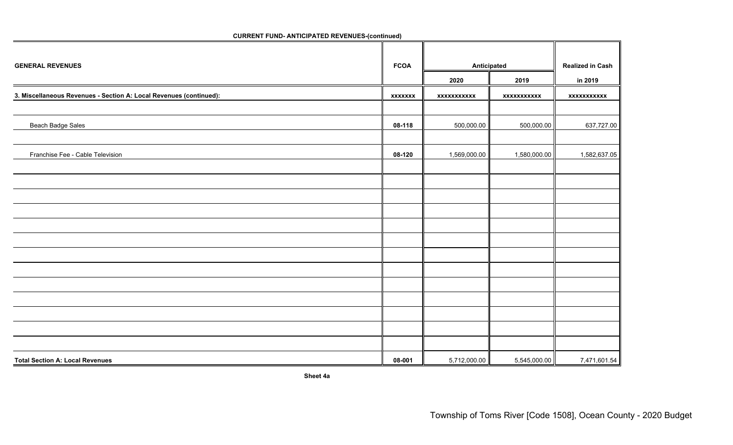| <b>GENERAL REVENUES</b>                                            |                | Anticipated  | <b>Realized in Cash</b> |              |
|--------------------------------------------------------------------|----------------|--------------|-------------------------|--------------|
|                                                                    |                | 2020         | 2019                    | in 2019      |
| 3. Miscellaneous Revenues - Section A: Local Revenues (continued): | <b>XXXXXXX</b> | xxxxxxxxxxx  | xxxxxxxxxxx             | xxxxxxxxxxx  |
|                                                                    |                |              |                         |              |
| <b>Beach Badge Sales</b>                                           | 08-118         | 500,000.00   | 500,000.00              | 637,727.00   |
|                                                                    |                |              |                         |              |
| Franchise Fee - Cable Television                                   | 08-120         | 1,569,000.00 | 1,580,000.00            | 1,582,637.05 |
|                                                                    |                |              |                         |              |
|                                                                    |                |              |                         |              |
|                                                                    |                |              |                         |              |
|                                                                    |                |              |                         |              |
|                                                                    |                |              |                         |              |
|                                                                    |                |              |                         |              |
|                                                                    |                |              |                         |              |
|                                                                    |                |              |                         |              |
|                                                                    |                |              |                         |              |
|                                                                    |                |              |                         |              |
|                                                                    |                |              |                         |              |
|                                                                    |                |              |                         |              |
|                                                                    |                |              |                         |              |
| <b>Total Section A: Local Revenues</b>                             | 08-001         | 5,712,000.00 | 5,545,000.00            | 7,471,601.54 |

**CURRENT FUND- ANTICIPATED REVENUES-(continued)**

**Sheet 4a**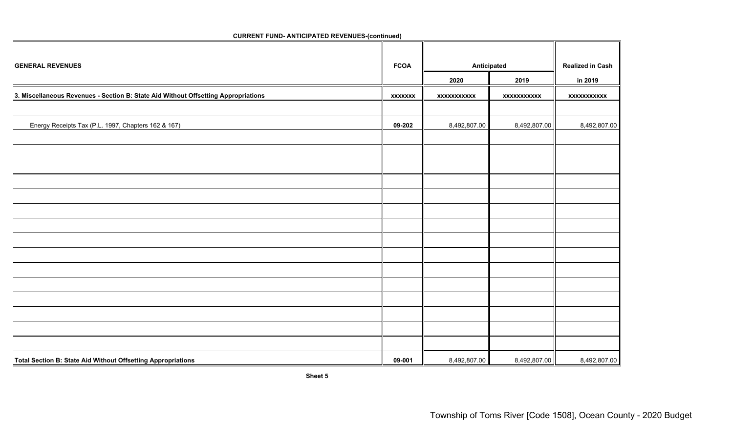| <b>GENERAL REVENUES</b>                                                            | <b>FCOA</b>    | Anticipated        |              | <b>Realized in Cash</b> |
|------------------------------------------------------------------------------------|----------------|--------------------|--------------|-------------------------|
|                                                                                    |                | 2020               | 2019         | in 2019                 |
| 3. Miscellaneous Revenues - Section B: State Aid Without Offsetting Appropriations | <b>XXXXXXX</b> | <b>XXXXXXXXXXX</b> | xxxxxxxxxxx  | xxxxxxxxxxx             |
|                                                                                    |                |                    |              |                         |
| Energy Receipts Tax (P.L. 1997, Chapters 162 & 167)                                | 09-202         | 8,492,807.00       | 8,492,807.00 | 8,492,807.00            |
|                                                                                    |                |                    |              |                         |
|                                                                                    |                |                    |              |                         |
|                                                                                    |                |                    |              |                         |
|                                                                                    |                |                    |              |                         |
|                                                                                    |                |                    |              |                         |
|                                                                                    |                |                    |              |                         |
|                                                                                    |                |                    |              |                         |
|                                                                                    |                |                    |              |                         |
|                                                                                    |                |                    |              |                         |
|                                                                                    |                |                    |              |                         |
|                                                                                    |                |                    |              |                         |
|                                                                                    |                |                    |              |                         |
|                                                                                    |                |                    |              |                         |
|                                                                                    |                |                    |              |                         |
|                                                                                    |                |                    |              |                         |
| Total Section B: State Aid Without Offsetting Appropriations                       | 09-001         | 8,492,807.00       | 8,492,807.00 | 8,492,807.00            |

**CURRENT FUND- ANTICIPATED REVENUES-(continued)**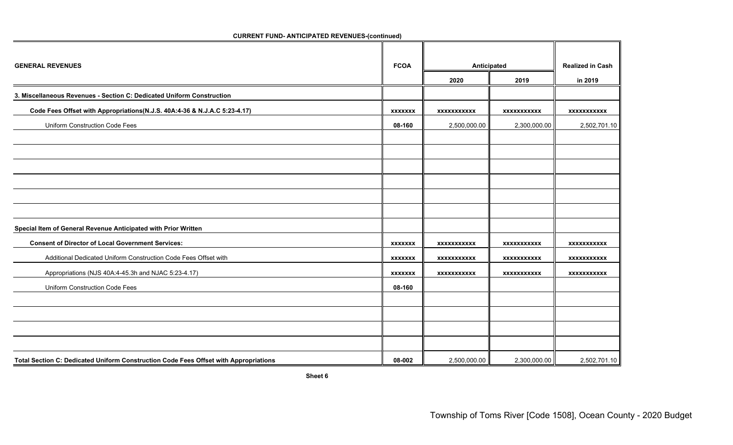| <b>GENERAL REVENUES</b>                                                              | <b>FCOA</b>    | Anticipated        | <b>Realized in Cash</b> |                    |
|--------------------------------------------------------------------------------------|----------------|--------------------|-------------------------|--------------------|
|                                                                                      |                | 2020               | 2019                    | in 2019            |
| 3. Miscellaneous Revenues - Section C: Dedicated Uniform Construction                |                |                    |                         |                    |
| Code Fees Offset with Appropriations(N.J.S. 40A:4-36 & N.J.A.C 5:23-4.17)            | <b>XXXXXXX</b> | <b>XXXXXXXXXXX</b> | <b>XXXXXXXXXXX</b>      | <b>XXXXXXXXXXX</b> |
| Uniform Construction Code Fees                                                       | 08-160         | 2,500,000.00       | 2,300,000.00            | 2,502,701.10       |
|                                                                                      |                |                    |                         |                    |
|                                                                                      |                |                    |                         |                    |
|                                                                                      |                |                    |                         |                    |
|                                                                                      |                |                    |                         |                    |
|                                                                                      |                |                    |                         |                    |
|                                                                                      |                |                    |                         |                    |
| Special Item of General Revenue Anticipated with Prior Written                       |                |                    |                         |                    |
| <b>Consent of Director of Local Government Services:</b>                             | <b>XXXXXXX</b> | <b>XXXXXXXXXXX</b> | <b>XXXXXXXXXXX</b>      | <b>XXXXXXXXXXX</b> |
| Additional Dedicated Uniform Construction Code Fees Offset with                      | <b>XXXXXXX</b> | XXXXXXXXXXX        | XXXXXXXXXXX             | <b>XXXXXXXXXXX</b> |
| Appropriations (NJS 40A:4-45.3h and NJAC 5:23-4.17)                                  | <b>XXXXXXX</b> | <b>XXXXXXXXXXX</b> | <b>XXXXXXXXXXX</b>      | <b>XXXXXXXXXXX</b> |
| <b>Uniform Construction Code Fees</b>                                                | 08-160         |                    |                         |                    |
|                                                                                      |                |                    |                         |                    |
|                                                                                      |                |                    |                         |                    |
|                                                                                      |                |                    |                         |                    |
|                                                                                      |                |                    |                         |                    |
| Total Section C: Dedicated Uniform Construction Code Fees Offset with Appropriations | 08-002         | 2,500,000.00       | 2,300,000.00            | 2,502,701.10       |

**CURRENT FUND- ANTICIPATED REVENUES-(continued)**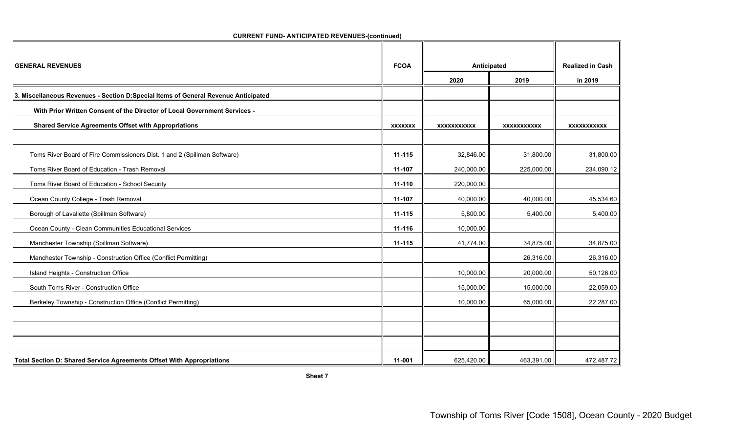| <b>GENERAL REVENUES</b>                                                            |                |                    |                         |                    |
|------------------------------------------------------------------------------------|----------------|--------------------|-------------------------|--------------------|
|                                                                                    |                | Anticipated        | <b>Realized in Cash</b> |                    |
|                                                                                    |                | 2020               | 2019                    | in 2019            |
| 3. Miscellaneous Revenues - Section D:Special Items of General Revenue Anticipated |                |                    |                         |                    |
| With Prior Written Consent of the Director of Local Government Services -          |                |                    |                         |                    |
| <b>Shared Service Agreements Offset with Appropriations</b>                        | <b>XXXXXXX</b> | <b>XXXXXXXXXXX</b> | <b>XXXXXXXXXXX</b>      | <b>XXXXXXXXXXX</b> |
|                                                                                    |                |                    |                         |                    |
| Toms River Board of Fire Commissioners Dist. 1 and 2 (Spillman Software)           | 11-115         | 32,846.00          | 31,800.00               | 31,800.00          |
| Toms River Board of Education - Trash Removal                                      | 11-107         | 240,000.00         | 225,000.00              | 234,090.12         |
| Toms River Board of Education - School Security                                    | 11-110         | 220,000.00         |                         |                    |
| Ocean County College - Trash Removal                                               | 11-107         | 40,000.00          | 40,000.00               | 45,534.60          |
| Borough of Lavallette (Spillman Software)                                          | 11-115         | 5,800.00           | 5,400.00                | 5,400.00           |
| Ocean County - Clean Communities Educational Services                              | 11-116         | 10,000.00          |                         |                    |
| Manchester Township (Spillman Software)                                            | 11-115         | 41,774.00          | 34,875.00               | 34,875.00          |
| Manchester Township - Construction Office (Conflict Permitting)                    |                |                    | 26,316.00               | 26,316.00          |
| Island Heights - Construction Office                                               |                | 10,000.00          | 20,000.00               | 50,126.00          |
| South Toms River - Construction Office                                             |                | 15,000.00          | 15,000.00               | 22,059.00          |
| Berkeley Township - Construction Office (Conflict Permitting)                      |                | 10,000.00          | 65,000.00               | 22,287.00          |
|                                                                                    |                |                    |                         |                    |
|                                                                                    |                |                    |                         |                    |
|                                                                                    |                |                    |                         |                    |
| Total Section D: Shared Service Agreements Offset With Appropriations              | 11-001         | 625,420.00         | 463,391.00              | 472,487.72         |

**CURRENT FUND- ANTICIPATED REVENUES-(continued)**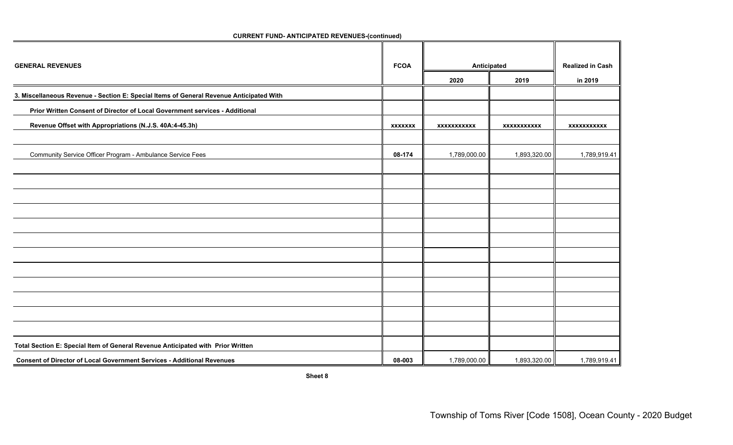| <b>GENERAL REVENUES</b>                                                                 |                | Anticipated        | <b>Realized in Cash</b> |                    |
|-----------------------------------------------------------------------------------------|----------------|--------------------|-------------------------|--------------------|
|                                                                                         |                | 2020               | 2019                    | in 2019            |
| 3. Miscellaneous Revenue - Section E: Special Items of General Revenue Anticipated With |                |                    |                         |                    |
| Prior Written Consent of Director of Local Government services - Additional             |                |                    |                         |                    |
| Revenue Offset with Appropriations (N.J.S. 40A:4-45.3h)                                 | <b>XXXXXXX</b> | <b>XXXXXXXXXXX</b> | <b>XXXXXXXXXXX</b>      | <b>XXXXXXXXXXX</b> |
|                                                                                         |                |                    |                         |                    |
| Community Service Officer Program - Ambulance Service Fees                              | 08-174         | 1,789,000.00       | 1,893,320.00            | 1,789,919.41       |
|                                                                                         |                |                    |                         |                    |
|                                                                                         |                |                    |                         |                    |
|                                                                                         |                |                    |                         |                    |
|                                                                                         |                |                    |                         |                    |
|                                                                                         |                |                    |                         |                    |
|                                                                                         |                |                    |                         |                    |
|                                                                                         |                |                    |                         |                    |
|                                                                                         |                |                    |                         |                    |
|                                                                                         |                |                    |                         |                    |
|                                                                                         |                |                    |                         |                    |
|                                                                                         |                |                    |                         |                    |
|                                                                                         |                |                    |                         |                    |
| Total Section E: Special Item of General Revenue Anticipated with Prior Written         |                |                    |                         |                    |
| <b>Consent of Director of Local Government Services - Additional Revenues</b>           | 08-003         | 1,789,000.00       | 1,893,320.00            | 1,789,919.41       |

**CURRENT FUND- ANTICIPATED REVENUES-(continued)**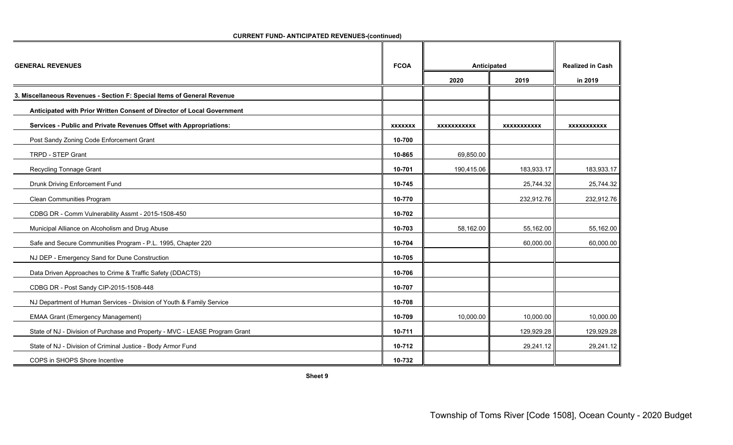| <b>GENERAL REVENUES</b>                                                     | <b>FCOA</b>    | Anticipated        | <b>Realized in Cash</b> |                    |
|-----------------------------------------------------------------------------|----------------|--------------------|-------------------------|--------------------|
|                                                                             |                | 2020               | 2019                    | in 2019            |
| 3. Miscellaneous Revenues - Section F: Special Items of General Revenue     |                |                    |                         |                    |
| Anticipated with Prior Written Consent of Director of Local Government      |                |                    |                         |                    |
| Services - Public and Private Revenues Offset with Appropriations:          | <b>XXXXXXX</b> | <b>XXXXXXXXXXX</b> | <b>XXXXXXXXXXX</b>      | <b>XXXXXXXXXXX</b> |
| Post Sandy Zoning Code Enforcement Grant                                    | 10-700         |                    |                         |                    |
| TRPD - STEP Grant                                                           | 10-865         | 69,850.00          |                         |                    |
| Recycling Tonnage Grant                                                     | 10-701         | 190,415.06         | 183,933.17              | 183,933.17         |
| Drunk Driving Enforcement Fund                                              | 10-745         |                    | 25,744.32               | 25,744.32          |
| Clean Communities Program                                                   | 10-770         |                    | 232,912.76              | 232,912.76         |
| CDBG DR - Comm Vulnerability Assmt - 2015-1508-450                          | 10-702         |                    |                         |                    |
| Municipal Alliance on Alcoholism and Drug Abuse                             | 10-703         | 58,162.00          | 55,162.00               | 55,162.00          |
| Safe and Secure Communities Program - P.L. 1995, Chapter 220                | 10-704         |                    | 60,000.00               | 60,000.00          |
| NJ DEP - Emergency Sand for Dune Construction                               | 10-705         |                    |                         |                    |
| Data Driven Approaches to Crime & Traffic Safety (DDACTS)                   | 10-706         |                    |                         |                    |
| CDBG DR - Post Sandy CIP-2015-1508-448                                      | 10-707         |                    |                         |                    |
| NJ Department of Human Services - Division of Youth & Family Service        | 10-708         |                    |                         |                    |
| <b>EMAA Grant (Emergency Management)</b>                                    | 10-709         | 10,000.00          | 10,000.00               | 10,000.00          |
| State of NJ - Division of Purchase and Property - MVC - LEASE Program Grant | 10-711         |                    | 129,929.28              | 129,929.28         |
| State of NJ - Division of Criminal Justice - Body Armor Fund                | 10-712         |                    | 29,241.12               | 29,241.12          |
| COPS in SHOPS Shore Incentive                                               | 10-732         |                    |                         |                    |

**CURRENT FUND- ANTICIPATED REVENUES-(continued)**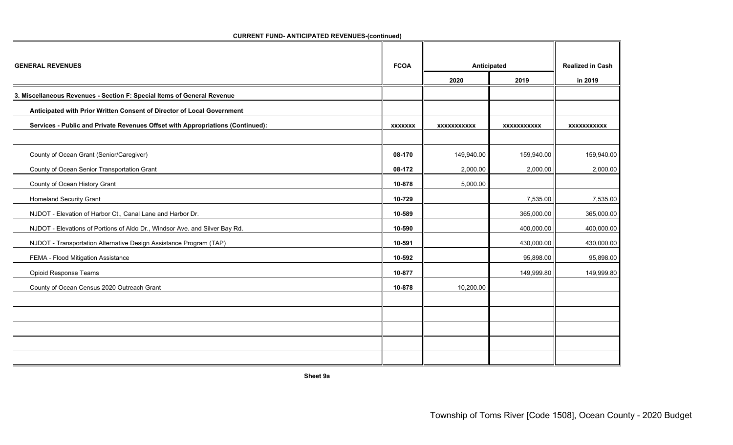| <b>GENERAL REVENUES</b>                                                        |                | Anticipated | <b>Realized in Cash</b> |                    |
|--------------------------------------------------------------------------------|----------------|-------------|-------------------------|--------------------|
|                                                                                |                | 2020        | 2019                    | in 2019            |
| 3. Miscellaneous Revenues - Section F: Special Items of General Revenue        |                |             |                         |                    |
| Anticipated with Prior Written Consent of Director of Local Government         |                |             |                         |                    |
| Services - Public and Private Revenues Offset with Appropriations (Continued): | <b>XXXXXXX</b> | XXXXXXXXXX  | <b>XXXXXXXXXXX</b>      | <b>XXXXXXXXXXX</b> |
|                                                                                |                |             |                         |                    |
| County of Ocean Grant (Senior/Caregiver)                                       | 08-170         | 149,940.00  | 159,940.00              | 159,940.00         |
| County of Ocean Senior Transportation Grant                                    | 08-172         | 2,000.00    | 2,000.00                | 2,000.00           |
| County of Ocean History Grant                                                  | 10-878         | 5,000.00    |                         |                    |
| <b>Homeland Security Grant</b>                                                 | 10-729         |             | 7,535.00                | 7,535.00           |
| NJDOT - Elevation of Harbor Ct., Canal Lane and Harbor Dr.                     | 10-589         |             | 365,000.00              | 365,000.00         |
| NJDOT - Elevations of Portions of Aldo Dr., Windsor Ave. and Silver Bay Rd.    | 10-590         |             | 400,000.00              | 400,000.00         |
| NJDOT - Transportation Alternative Design Assistance Program (TAP)             | 10-591         |             | 430,000.00              | 430,000.00         |
| FEMA - Flood Mitigation Assistance                                             | 10-592         |             | 95,898.00               | 95,898.00          |
| <b>Opioid Response Teams</b>                                                   | 10-877         |             | 149,999.80              | 149,999.80         |
| County of Ocean Census 2020 Outreach Grant                                     | 10-878         | 10,200.00   |                         |                    |
|                                                                                |                |             |                         |                    |
|                                                                                |                |             |                         |                    |
|                                                                                |                |             |                         |                    |
|                                                                                |                |             |                         |                    |
|                                                                                |                |             |                         |                    |

**CURRENT FUND- ANTICIPATED REVENUES-(continued)**

**Sheet 9a**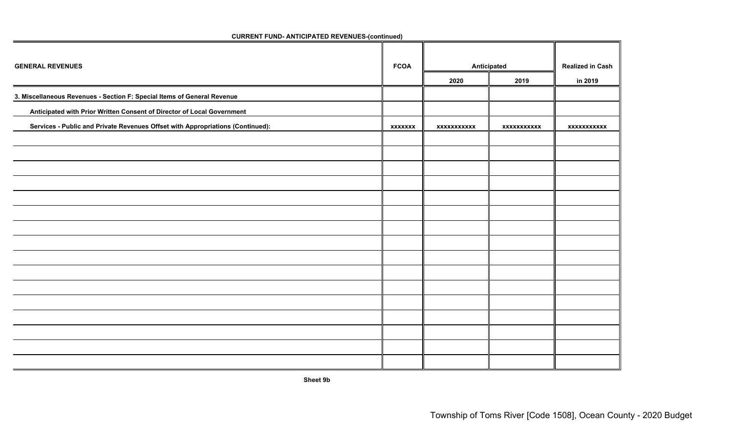| <b>GENERAL REVENUES</b>                                                        |                | Anticipated        | <b>Realized in Cash</b> |             |
|--------------------------------------------------------------------------------|----------------|--------------------|-------------------------|-------------|
|                                                                                |                | 2020               | 2019                    | in 2019     |
| 3. Miscellaneous Revenues - Section F: Special Items of General Revenue        |                |                    |                         |             |
| Anticipated with Prior Written Consent of Director of Local Government         |                |                    |                         |             |
| Services - Public and Private Revenues Offset with Appropriations (Continued): | <b>XXXXXXX</b> | <b>XXXXXXXXXXX</b> | xxxxxxxxxxx             | xxxxxxxxxxx |
|                                                                                |                |                    |                         |             |
|                                                                                |                |                    |                         |             |
|                                                                                |                |                    |                         |             |
|                                                                                |                |                    |                         |             |
|                                                                                |                |                    |                         |             |
|                                                                                |                |                    |                         |             |
|                                                                                |                |                    |                         |             |
|                                                                                |                |                    |                         |             |
|                                                                                |                |                    |                         |             |
|                                                                                |                |                    |                         |             |
|                                                                                |                |                    |                         |             |
|                                                                                |                |                    |                         |             |
|                                                                                |                |                    |                         |             |
|                                                                                |                |                    |                         |             |
|                                                                                |                |                    |                         |             |
|                                                                                |                |                    |                         |             |

**CURRENT FUND- ANTICIPATED REVENUES-(continued)**

**Sheet 9b**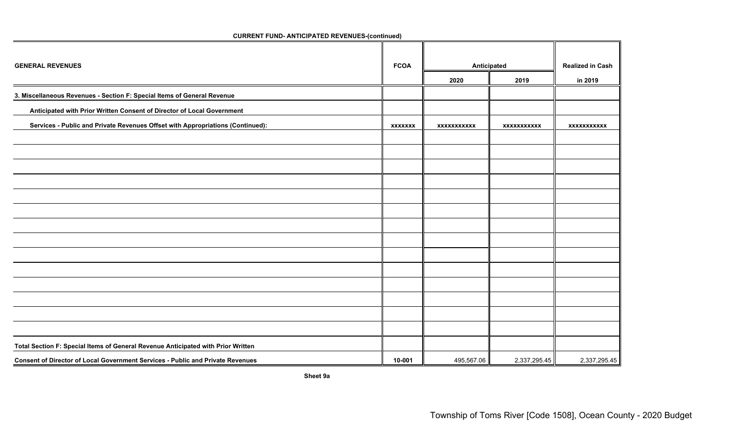| <b>GENERAL REVENUES</b>                                                          |                | Anticipated        | <b>Realized in Cash</b> |                    |
|----------------------------------------------------------------------------------|----------------|--------------------|-------------------------|--------------------|
|                                                                                  |                | 2020               | 2019                    | in 2019            |
| 3. Miscellaneous Revenues - Section F: Special Items of General Revenue          |                |                    |                         |                    |
| Anticipated with Prior Written Consent of Director of Local Government           |                |                    |                         |                    |
| Services - Public and Private Revenues Offset with Appropriations (Continued):   | <b>XXXXXXX</b> | <b>XXXXXXXXXXX</b> | <b>XXXXXXXXXXX</b>      | <b>XXXXXXXXXXX</b> |
|                                                                                  |                |                    |                         |                    |
|                                                                                  |                |                    |                         |                    |
|                                                                                  |                |                    |                         |                    |
|                                                                                  |                |                    |                         |                    |
|                                                                                  |                |                    |                         |                    |
|                                                                                  |                |                    |                         |                    |
|                                                                                  |                |                    |                         |                    |
|                                                                                  |                |                    |                         |                    |
|                                                                                  |                |                    |                         |                    |
|                                                                                  |                |                    |                         |                    |
|                                                                                  |                |                    |                         |                    |
|                                                                                  |                |                    |                         |                    |
|                                                                                  |                |                    |                         |                    |
|                                                                                  |                |                    |                         |                    |
| Total Section F: Special Items of General Revenue Anticipated with Prior Written |                |                    |                         |                    |
| Consent of Director of Local Government Services - Public and Private Revenues   | 10-001         | 495,567.06         | 2,337,295.45            | 2,337,295.45       |

**CURRENT FUND- ANTICIPATED REVENUES-(continued)**

**Sheet 9a**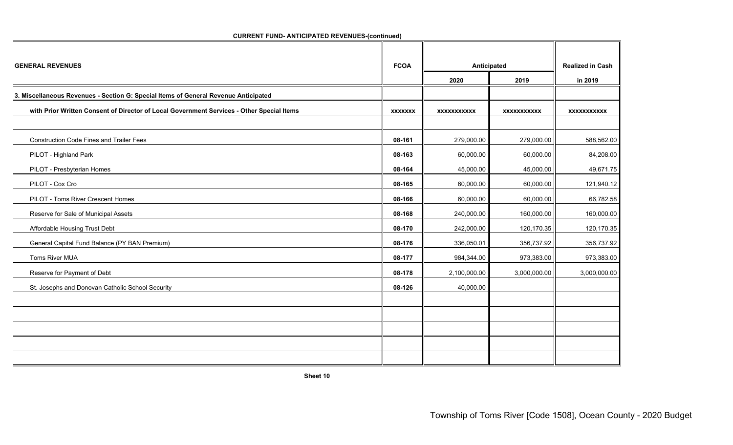|                                                                                           |                |                    | <b>Realized in Cash</b> |                    |
|-------------------------------------------------------------------------------------------|----------------|--------------------|-------------------------|--------------------|
| <b>GENERAL REVENUES</b>                                                                   | <b>FCOA</b>    | Anticipated        |                         |                    |
|                                                                                           |                | 2020               | 2019                    | in 2019            |
| 3. Miscellaneous Revenues - Section G: Special Items of General Revenue Anticipated       |                |                    |                         |                    |
| with Prior Written Consent of Director of Local Government Services - Other Special Items | <b>XXXXXXX</b> | <b>XXXXXXXXXXX</b> | <b>XXXXXXXXXXX</b>      | <b>XXXXXXXXXXX</b> |
|                                                                                           |                |                    |                         |                    |
| <b>Construction Code Fines and Trailer Fees</b>                                           | 08-161         | 279,000.00         | 279,000.00              | 588,562.00         |
| PILOT - Highland Park                                                                     | 08-163         | 60,000.00          | 60,000.00               | 84,208.00          |
| PILOT - Presbyterian Homes                                                                | 08-164         | 45,000.00          | 45,000.00               | 49,671.75          |
| PILOT - Cox Cro                                                                           | 08-165         | 60,000.00          | 60,000.00               | 121,940.12         |
| PILOT - Toms River Crescent Homes                                                         | 08-166         | 60,000.00          | 60,000.00               | 66,782.58          |
| Reserve for Sale of Municipal Assets                                                      | 08-168         | 240,000.00         | 160,000.00              | 160,000.00         |
| Affordable Housing Trust Debt                                                             | 08-170         | 242,000.00         | 120,170.35              | 120,170.35         |
| General Capital Fund Balance (PY BAN Premium)                                             | 08-176         | 336,050.01         | 356,737.92              | 356,737.92         |
| Toms River MUA                                                                            | 08-177         | 984,344.00         | 973,383.00              | 973,383.00         |
| Reserve for Payment of Debt                                                               | 08-178         | 2,100,000.00       | 3,000,000.00            | 3,000,000.00       |
| St. Josephs and Donovan Catholic School Security                                          | 08-126         | 40,000.00          |                         |                    |
|                                                                                           |                |                    |                         |                    |
|                                                                                           |                |                    |                         |                    |
|                                                                                           |                |                    |                         |                    |
|                                                                                           |                |                    |                         |                    |
|                                                                                           |                |                    |                         |                    |

**CURRENT FUND- ANTICIPATED REVENUES-(continued)**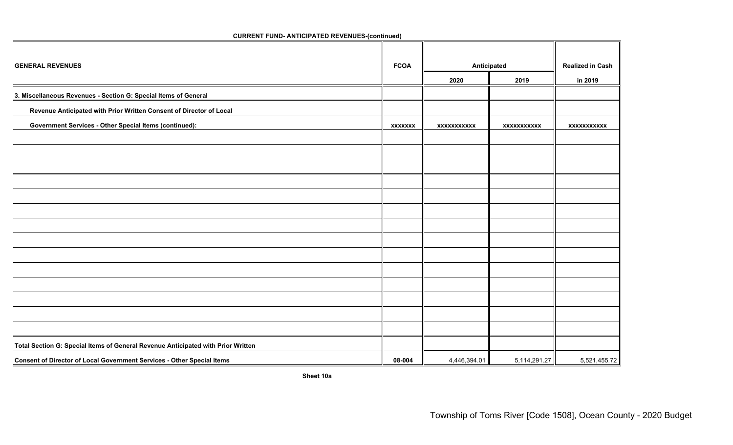| <b>GENERAL REVENUES</b>                                                          |                | Anticipated        | <b>Realized in Cash</b> |              |
|----------------------------------------------------------------------------------|----------------|--------------------|-------------------------|--------------|
|                                                                                  | <b>FCOA</b>    | 2020               | 2019                    | in 2019      |
| 3. Miscellaneous Revenues - Section G: Special Items of General                  |                |                    |                         |              |
| Revenue Anticipated with Prior Written Consent of Director of Local              |                |                    |                         |              |
| <b>Government Services - Other Special Items (continued):</b>                    | <b>XXXXXXX</b> | <b>XXXXXXXXXXX</b> | xxxxxxxxxxx             | XXXXXXXXXX   |
|                                                                                  |                |                    |                         |              |
|                                                                                  |                |                    |                         |              |
|                                                                                  |                |                    |                         |              |
|                                                                                  |                |                    |                         |              |
|                                                                                  |                |                    |                         |              |
|                                                                                  |                |                    |                         |              |
|                                                                                  |                |                    |                         |              |
|                                                                                  |                |                    |                         |              |
|                                                                                  |                |                    |                         |              |
|                                                                                  |                |                    |                         |              |
|                                                                                  |                |                    |                         |              |
|                                                                                  |                |                    |                         |              |
|                                                                                  |                |                    |                         |              |
|                                                                                  |                |                    |                         |              |
| Total Section G: Special Items of General Revenue Anticipated with Prior Written |                |                    |                         |              |
| Consent of Director of Local Government Services - Other Special Items           | 08-004         | 4,446,394.01       | 5,114,291.27            | 5,521,455.72 |

**CURRENT FUND- ANTICIPATED REVENUES-(continued)**

**Sheet 10a**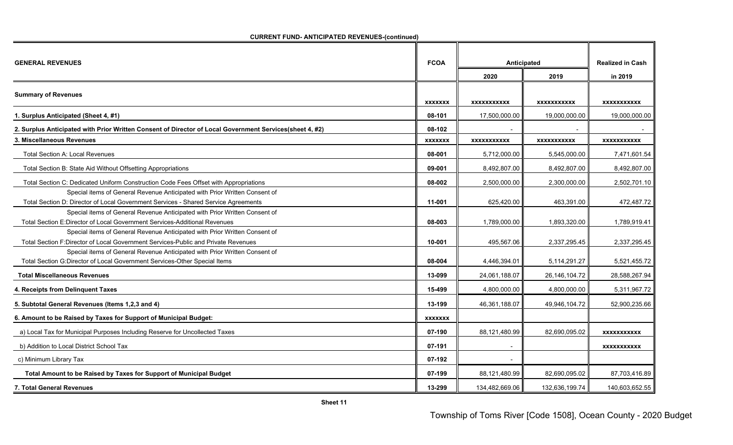| <b>GENERAL REVENUES</b>                                                                                                                                          | <b>FCOA</b>    | Anticipated        |                    | <b>Realized in Cash</b> |
|------------------------------------------------------------------------------------------------------------------------------------------------------------------|----------------|--------------------|--------------------|-------------------------|
|                                                                                                                                                                  |                | 2020               | 2019               | in 2019                 |
| <b>Summary of Revenues</b>                                                                                                                                       | <b>XXXXXXX</b> | <b>XXXXXXXXXXX</b> | <b>XXXXXXXXXXX</b> | <b>XXXXXXXXXXX</b>      |
| 1. Surplus Anticipated (Sheet 4, #1)                                                                                                                             | 08-101         | 17,500,000.00      | 19,000,000.00      | 19,000,000.00           |
| 2. Surplus Anticipated with Prior Written Consent of Director of Local Government Services(sheet 4, #2)                                                          | 08-102         |                    |                    |                         |
| 3. Miscellaneous Revenues                                                                                                                                        | <b>XXXXXXX</b> | <b>XXXXXXXXXXX</b> | <b>XXXXXXXXXXX</b> | <b>XXXXXXXXXXX</b>      |
| <b>Total Section A: Local Revenues</b>                                                                                                                           | 08-001         | 5,712,000.00       | 5,545,000.00       | 7,471,601.54            |
| Total Section B: State Aid Without Offsetting Appropriations                                                                                                     | 09-001         | 8,492,807.00       | 8,492,807.00       | 8,492,807.00            |
| Total Section C: Dedicated Uniform Construction Code Fees Offset with Appropriations                                                                             | 08-002         | 2,500,000.00       | 2,300,000.00       | 2,502,701.10            |
| Special items of General Revenue Anticipated with Prior Written Consent of<br>Total Section D: Director of Local Government Services - Shared Service Agreements | 11-001         | 625,420.00         | 463,391.00         | 472,487.72              |
| Special items of General Revenue Anticipated with Prior Written Consent of<br>Total Section E:Director of Local Government Services-Additional Revenues          | 08-003         | 1,789,000.00       | 1,893,320.00       | 1,789,919.41            |
| Special items of General Revenue Anticipated with Prior Written Consent of<br>Total Section F:Director of Local Government Services-Public and Private Revenues  | 10-001         | 495,567.06         | 2,337,295.45       | 2,337,295.45            |
| Special items of General Revenue Anticipated with Prior Written Consent of<br>Total Section G:Director of Local Government Services-Other Special Items          | 08-004         | 4,446,394.01       | 5,114,291.27       | 5,521,455.72            |
| <b>Total Miscellaneous Revenues</b>                                                                                                                              | 13-099         | 24,061,188.07      | 26, 146, 104. 72   | 28,588,267.94           |
| 4. Receipts from Delinquent Taxes                                                                                                                                | 15-499         | 4,800,000.00       | 4,800,000.00       | 5,311,967.72            |
| 5. Subtotal General Revenues (Items 1,2,3 and 4)                                                                                                                 | 13-199         | 46,361,188.07      | 49,946,104.72      | 52,900,235.66           |
| 6. Amount to be Raised by Taxes for Support of Municipal Budget:                                                                                                 | <b>XXXXXXX</b> |                    |                    |                         |
| a) Local Tax for Municipal Purposes Including Reserve for Uncollected Taxes                                                                                      | 07-190         | 88,121,480.99      | 82,690,095.02      | <b>XXXXXXXXXXX</b>      |
| b) Addition to Local District School Tax                                                                                                                         | 07-191         |                    |                    | <b>XXXXXXXXXXX</b>      |
| c) Minimum Library Tax                                                                                                                                           | 07-192         |                    |                    |                         |
| Total Amount to be Raised by Taxes for Support of Municipal Budget                                                                                               | 07-199         | 88,121,480.99      | 82,690,095.02      | 87,703,416.89           |
| 7. Total General Revenues                                                                                                                                        | 13-299         | 134,482,669.06     | 132,636,199.74     | 140,603,652.55          |

### **CURRENT FUND- ANTICIPATED REVENUES-(continued)**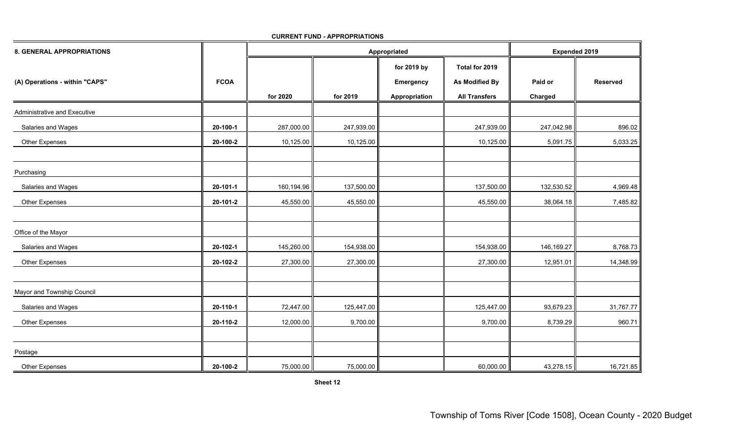| <b>8. GENERAL APPROPRIATIONS</b> |                |            | Appropriated |                  |                      |            | <b>Expended 2019</b> |  |  |
|----------------------------------|----------------|------------|--------------|------------------|----------------------|------------|----------------------|--|--|
|                                  |                |            |              | for 2019 by      | Total for 2019       |            |                      |  |  |
| (A) Operations - within "CAPS"   | <b>FCOA</b>    |            |              | <b>Emergency</b> | As Modified By       | Paid or    | <b>Reserved</b>      |  |  |
|                                  |                | for 2020   | for 2019     | Appropriation    | <b>All Transfers</b> | Charged    |                      |  |  |
| Administrative and Executive     |                |            |              |                  |                      |            |                      |  |  |
| Salaries and Wages               | 20-100-1       | 287,000.00 | 247,939.00   |                  | 247,939.00           | 247,042.98 | 896.02               |  |  |
| Other Expenses                   | 20-100-2       | 10,125.00  | 10,125.00    |                  | 10,125.00            | 5,091.75   | 5,033.25             |  |  |
| Purchasing                       |                |            |              |                  |                      |            |                      |  |  |
| Salaries and Wages               | $20 - 101 - 1$ | 160,194.96 | 137,500.00   |                  | 137,500.00           | 132,530.52 | 4,969.48             |  |  |
| Other Expenses                   | 20-101-2       | 45,550.00  | 45,550.00    |                  | 45,550.00            | 38,064.18  | 7,485.82             |  |  |
| Office of the Mayor              |                |            |              |                  |                      |            |                      |  |  |
| Salaries and Wages               | 20-102-1       | 145,260.00 | 154,938.00   |                  | 154,938.00           | 146,169.27 | 8,768.73             |  |  |
| Other Expenses                   | 20-102-2       | 27,300.00  | 27,300.00    |                  | 27,300.00            | 12,951.01  | 14,348.99            |  |  |
| Mayor and Township Council       |                |            |              |                  |                      |            |                      |  |  |
| Salaries and Wages               | 20-110-1       | 72,447.00  | 125,447.00   |                  | 125,447.00           | 93,679.23  | 31,767.77            |  |  |
| Other Expenses                   | 20-110-2       | 12,000.00  | 9,700.00     |                  | 9,700.00             | 8,739.29   | 960.71               |  |  |
| Postage                          |                |            |              |                  |                      |            |                      |  |  |
| Other Expenses                   | 20-100-2       | 75,000.00  | 75,000.00    |                  | 60,000.00            | 43,278.15  | 16,721.85            |  |  |

**CURRENT FUND - APPROPRIATIONS**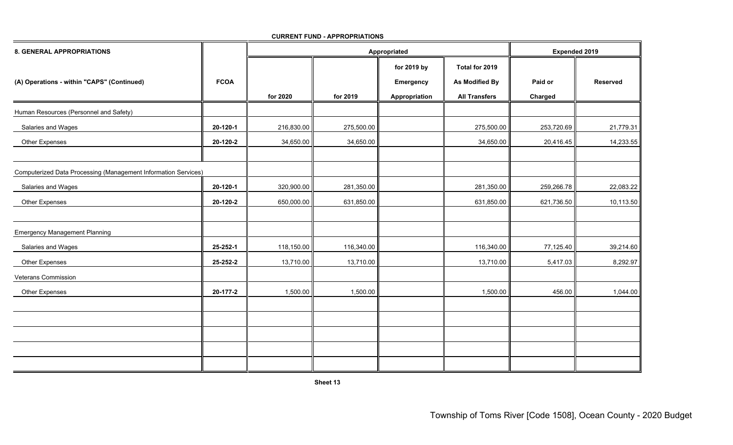| <b>8. GENERAL APPROPRIATIONS</b>                               |             |            |            | Appropriated  |                      | <b>Expended 2019</b> |                 |  |
|----------------------------------------------------------------|-------------|------------|------------|---------------|----------------------|----------------------|-----------------|--|
|                                                                |             |            |            | for 2019 by   | Total for 2019       |                      |                 |  |
| (A) Operations - within "CAPS" (Continued)                     | <b>FCOA</b> |            |            | Emergency     | As Modified By       | Paid or              | <b>Reserved</b> |  |
|                                                                |             | for 2020   | for 2019   | Appropriation | <b>All Transfers</b> | Charged              |                 |  |
| Human Resources (Personnel and Safety)                         |             |            |            |               |                      |                      |                 |  |
| Salaries and Wages                                             | 20-120-1    | 216,830.00 | 275,500.00 |               | 275,500.00           | 253,720.69           | 21,779.31       |  |
| <b>Other Expenses</b>                                          | 20-120-2    | 34,650.00  | 34,650.00  |               | 34,650.00            | 20,416.45            | 14,233.55       |  |
|                                                                |             |            |            |               |                      |                      |                 |  |
| Computerized Data Processing (Management Information Services) |             |            |            |               |                      |                      |                 |  |
| Salaries and Wages                                             | 20-120-1    | 320,900.00 | 281,350.00 |               | 281,350.00           | 259,266.78           | 22,083.22       |  |
| Other Expenses                                                 | 20-120-2    | 650,000.00 | 631,850.00 |               | 631,850.00           | 621,736.50           | 10,113.50       |  |
|                                                                |             |            |            |               |                      |                      |                 |  |
| <b>Emergency Management Planning</b>                           |             |            |            |               |                      |                      |                 |  |
| Salaries and Wages                                             | 25-252-1    | 118,150.00 | 116,340.00 |               | 116,340.00           | 77,125.40            | 39,214.60       |  |
| <b>Other Expenses</b>                                          | 25-252-2    | 13,710.00  | 13,710.00  |               | 13,710.00            | 5,417.03             | 8,292.97        |  |
| Veterans Commission                                            |             |            |            |               |                      |                      |                 |  |
| <b>Other Expenses</b>                                          | 20-177-2    | 1,500.00   | 1,500.00   |               | 1,500.00             | 456.00               | 1,044.00        |  |
|                                                                |             |            |            |               |                      |                      |                 |  |
|                                                                |             |            |            |               |                      |                      |                 |  |
|                                                                |             |            |            |               |                      |                      |                 |  |
|                                                                |             |            |            |               |                      |                      |                 |  |
|                                                                |             |            |            |               |                      |                      |                 |  |

**CURRENT FUND - APPROPRIATIONS**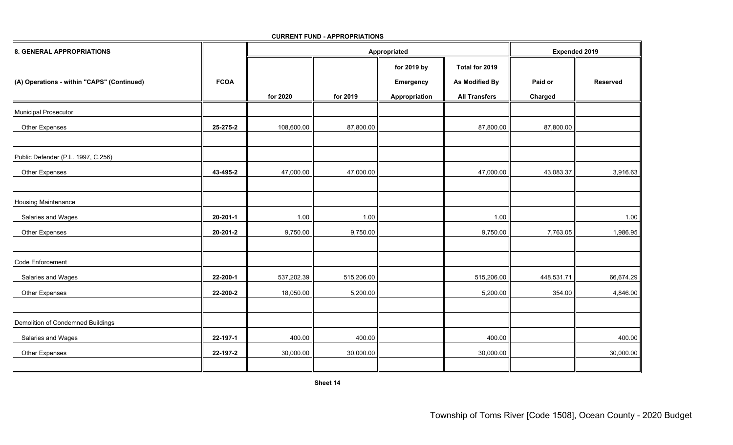| <b>8. GENERAL APPROPRIATIONS</b>           |                |            |            | Appropriated                    |                                         | Expended 2019 |                 |  |
|--------------------------------------------|----------------|------------|------------|---------------------------------|-----------------------------------------|---------------|-----------------|--|
| (A) Operations - within "CAPS" (Continued) | <b>FCOA</b>    |            |            | for 2019 by<br><b>Emergency</b> | Total for 2019<br><b>As Modified By</b> | Paid or       | <b>Reserved</b> |  |
|                                            |                | for 2020   | for 2019   | Appropriation                   | <b>All Transfers</b>                    | Charged       |                 |  |
| Municipal Prosecutor                       |                |            |            |                                 |                                         |               |                 |  |
| Other Expenses                             | 25-275-2       | 108,600.00 | 87,800.00  |                                 | 87,800.00                               | 87,800.00     |                 |  |
|                                            |                |            |            |                                 |                                         |               |                 |  |
| Public Defender (P.L. 1997, C.256)         |                |            |            |                                 |                                         |               |                 |  |
| Other Expenses                             | 43-495-2       | 47,000.00  | 47,000.00  |                                 | 47,000.00                               | 43,083.37     | 3,916.63        |  |
|                                            |                |            |            |                                 |                                         |               |                 |  |
| <b>Housing Maintenance</b>                 |                |            |            |                                 |                                         |               |                 |  |
| Salaries and Wages                         | $20 - 201 - 1$ | 1.00       | 1.00       |                                 | 1.00                                    |               | 1.00            |  |
| Other Expenses                             | 20-201-2       | 9,750.00   | 9,750.00   |                                 | 9,750.00                                | 7,763.05      | 1,986.95        |  |
|                                            |                |            |            |                                 |                                         |               |                 |  |
| Code Enforcement                           |                |            |            |                                 |                                         |               |                 |  |
| Salaries and Wages                         | 22-200-1       | 537,202.39 | 515,206.00 |                                 | 515,206.00                              | 448,531.71    | 66,674.29       |  |
| Other Expenses                             | 22-200-2       | 18,050.00  | 5,200.00   |                                 | 5,200.00                                | 354.00        | 4,846.00        |  |
|                                            |                |            |            |                                 |                                         |               |                 |  |
| Demolition of Condemned Buildings          |                |            |            |                                 |                                         |               |                 |  |
| Salaries and Wages                         | 22-197-1       | 400.00     | 400.00     |                                 | 400.00                                  |               | 400.00          |  |
| Other Expenses                             | 22-197-2       | 30,000.00  | 30,000.00  |                                 | 30,000.00                               |               | 30,000.00       |  |
|                                            |                |            |            |                                 |                                         |               |                 |  |

**CURRENT FUND - APPROPRIATIONS**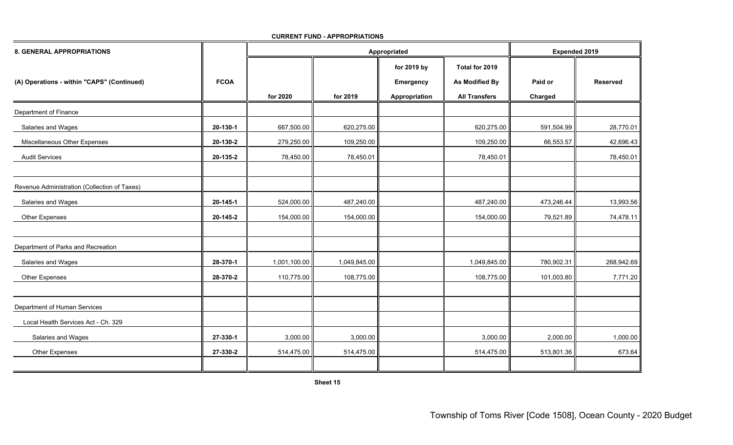| <b>8. GENERAL APPROPRIATIONS</b>             |             | Appropriated |              |                  |                       | <b>Expended 2019</b> |                 |  |
|----------------------------------------------|-------------|--------------|--------------|------------------|-----------------------|----------------------|-----------------|--|
|                                              |             |              |              | for 2019 by      | Total for 2019        |                      |                 |  |
| (A) Operations - within "CAPS" (Continued)   | <b>FCOA</b> |              |              | <b>Emergency</b> | <b>As Modified By</b> | Paid or              | <b>Reserved</b> |  |
|                                              |             | for 2020     | for 2019     | Appropriation    | <b>All Transfers</b>  | Charged              |                 |  |
| Department of Finance                        |             |              |              |                  |                       |                      |                 |  |
| Salaries and Wages                           | 20-130-1    | 667,500.00   | 620,275.00   |                  | 620,275.00            | 591,504.99           | 28,770.01       |  |
| Miscellaneous Other Expenses                 | 20-130-2    | 279,250.00   | 109,250.00   |                  | 109,250.00            | 66,553.57            | 42,696.43       |  |
| <b>Audit Services</b>                        | 20-135-2    | 78,450.00    | 78,450.01    |                  | 78,450.01             |                      | 78,450.01       |  |
|                                              |             |              |              |                  |                       |                      |                 |  |
| Revenue Administration (Collection of Taxes) |             |              |              |                  |                       |                      |                 |  |
| Salaries and Wages                           | 20-145-1    | 524,000.00   | 487,240.00   |                  | 487,240.00            | 473,246.44           | 13,993.56       |  |
| Other Expenses                               | 20-145-2    | 154,000.00   | 154,000.00   |                  | 154,000.00            | 79,521.89            | 74,478.11       |  |
|                                              |             |              |              |                  |                       |                      |                 |  |
| Department of Parks and Recreation           |             |              |              |                  |                       |                      |                 |  |
| Salaries and Wages                           | 28-370-1    | 1,001,100.00 | 1,049,845.00 |                  | 1,049,845.00          | 780,902.31           | 268,942.69      |  |
| Other Expenses                               | 28-370-2    | 110,775.00   | 108,775.00   |                  | 108,775.00            | 101,003.80           | 7,771.20        |  |
|                                              |             |              |              |                  |                       |                      |                 |  |
| Department of Human Services                 |             |              |              |                  |                       |                      |                 |  |
| Local Health Services Act - Ch. 329          |             |              |              |                  |                       |                      |                 |  |
| Salaries and Wages                           | 27-330-1    | 3,000.00     | 3,000.00     |                  | 3,000.00              | 2,000.00             | 1,000.00        |  |
| Other Expenses                               | 27-330-2    | 514,475.00   | 514,475.00   |                  | 514,475.00            | 513,801.36           | 673.64          |  |
|                                              |             |              |              |                  |                       |                      |                 |  |

**CURRENT FUND - APPROPRIATIONS**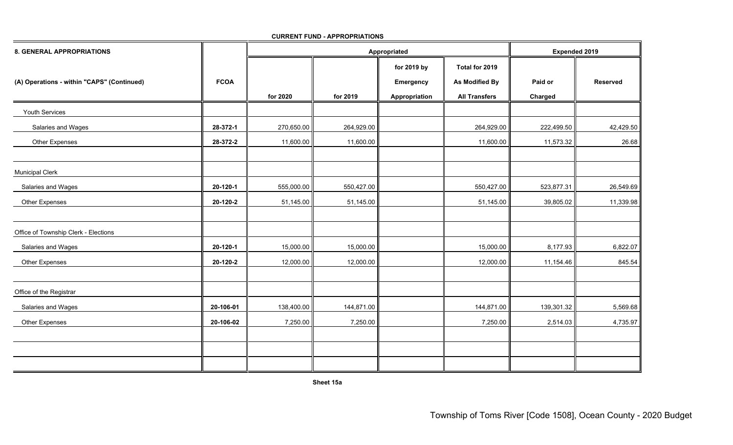| <b>8. GENERAL APPROPRIATIONS</b>           |             |            | Appropriated |                  | <b>Expended 2019</b>  |            |                 |
|--------------------------------------------|-------------|------------|--------------|------------------|-----------------------|------------|-----------------|
|                                            |             |            |              | for 2019 by      | Total for 2019        |            |                 |
| (A) Operations - within "CAPS" (Continued) | <b>FCOA</b> |            |              | <b>Emergency</b> | <b>As Modified By</b> | Paid or    | <b>Reserved</b> |
|                                            |             | for 2020   | for 2019     | Appropriation    | <b>All Transfers</b>  | Charged    |                 |
| Youth Services                             |             |            |              |                  |                       |            |                 |
| Salaries and Wages                         | 28-372-1    | 270,650.00 | 264,929.00   |                  | 264,929.00            | 222,499.50 | 42,429.50       |
| Other Expenses                             | 28-372-2    | 11,600.00  | 11,600.00    |                  | 11,600.00             | 11,573.32  | 26.68           |
| <b>Municipal Clerk</b>                     |             |            |              |                  |                       |            |                 |
| Salaries and Wages                         | 20-120-1    | 555,000.00 | 550,427.00   |                  | 550,427.00            | 523,877.31 | 26,549.69       |
| Other Expenses                             | 20-120-2    | 51,145.00  | 51,145.00    |                  | 51,145.00             | 39,805.02  | 11,339.98       |
| Office of Township Clerk - Elections       |             |            |              |                  |                       |            |                 |
| Salaries and Wages                         | 20-120-1    | 15,000.00  | 15,000.00    |                  | 15,000.00             | 8,177.93   | 6,822.07        |
| Other Expenses                             | 20-120-2    | 12,000.00  | 12,000.00    |                  | 12,000.00             | 11,154.46  | 845.54          |
| Office of the Registrar                    |             |            |              |                  |                       |            |                 |
| Salaries and Wages                         | 20-106-01   | 138,400.00 | 144,871.00   |                  | 144,871.00            | 139,301.32 | 5,569.68        |
| Other Expenses                             | 20-106-02   | 7,250.00   | 7,250.00     |                  | 7,250.00              | 2,514.03   | 4,735.97        |
|                                            |             |            |              |                  |                       |            |                 |
|                                            |             |            |              |                  |                       |            |                 |

**CURRENT FUND - APPROPRIATIONS**

**Sheet 15a**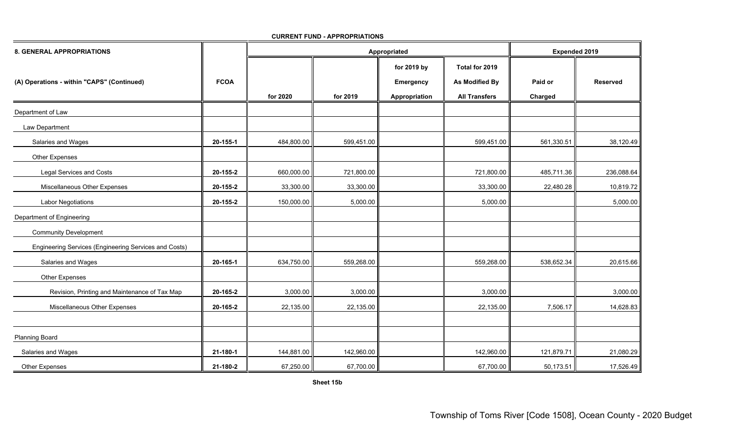| <b>8. GENERAL APPROPRIATIONS</b>                      |             | Appropriated |            |                                           |                                                          | <b>Expended 2019</b> |                 |
|-------------------------------------------------------|-------------|--------------|------------|-------------------------------------------|----------------------------------------------------------|----------------------|-----------------|
| (A) Operations - within "CAPS" (Continued)            | <b>FCOA</b> | for 2020     | for 2019   | for 2019 by<br>Emergency<br>Appropriation | Total for 2019<br>As Modified By<br><b>All Transfers</b> | Paid or<br>Charged   | <b>Reserved</b> |
| Department of Law                                     |             |              |            |                                           |                                                          |                      |                 |
| Law Department                                        |             |              |            |                                           |                                                          |                      |                 |
| Salaries and Wages                                    | 20-155-1    | 484,800.00   | 599,451.00 |                                           | 599,451.00                                               | 561,330.51           | 38,120.49       |
| Other Expenses                                        |             |              |            |                                           |                                                          |                      |                 |
| <b>Legal Services and Costs</b>                       | 20-155-2    | 660,000.00   | 721,800.00 |                                           | 721,800.00                                               | 485,711.36           | 236,088.64      |
| Miscellaneous Other Expenses                          | 20-155-2    | 33,300.00    | 33,300.00  |                                           | 33,300.00                                                | 22,480.28            | 10,819.72       |
| <b>Labor Negotiations</b>                             | 20-155-2    | 150,000.00   | 5,000.00   |                                           | 5,000.00                                                 |                      | 5,000.00        |
| Department of Engineering                             |             |              |            |                                           |                                                          |                      |                 |
| <b>Community Development</b>                          |             |              |            |                                           |                                                          |                      |                 |
| Engineering Services (Engineering Services and Costs) |             |              |            |                                           |                                                          |                      |                 |
| Salaries and Wages                                    | 20-165-1    | 634,750.00   | 559,268.00 |                                           | 559,268.00                                               | 538,652.34           | 20,615.66       |
| Other Expenses                                        |             |              |            |                                           |                                                          |                      |                 |
| Revision, Printing and Maintenance of Tax Map         | 20-165-2    | 3,000.00     | 3,000.00   |                                           | 3,000.00                                                 |                      | 3,000.00        |
| Miscellaneous Other Expenses                          | 20-165-2    | 22,135.00    | 22,135.00  |                                           | 22,135.00                                                | 7,506.17             | 14,628.83       |
| <b>Planning Board</b>                                 |             |              |            |                                           |                                                          |                      |                 |
| Salaries and Wages                                    | 21-180-1    | 144,881.00   | 142,960.00 |                                           | 142,960.00                                               | 121,879.71           | 21,080.29       |
| <b>Other Expenses</b>                                 | 21-180-2    | 67,250.00    | 67,700.00  |                                           | 67,700.00                                                | 50,173.51            | 17,526.49       |

**CURRENT FUND - APPROPRIATIONS**

**Sheet 15b**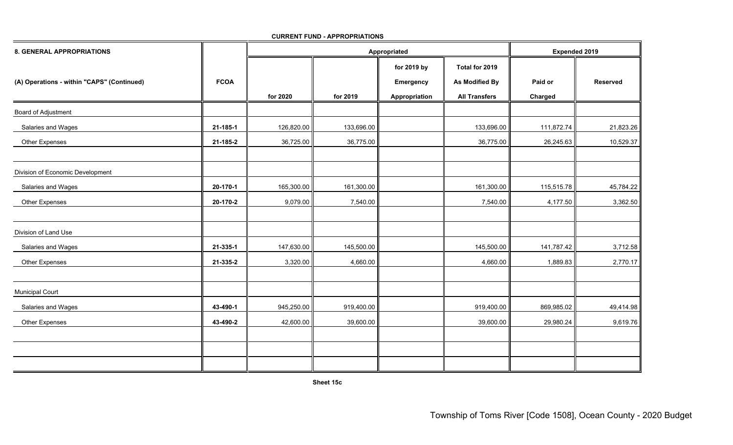| <b>8. GENERAL APPROPRIATIONS</b>           |             |            | Appropriated |                  | <b>Expended 2019</b>  |            |                 |
|--------------------------------------------|-------------|------------|--------------|------------------|-----------------------|------------|-----------------|
|                                            |             |            |              | for 2019 by      | Total for 2019        |            |                 |
| (A) Operations - within "CAPS" (Continued) | <b>FCOA</b> |            |              | <b>Emergency</b> | <b>As Modified By</b> | Paid or    | <b>Reserved</b> |
|                                            |             | for 2020   | for 2019     | Appropriation    | <b>All Transfers</b>  | Charged    |                 |
| Board of Adjustment                        |             |            |              |                  |                       |            |                 |
| Salaries and Wages                         | 21-185-1    | 126,820.00 | 133,696.00   |                  | 133,696.00            | 111,872.74 | 21,823.26       |
| Other Expenses                             | 21-185-2    | 36,725.00  | 36,775.00    |                  | 36,775.00             | 26,245.63  | 10,529.37       |
| Division of Economic Development           |             |            |              |                  |                       |            |                 |
| Salaries and Wages                         | 20-170-1    | 165,300.00 | 161,300.00   |                  | 161,300.00            | 115,515.78 | 45,784.22       |
| Other Expenses                             | 20-170-2    | 9,079.00   | 7,540.00     |                  | 7,540.00              | 4,177.50   | 3,362.50        |
| Division of Land Use                       |             |            |              |                  |                       |            |                 |
| Salaries and Wages                         | 21-335-1    | 147,630.00 | 145,500.00   |                  | 145,500.00            | 141,787.42 | 3,712.58        |
| Other Expenses                             | 21-335-2    | 3,320.00   | 4,660.00     |                  | 4,660.00              | 1,889.83   | 2,770.17        |
| <b>Municipal Court</b>                     |             |            |              |                  |                       |            |                 |
| Salaries and Wages                         | 43-490-1    | 945,250.00 | 919,400.00   |                  | 919,400.00            | 869,985.02 | 49,414.98       |
| Other Expenses                             | 43-490-2    | 42,600.00  | 39,600.00    |                  | 39,600.00             | 29,980.24  | 9,619.76        |
|                                            |             |            |              |                  |                       |            |                 |
|                                            |             |            |              |                  |                       |            |                 |

**CURRENT FUND - APPROPRIATIONS**

**Sheet 15c**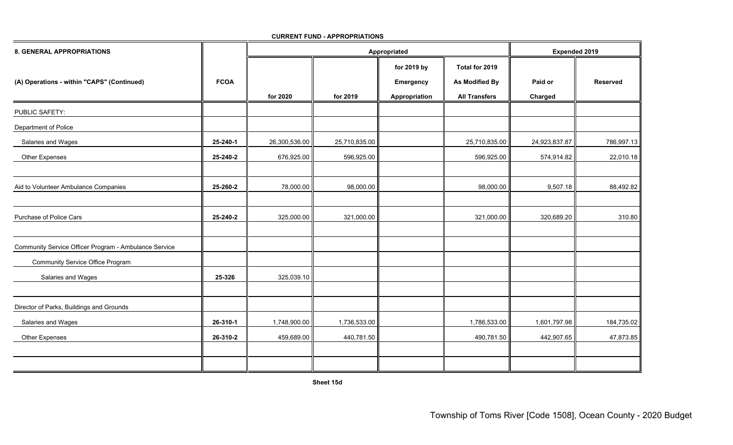| <b>8. GENERAL APPROPRIATIONS</b>                      |             |               | Appropriated  |                                                  | <b>Expended 2019</b>                                     |                    |                 |
|-------------------------------------------------------|-------------|---------------|---------------|--------------------------------------------------|----------------------------------------------------------|--------------------|-----------------|
| (A) Operations - within "CAPS" (Continued)            | <b>FCOA</b> | for 2020      | for 2019      | for 2019 by<br><b>Emergency</b><br>Appropriation | Total for 2019<br>As Modified By<br><b>All Transfers</b> | Paid or<br>Charged | <b>Reserved</b> |
| PUBLIC SAFETY:                                        |             |               |               |                                                  |                                                          |                    |                 |
| Department of Police                                  |             |               |               |                                                  |                                                          |                    |                 |
| Salaries and Wages                                    | 25-240-1    | 26,300,536.00 | 25,710,835.00 |                                                  | 25,710,835.00                                            | 24,923,837.87      | 786,997.13      |
| Other Expenses                                        | 25-240-2    | 676,925.00    | 596,925.00    |                                                  | 596,925.00                                               | 574,914.82         | 22,010.18       |
|                                                       |             |               |               |                                                  |                                                          |                    |                 |
| Aid to Volunteer Ambulance Companies                  | 25-260-2    | 78,000.00     | 98,000.00     |                                                  | 98,000.00                                                | 9,507.18           | 88,492.82       |
|                                                       |             |               |               |                                                  |                                                          |                    |                 |
| Purchase of Police Cars                               | 25-240-2    | 325,000.00    | 321,000.00    |                                                  | 321,000.00                                               | 320,689.20         | 310.80          |
|                                                       |             |               |               |                                                  |                                                          |                    |                 |
| Community Service Officer Program - Ambulance Service |             |               |               |                                                  |                                                          |                    |                 |
| <b>Community Service Office Program</b>               |             |               |               |                                                  |                                                          |                    |                 |
| Salaries and Wages                                    | 25-326      | 325,039.10    |               |                                                  |                                                          |                    |                 |
|                                                       |             |               |               |                                                  |                                                          |                    |                 |
| Director of Parks, Buildings and Grounds              |             |               |               |                                                  |                                                          |                    |                 |
| Salaries and Wages                                    | 26-310-1    | 1,748,900.00  | 1,736,533.00  |                                                  | 1,786,533.00                                             | 1,601,797.98       | 184,735.02      |
| Other Expenses                                        | 26-310-2    | 459,689.00    | 440,781.50    |                                                  | 490,781.50                                               | 442,907.65         | 47,873.85       |
|                                                       |             |               |               |                                                  |                                                          |                    |                 |
|                                                       |             |               |               |                                                  |                                                          |                    |                 |

**CURRENT FUND - APPROPRIATIONS**

**Sheet 15d**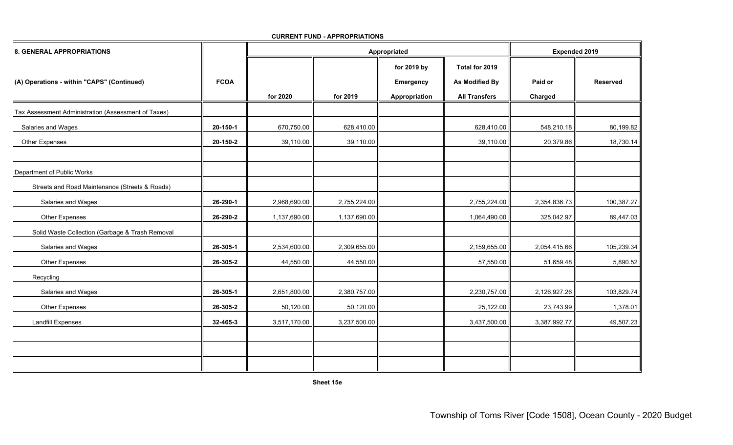| <b>8. GENERAL APPROPRIATIONS</b>                    |             |              | Appropriated |                  | Expended 2019         |              |                 |
|-----------------------------------------------------|-------------|--------------|--------------|------------------|-----------------------|--------------|-----------------|
|                                                     |             |              |              | for 2019 by      | Total for 2019        |              |                 |
| (A) Operations - within "CAPS" (Continued)          | <b>FCOA</b> |              |              | <b>Emergency</b> | <b>As Modified By</b> | Paid or      | <b>Reserved</b> |
|                                                     |             | for 2020     | for 2019     | Appropriation    | <b>All Transfers</b>  | Charged      |                 |
| Tax Assessment Administration (Assessment of Taxes) |             |              |              |                  |                       |              |                 |
| Salaries and Wages                                  | 20-150-1    | 670,750.00   | 628,410.00   |                  | 628,410.00            | 548,210.18   | 80,199.82       |
| Other Expenses                                      | 20-150-2    | 39,110.00    | 39,110.00    |                  | 39,110.00             | 20,379.86    | 18,730.14       |
| Department of Public Works                          |             |              |              |                  |                       |              |                 |
| Streets and Road Maintenance (Streets & Roads)      |             |              |              |                  |                       |              |                 |
| Salaries and Wages                                  | 26-290-1    | 2,968,690.00 | 2,755,224.00 |                  | 2,755,224.00          | 2,354,836.73 | 100,387.27      |
| Other Expenses                                      | 26-290-2    | 1,137,690.00 | 1,137,690.00 |                  | 1,064,490.00          | 325,042.97   | 89,447.03       |
| Solid Waste Collection (Garbage & Trash Removal     |             |              |              |                  |                       |              |                 |
| Salaries and Wages                                  | 26-305-1    | 2,534,600.00 | 2,309,655.00 |                  | 2,159,655.00          | 2,054,415.66 | 105,239.34      |
| Other Expenses                                      | 26-305-2    | 44,550.00    | 44,550.00    |                  | 57,550.00             | 51,659.48    | 5,890.52        |
| Recycling                                           |             |              |              |                  |                       |              |                 |
| Salaries and Wages                                  | 26-305-1    | 2,651,800.00 | 2,380,757.00 |                  | 2,230,757.00          | 2,126,927.26 | 103,829.74      |
| Other Expenses                                      | 26-305-2    | 50,120.00    | 50,120.00    |                  | 25,122.00             | 23,743.99    | 1,378.01        |
| <b>Landfill Expenses</b>                            | 32-465-3    | 3,517,170.00 | 3,237,500.00 |                  | 3,437,500.00          | 3,387,992.77 | 49,507.23       |
|                                                     |             |              |              |                  |                       |              |                 |
|                                                     |             |              |              |                  |                       |              |                 |
|                                                     |             |              |              |                  |                       |              |                 |

**CURRENT FUND - APPROPRIATIONS**

**Sheet 15e**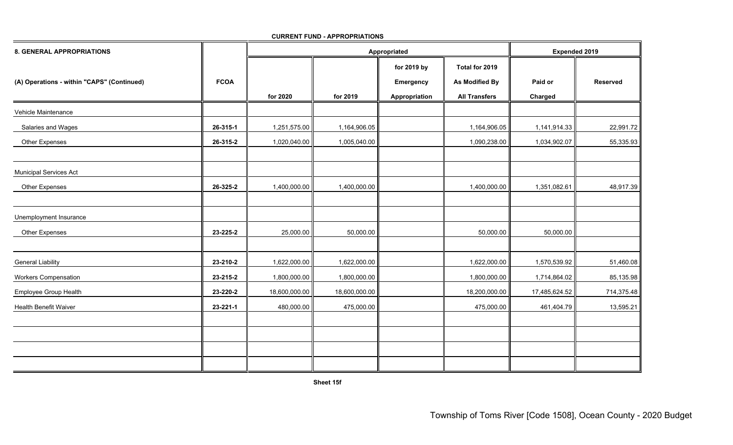| <b>8. GENERAL APPROPRIATIONS</b>           |             |               | Appropriated  |                  | Expended 2019         |               |                 |
|--------------------------------------------|-------------|---------------|---------------|------------------|-----------------------|---------------|-----------------|
|                                            |             |               |               | for 2019 by      | Total for 2019        |               |                 |
| (A) Operations - within "CAPS" (Continued) | <b>FCOA</b> |               |               | <b>Emergency</b> | <b>As Modified By</b> | Paid or       | <b>Reserved</b> |
|                                            |             | for 2020      | for 2019      | Appropriation    | <b>All Transfers</b>  | Charged       |                 |
| Vehicle Maintenance                        |             |               |               |                  |                       |               |                 |
| Salaries and Wages                         | 26-315-1    | 1,251,575.00  | 1,164,906.05  |                  | 1,164,906.05          | 1,141,914.33  | 22,991.72       |
| Other Expenses                             | 26-315-2    | 1,020,040.00  | 1,005,040.00  |                  | 1,090,238.00          | 1,034,902.07  | 55,335.93       |
| <b>Municipal Services Act</b>              |             |               |               |                  |                       |               |                 |
| Other Expenses                             | 26-325-2    | 1,400,000.00  | 1,400,000.00  |                  | 1,400,000.00          | 1,351,082.61  | 48,917.39       |
| Unemployment Insurance                     |             |               |               |                  |                       |               |                 |
| Other Expenses                             | 23-225-2    | 25,000.00     | 50,000.00     |                  | 50,000.00             | 50,000.00     |                 |
| <b>General Liability</b>                   | 23-210-2    | 1,622,000.00  | 1,622,000.00  |                  | 1,622,000.00          | 1,570,539.92  | 51,460.08       |
| <b>Workers Compensation</b>                | 23-215-2    | 1,800,000.00  | 1,800,000.00  |                  | 1,800,000.00          | 1,714,864.02  | 85,135.98       |
| Employee Group Health                      | 23-220-2    | 18,600,000.00 | 18,600,000.00 |                  | 18,200,000.00         | 17,485,624.52 | 714,375.48      |
| Health Benefit Waiver                      | 23-221-1    | 480,000.00    | 475,000.00    |                  | 475,000.00            | 461,404.79    | 13,595.21       |
|                                            |             |               |               |                  |                       |               |                 |
|                                            |             |               |               |                  |                       |               |                 |
|                                            |             |               |               |                  |                       |               |                 |
|                                            |             |               |               |                  |                       |               |                 |

**CURRENT FUND - APPROPRIATIONS**

**Sheet 15f**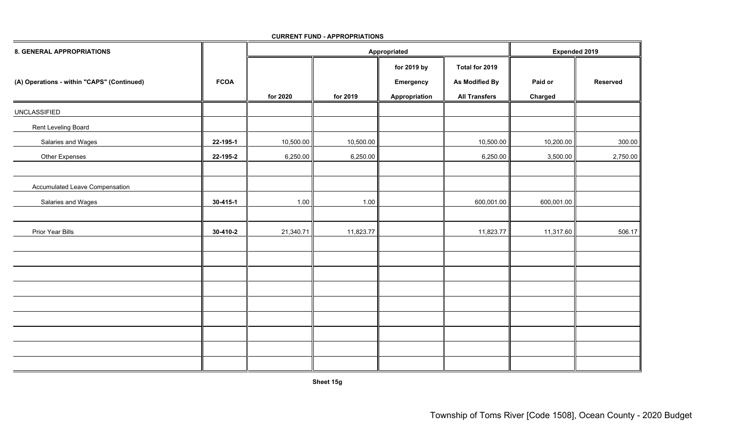| <b>8. GENERAL APPROPRIATIONS</b>           |                | Appropriated |           |                          |                                  | <b>Expended 2019</b> |          |
|--------------------------------------------|----------------|--------------|-----------|--------------------------|----------------------------------|----------------------|----------|
| (A) Operations - within "CAPS" (Continued) | <b>FCOA</b>    |              |           | for 2019 by<br>Emergency | Total for 2019<br>As Modified By | Paid or              | Reserved |
|                                            |                | for 2020     | for 2019  | Appropriation            | <b>All Transfers</b>             | Charged              |          |
| <b>UNCLASSIFIED</b>                        |                |              |           |                          |                                  |                      |          |
| Rent Leveling Board                        |                |              |           |                          |                                  |                      |          |
| Salaries and Wages                         | 22-195-1       | 10,500.00    | 10,500.00 |                          | 10,500.00                        | 10,200.00            | 300.00   |
| Other Expenses                             | 22-195-2       | 6,250.00     | 6,250.00  |                          | 6,250.00                         | 3,500.00             | 2,750.00 |
|                                            |                |              |           |                          |                                  |                      |          |
| Accumulated Leave Compensation             |                |              |           |                          |                                  |                      |          |
| Salaries and Wages                         | $30 - 415 - 1$ | 1.00         | 1.00      |                          | 600,001.00                       | 600,001.00           |          |
|                                            |                |              |           |                          |                                  |                      |          |
| Prior Year Bills                           | 30-410-2       | 21,340.71    | 11,823.77 |                          | 11,823.77                        | 11,317.60            | 506.17   |
|                                            |                |              |           |                          |                                  |                      |          |
|                                            |                |              |           |                          |                                  |                      |          |
|                                            |                |              |           |                          |                                  |                      |          |
|                                            |                |              |           |                          |                                  |                      |          |
|                                            |                |              |           |                          |                                  |                      |          |
|                                            |                |              |           |                          |                                  |                      |          |
|                                            |                |              |           |                          |                                  |                      |          |
|                                            |                |              |           |                          |                                  |                      |          |
|                                            |                |              |           |                          |                                  |                      |          |

**CURRENT FUND - APPROPRIATIONS**

**Sheet 15g**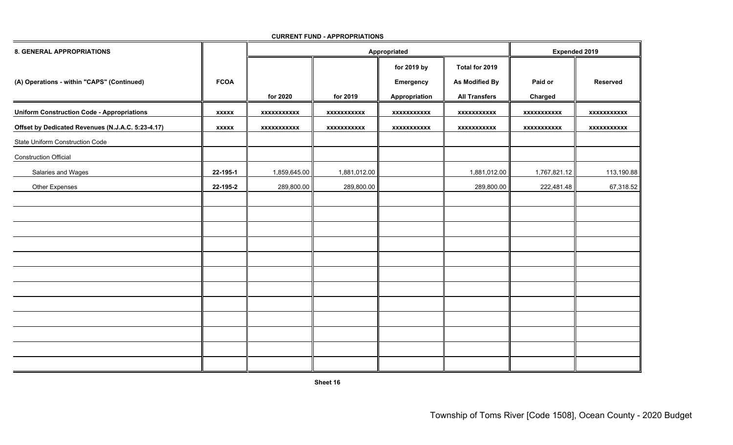| <b>8. GENERAL APPROPRIATIONS</b>                  |              |                    |                    | Appropriated                                     |                                                          | <b>Expended 2019</b> |                    |
|---------------------------------------------------|--------------|--------------------|--------------------|--------------------------------------------------|----------------------------------------------------------|----------------------|--------------------|
| (A) Operations - within "CAPS" (Continued)        | <b>FCOA</b>  | for 2020           | for 2019           | for 2019 by<br><b>Emergency</b><br>Appropriation | Total for 2019<br>As Modified By<br><b>All Transfers</b> | Paid or<br>Charged   | <b>Reserved</b>    |
| <b>Uniform Construction Code - Appropriations</b> | <b>XXXXX</b> | <b>XXXXXXXXXXX</b> | <b>XXXXXXXXXXX</b> | <b>XXXXXXXXXXX</b>                               | <b>XXXXXXXXXXX</b>                                       | xxxxxxxxxxx          | <b>XXXXXXXXXXX</b> |
| Offset by Dedicated Revenues (N.J.A.C. 5:23-4.17) | <b>XXXXX</b> | <b>XXXXXXXXXXX</b> | <b>XXXXXXXXXXX</b> | <b>XXXXXXXXXXX</b>                               | <b>XXXXXXXXXXX</b>                                       | <b>XXXXXXXXXXX</b>   | <b>XXXXXXXXXXX</b> |
| State Uniform Construction Code                   |              |                    |                    |                                                  |                                                          |                      |                    |
| <b>Construction Official</b>                      |              |                    |                    |                                                  |                                                          |                      |                    |
| Salaries and Wages                                | 22-195-1     | 1,859,645.00       | 1,881,012.00       |                                                  | 1,881,012.00                                             | 1,767,821.12         | 113,190.88         |
| <b>Other Expenses</b>                             | 22-195-2     | 289,800.00         | 289,800.00         |                                                  | 289,800.00                                               | 222,481.48           | 67,318.52          |
|                                                   |              |                    |                    |                                                  |                                                          |                      |                    |
|                                                   |              |                    |                    |                                                  |                                                          |                      |                    |
|                                                   |              |                    |                    |                                                  |                                                          |                      |                    |
|                                                   |              |                    |                    |                                                  |                                                          |                      |                    |
|                                                   |              |                    |                    |                                                  |                                                          |                      |                    |
|                                                   |              |                    |                    |                                                  |                                                          |                      |                    |
|                                                   |              |                    |                    |                                                  |                                                          |                      |                    |
|                                                   |              |                    |                    |                                                  |                                                          |                      |                    |
|                                                   |              |                    |                    |                                                  |                                                          |                      |                    |
|                                                   |              |                    |                    |                                                  |                                                          |                      |                    |
|                                                   |              |                    |                    |                                                  |                                                          |                      |                    |
|                                                   |              |                    |                    |                                                  |                                                          |                      |                    |

**CURRENT FUND - APPROPRIATIONS**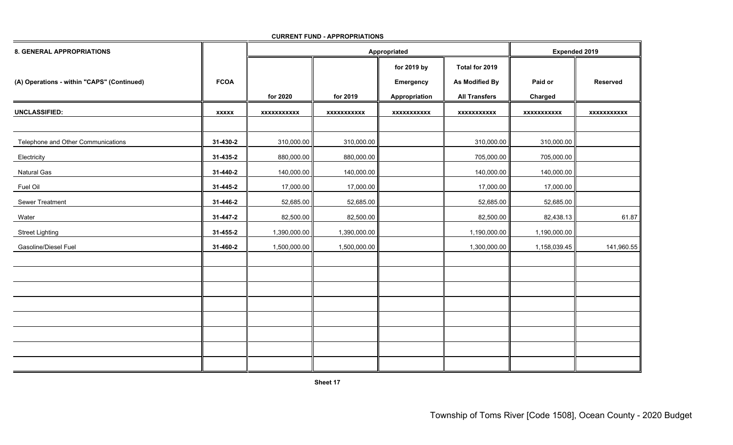| <b>8. GENERAL APPROPRIATIONS</b>           |              | Appropriated       |                    |                                           |                                                                 | <b>Expended 2019</b> |                    |
|--------------------------------------------|--------------|--------------------|--------------------|-------------------------------------------|-----------------------------------------------------------------|----------------------|--------------------|
| (A) Operations - within "CAPS" (Continued) | <b>FCOA</b>  | for 2020           | for 2019           | for 2019 by<br>Emergency<br>Appropriation | Total for 2019<br><b>As Modified By</b><br><b>All Transfers</b> | Paid or<br>Charged   | <b>Reserved</b>    |
| <b>UNCLASSIFIED:</b>                       | <b>XXXXX</b> | <b>XXXXXXXXXXX</b> | <b>XXXXXXXXXXX</b> | <b>XXXXXXXXXXX</b>                        | <b>XXXXXXXXXXX</b>                                              | xxxxxxxxxxx          | <b>XXXXXXXXXXX</b> |
|                                            |              |                    |                    |                                           |                                                                 |                      |                    |
| Telephone and Other Communications         | 31-430-2     | 310,000.00         | 310,000.00         |                                           | 310,000.00                                                      | 310,000.00           |                    |
| Electricity                                | 31-435-2     | 880,000.00         | 880,000.00         |                                           | 705,000.00                                                      | 705,000.00           |                    |
| Natural Gas                                | 31-440-2     | 140,000.00         | 140,000.00         |                                           | 140,000.00                                                      | 140,000.00           |                    |
| Fuel Oil                                   | 31-445-2     | 17,000.00          | 17,000.00          |                                           | 17,000.00                                                       | 17,000.00            |                    |
| Sewer Treatment                            | 31-446-2     | 52,685.00          | 52,685.00          |                                           | 52,685.00                                                       | 52,685.00            |                    |
| Water                                      | 31-447-2     | 82,500.00          | 82,500.00          |                                           | 82,500.00                                                       | 82,438.13            | 61.87              |
| <b>Street Lighting</b>                     | 31-455-2     | 1,390,000.00       | 1,390,000.00       |                                           | 1,190,000.00                                                    | 1,190,000.00         |                    |
| Gasoline/Diesel Fuel                       | 31-460-2     | 1,500,000.00       | 1,500,000.00       |                                           | 1,300,000.00                                                    | 1,158,039.45         | 141,960.55         |
|                                            |              |                    |                    |                                           |                                                                 |                      |                    |
|                                            |              |                    |                    |                                           |                                                                 |                      |                    |
|                                            |              |                    |                    |                                           |                                                                 |                      |                    |
|                                            |              |                    |                    |                                           |                                                                 |                      |                    |
|                                            |              |                    |                    |                                           |                                                                 |                      |                    |
|                                            |              |                    |                    |                                           |                                                                 |                      |                    |
|                                            |              |                    |                    |                                           |                                                                 |                      |                    |
|                                            |              |                    |                    |                                           |                                                                 |                      |                    |

**CURRENT FUND - APPROPRIATIONS**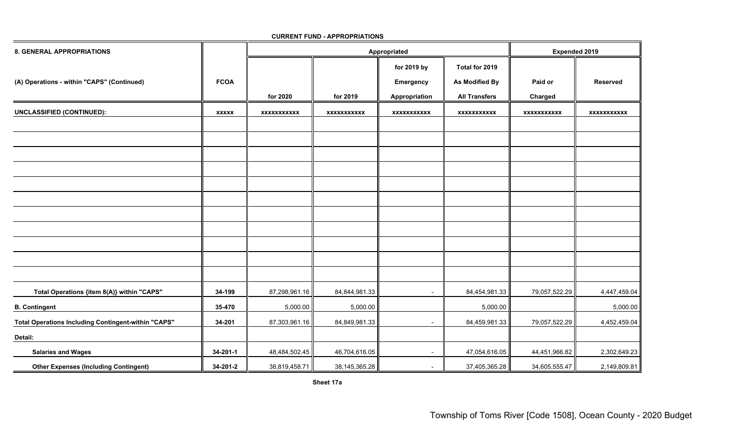| <b>8. GENERAL APPROPRIATIONS</b>                           |              |                    | Appropriated       |                    | Expended 2019         |                    |                    |
|------------------------------------------------------------|--------------|--------------------|--------------------|--------------------|-----------------------|--------------------|--------------------|
|                                                            |              |                    |                    | for 2019 by        | Total for 2019        |                    |                    |
| (A) Operations - within "CAPS" (Continued)                 | <b>FCOA</b>  |                    |                    | Emergency          | <b>As Modified By</b> | Paid or            | <b>Reserved</b>    |
|                                                            |              | for 2020           | for 2019           | Appropriation      | <b>All Transfers</b>  | Charged            |                    |
| <b>UNCLASSIFIED (CONTINUED):</b>                           | <b>XXXXX</b> | <b>XXXXXXXXXXX</b> | <b>XXXXXXXXXXX</b> | <b>XXXXXXXXXXX</b> | <b>XXXXXXXXXXX</b>    | <b>XXXXXXXXXXX</b> | <b>XXXXXXXXXXX</b> |
|                                                            |              |                    |                    |                    |                       |                    |                    |
|                                                            |              |                    |                    |                    |                       |                    |                    |
|                                                            |              |                    |                    |                    |                       |                    |                    |
|                                                            |              |                    |                    |                    |                       |                    |                    |
|                                                            |              |                    |                    |                    |                       |                    |                    |
|                                                            |              |                    |                    |                    |                       |                    |                    |
|                                                            |              |                    |                    |                    |                       |                    |                    |
|                                                            |              |                    |                    |                    |                       |                    |                    |
|                                                            |              |                    |                    |                    |                       |                    |                    |
|                                                            |              |                    |                    |                    |                       |                    |                    |
|                                                            |              |                    |                    |                    |                       |                    |                    |
| Total Operations {item 8(A)} within "CAPS"                 | 34-199       | 87,298,961.16      | 84,844,981.33      |                    | 84,454,981.33         | 79,057,522.29      | 4,447,459.04       |
| <b>B. Contingent</b>                                       | 35-470       | 5,000.00           | 5,000.00           |                    | 5,000.00              |                    | 5,000.00           |
| <b>Total Operations Including Contingent-within "CAPS"</b> | 34-201       | 87,303,961.16      | 84,849,981.33      |                    | 84,459,981.33         | 79,057,522.29      | 4,452,459.04       |
| Detail:                                                    |              |                    |                    |                    |                       |                    |                    |
| <b>Salaries and Wages</b>                                  | 34-201-1     | 48,484,502.45      | 46,704,616.05      | $\blacksquare$     | 47,054,616.05         | 44,451,966.82      | 2,302,649.23       |
| <b>Other Expenses (Including Contingent)</b>               | 34-201-2     | 38,819,458.71      | 38,145,365.28      |                    | 37,405,365.28         | 34,605,555.47      | 2,149,809.81       |

**CURRENT FUND - APPROPRIATIONS**

**Sheet 17a**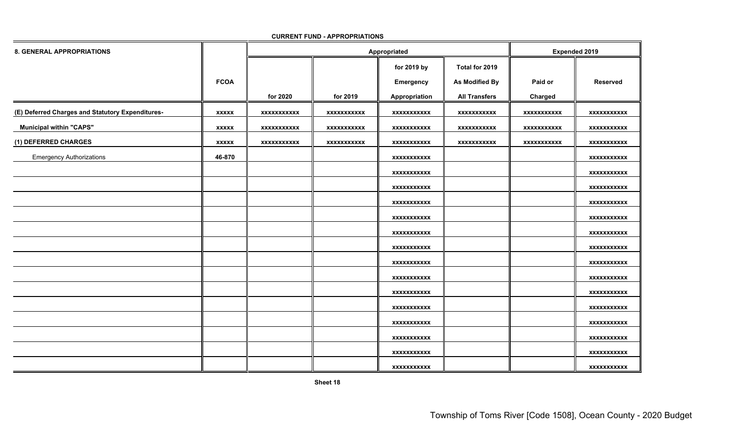| <b>8. GENERAL APPROPRIATIONS</b>                 |              |                    | Appropriated       |                    | <b>Expended 2019</b> |                    |                    |
|--------------------------------------------------|--------------|--------------------|--------------------|--------------------|----------------------|--------------------|--------------------|
|                                                  |              |                    |                    | for 2019 by        | Total for 2019       |                    |                    |
|                                                  | <b>FCOA</b>  |                    |                    | Emergency          | As Modified By       | Paid or            | <b>Reserved</b>    |
|                                                  |              | for 2020           | for 2019           | Appropriation      | <b>All Transfers</b> | Charged            |                    |
| (E) Deferred Charges and Statutory Expenditures- | <b>XXXXX</b> | <b>XXXXXXXXXXX</b> | <b>XXXXXXXXXXX</b> | xxxxxxxxxxx        | XXXXXXXXXXX          | <b>XXXXXXXXXXX</b> | <b>XXXXXXXXXXX</b> |
| <b>Municipal within "CAPS"</b>                   | <b>XXXXX</b> | XXXXXXXXXXX        | xxxxxxxxxxx        | xxxxxxxxxxx        | XXXXXXXXXXX          | XXXXXXXXXXX        | <b>XXXXXXXXXXX</b> |
| (1) DEFERRED CHARGES                             | <b>XXXXX</b> | xxxxxxxxxxx        | xxxxxxxxxxx        | xxxxxxxxxxx        | XXXXXXXXXXX          | <b>XXXXXXXXXXX</b> | xxxxxxxxxxx        |
| <b>Emergency Authorizations</b>                  | 46-870       |                    |                    | xxxxxxxxxxx        |                      |                    | <b>XXXXXXXXXXX</b> |
|                                                  |              |                    |                    | <b>XXXXXXXXXXX</b> |                      |                    | <b>XXXXXXXXXXX</b> |
|                                                  |              |                    |                    | xxxxxxxxxxx        |                      |                    | <b>XXXXXXXXXXX</b> |
|                                                  |              |                    |                    | XXXXXXXXXXX        |                      |                    | <b>XXXXXXXXXXX</b> |
|                                                  |              |                    |                    | xxxxxxxxxxx        |                      |                    | <b>XXXXXXXXXXX</b> |
|                                                  |              |                    |                    | xxxxxxxxxxx        |                      |                    | XXXXXXXXXXX        |
|                                                  |              |                    |                    | XXXXXXXXXXX        |                      |                    | <b>XXXXXXXXXXX</b> |
|                                                  |              |                    |                    | XXXXXXXXXXX        |                      |                    | <b>XXXXXXXXXXX</b> |
|                                                  |              |                    |                    | xxxxxxxxxxx        |                      |                    | <b>XXXXXXXXXXX</b> |
|                                                  |              |                    |                    | XXXXXXXXXXX        |                      |                    | <b>XXXXXXXXXXX</b> |
|                                                  |              |                    |                    | xxxxxxxxxxx        |                      |                    | xxxxxxxxxxx        |
|                                                  |              |                    |                    | XXXXXXXXXXX        |                      |                    | <b>XXXXXXXXXXX</b> |
|                                                  |              |                    |                    | xxxxxxxxxxx        |                      |                    | XXXXXXXXXXX        |
|                                                  |              |                    |                    | <b>XXXXXXXXXXX</b> |                      |                    | <b>XXXXXXXXXXX</b> |
|                                                  |              |                    |                    | <b>XXXXXXXXXXX</b> |                      |                    | <b>XXXXXXXXXXX</b> |

**CURRENT FUND - APPROPRIATIONS**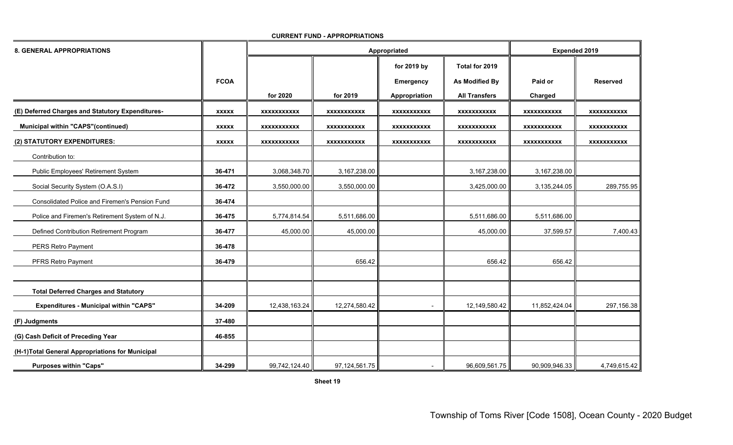| <b>8. GENERAL APPROPRIATIONS</b>                      |              |                    |                    | Appropriated             |                                         |                    | <b>Expended 2019</b> |  |
|-------------------------------------------------------|--------------|--------------------|--------------------|--------------------------|-----------------------------------------|--------------------|----------------------|--|
|                                                       | <b>FCOA</b>  |                    |                    | for 2019 by<br>Emergency | Total for 2019<br><b>As Modified By</b> | Paid or            | <b>Reserved</b>      |  |
|                                                       |              | for 2020           | for 2019           | Appropriation            | <b>All Transfers</b>                    | Charged            |                      |  |
| (E) Deferred Charges and Statutory Expenditures-      | <b>XXXXX</b> | <b>XXXXXXXXXXX</b> | <b>XXXXXXXXXXX</b> | <b>XXXXXXXXXXX</b>       | <b>XXXXXXXXXXX</b>                      | <b>XXXXXXXXXXX</b> | <b>XXXXXXXXXXX</b>   |  |
| <b>Municipal within "CAPS"(continued)</b>             | <b>XXXXX</b> | XXXXXXXXXX         | <b>XXXXXXXXXXX</b> | <b>XXXXXXXXXXX</b>       | <b>XXXXXXXXXXX</b>                      | <b>XXXXXXXXXXX</b> | <b>XXXXXXXXXXX</b>   |  |
| (2) STATUTORY EXPENDITURES:                           | <b>XXXXX</b> | <b>XXXXXXXXXXX</b> | <b>XXXXXXXXXXX</b> | <b>XXXXXXXXXXX</b>       | <b>XXXXXXXXXXX</b>                      | <b>XXXXXXXXXXX</b> | <b>XXXXXXXXXXX</b>   |  |
| Contribution to:                                      |              |                    |                    |                          |                                         |                    |                      |  |
| Public Employees' Retirement System                   | 36-471       | 3,068,348.70       | 3,167,238.00       |                          | 3,167,238.00                            | 3,167,238.00       |                      |  |
| Social Security System (O.A.S.I)                      | 36-472       | 3,550,000.00       | 3,550,000.00       |                          | 3,425,000.00                            | 3,135,244.05       | 289,755.95           |  |
| <b>Consolidated Police and Firemen's Pension Fund</b> | 36-474       |                    |                    |                          |                                         |                    |                      |  |
| Police and Firemen's Retirement System of N.J.        | 36-475       | 5,774,814.54       | 5,511,686.00       |                          | 5,511,686.00                            | 5,511,686.00       |                      |  |
| Defined Contribution Retirement Program               | 36-477       | 45,000.00          | 45,000.00          |                          | 45,000.00                               | 37,599.57          | 7,400.43             |  |
| <b>PERS Retro Payment</b>                             | 36-478       |                    |                    |                          |                                         |                    |                      |  |
| PFRS Retro Payment                                    | 36-479       |                    | 656.42             |                          | 656.42                                  | 656.42             |                      |  |
| <b>Total Deferred Charges and Statutory</b>           |              |                    |                    |                          |                                         |                    |                      |  |
| <b>Expenditures - Municipal within "CAPS"</b>         | 34-209       | 12,438,163.24      | 12,274,580.42      | $\sim$                   | 12,149,580.42                           | 11,852,424.04      | 297,156.38           |  |
|                                                       |              |                    |                    |                          |                                         |                    |                      |  |
| (F) Judgments                                         | 37-480       |                    |                    |                          |                                         |                    |                      |  |
| (G) Cash Deficit of Preceding Year                    | 46-855       |                    |                    |                          |                                         |                    |                      |  |
| (H-1)Total General Appropriations for Municipal       |              |                    |                    |                          |                                         |                    |                      |  |
| <b>Purposes within "Caps"</b>                         | 34-299       | 99,742,124.40      | 97,124,561.75      |                          | 96,609,561.75                           | 90,909,946.33      | 4,749,615.42         |  |

**CURRENT FUND - APPROPRIATIONS**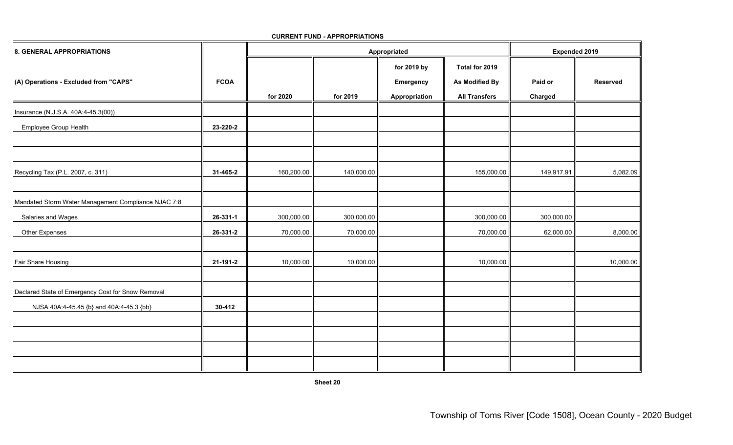| <b>8. GENERAL APPROPRIATIONS</b>                    |             |            |            | Appropriated  |                      | <b>Expended 2019</b> |                 |  |
|-----------------------------------------------------|-------------|------------|------------|---------------|----------------------|----------------------|-----------------|--|
|                                                     |             |            |            | for 2019 by   | Total for 2019       |                      |                 |  |
| (A) Operations - Excluded from "CAPS"               | <b>FCOA</b> |            |            | Emergency     | As Modified By       | Paid or              | <b>Reserved</b> |  |
|                                                     |             | for 2020   | for 2019   | Appropriation | <b>All Transfers</b> | Charged              |                 |  |
| Insurance (N.J.S.A. 40A:4-45.3(00))                 |             |            |            |               |                      |                      |                 |  |
| Employee Group Health                               | 23-220-2    |            |            |               |                      |                      |                 |  |
|                                                     |             |            |            |               |                      |                      |                 |  |
| Recycling Tax (P.L. 2007, c. 311)                   | 31-465-2    | 160,200.00 | 140,000.00 |               | 155,000.00           | 149,917.91           | 5,082.09        |  |
| Mandated Storm Water Management Compliance NJAC 7:8 |             |            |            |               |                      |                      |                 |  |
| Salaries and Wages                                  | 26-331-1    | 300,000.00 | 300,000.00 |               | 300,000.00           | 300,000.00           |                 |  |
| Other Expenses                                      | 26-331-2    | 70,000.00  | 70,000.00  |               | 70,000.00            | 62,000.00            | 8,000.00        |  |
| Fair Share Housing                                  | 21-191-2    | 10,000.00  | 10,000.00  |               | 10,000.00            |                      | 10,000.00       |  |
| Declared State of Emergency Cost for Snow Removal   |             |            |            |               |                      |                      |                 |  |
| NJSA 40A:4-45.45 {b} and 40A:4-45.3 {bb}            | 30-412      |            |            |               |                      |                      |                 |  |
|                                                     |             |            |            |               |                      |                      |                 |  |
|                                                     |             |            |            |               |                      |                      |                 |  |
|                                                     |             |            |            |               |                      |                      |                 |  |

**CURRENT FUND - APPROPRIATIONS**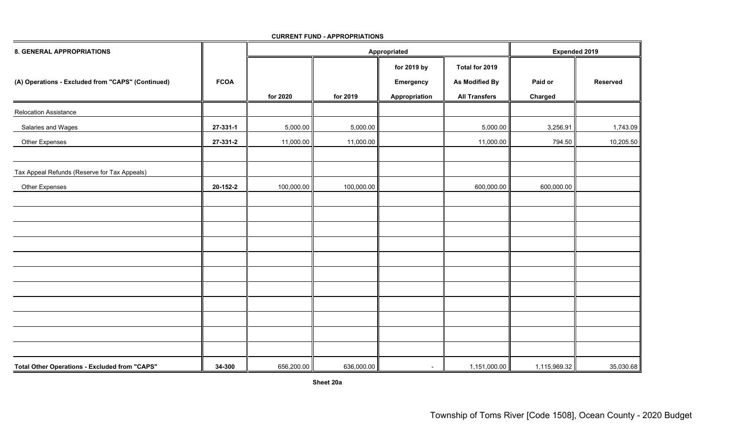| 8. GENERAL APPROPRIATIONS                         |             |            |            | Appropriated             |                                  | <b>Expended 2019</b> |                 |  |
|---------------------------------------------------|-------------|------------|------------|--------------------------|----------------------------------|----------------------|-----------------|--|
| (A) Operations - Excluded from "CAPS" (Continued) | <b>FCOA</b> |            |            | for 2019 by<br>Emergency | Total for 2019<br>As Modified By | Paid or              | <b>Reserved</b> |  |
|                                                   |             | for 2020   | for 2019   | Appropriation            | <b>All Transfers</b>             | Charged              |                 |  |
| <b>Relocation Assistance</b>                      |             |            |            |                          |                                  |                      |                 |  |
| Salaries and Wages                                | 27-331-1    | 5,000.00   | 5,000.00   |                          | 5,000.00                         | 3,256.91             | 1,743.09        |  |
| Other Expenses                                    | 27-331-2    | 11,000.00  | 11,000.00  |                          | 11,000.00                        | 794.50               | 10,205.50       |  |
| Tax Appeal Refunds (Reserve for Tax Appeals)      |             |            |            |                          |                                  |                      |                 |  |
| Other Expenses                                    | 20-152-2    | 100,000.00 | 100,000.00 |                          | 600,000.00                       | 600,000.00           |                 |  |
|                                                   |             |            |            |                          |                                  |                      |                 |  |
|                                                   |             |            |            |                          |                                  |                      |                 |  |
|                                                   |             |            |            |                          |                                  |                      |                 |  |
|                                                   |             |            |            |                          |                                  |                      |                 |  |
|                                                   |             |            |            |                          |                                  |                      |                 |  |
|                                                   |             |            |            |                          |                                  |                      |                 |  |
|                                                   |             |            |            |                          |                                  |                      |                 |  |
| Total Other Operations - Excluded from "CAPS"     | 34-300      | 656,200.00 | 636,000.00 | $\sim$                   | 1,151,000.00                     | 1,115,969.32         | 35,030.68       |  |

**CURRENT FUND - APPROPRIATIONS**

**Sheet 20a**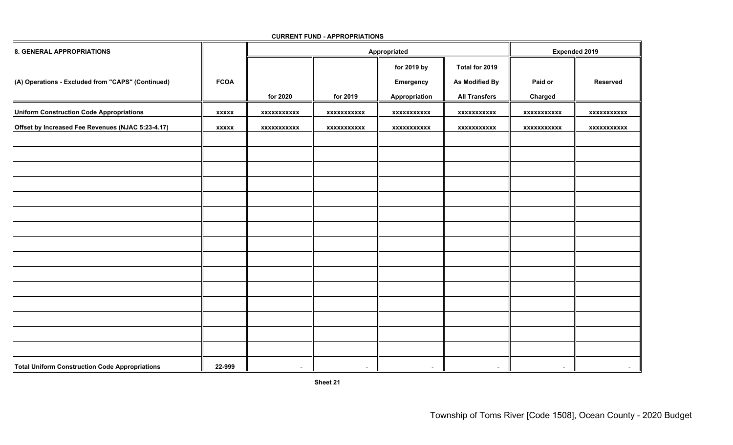| <b>8. GENERAL APPROPRIATIONS</b>                      |              |                    |                    | Appropriated  |                      | <b>Expended 2019</b> |                    |  |
|-------------------------------------------------------|--------------|--------------------|--------------------|---------------|----------------------|----------------------|--------------------|--|
|                                                       |              |                    |                    | for 2019 by   | Total for 2019       |                      |                    |  |
| (A) Operations - Excluded from "CAPS" (Continued)     | <b>FCOA</b>  |                    |                    | Emergency     | As Modified By       | Paid or              | <b>Reserved</b>    |  |
|                                                       |              | for 2020           | for 2019           | Appropriation | <b>All Transfers</b> | Charged              |                    |  |
| <b>Uniform Construction Code Appropriations</b>       | <b>XXXXX</b> | <b>XXXXXXXXXXX</b> | xxxxxxxxxxx        | xxxxxxxxxxx   | xxxxxxxxxxx          | xxxxxxxxxxx          | xxxxxxxxxxx        |  |
| Offset by Increased Fee Revenues (NJAC 5:23-4.17)     | <b>XXXXX</b> | <b>XXXXXXXXXXX</b> | <b>XXXXXXXXXXX</b> | xxxxxxxxxxx   | XXXXXXXXXXX          | <b>XXXXXXXXXXX</b>   | <b>XXXXXXXXXXX</b> |  |
|                                                       |              |                    |                    |               |                      |                      |                    |  |
|                                                       |              |                    |                    |               |                      |                      |                    |  |
|                                                       |              |                    |                    |               |                      |                      |                    |  |
|                                                       |              |                    |                    |               |                      |                      |                    |  |
|                                                       |              |                    |                    |               |                      |                      |                    |  |
|                                                       |              |                    |                    |               |                      |                      |                    |  |
|                                                       |              |                    |                    |               |                      |                      |                    |  |
|                                                       |              |                    |                    |               |                      |                      |                    |  |
|                                                       |              |                    |                    |               |                      |                      |                    |  |
|                                                       |              |                    |                    |               |                      |                      |                    |  |
|                                                       |              |                    |                    |               |                      |                      |                    |  |
|                                                       |              |                    |                    |               |                      |                      |                    |  |
|                                                       |              |                    |                    |               |                      |                      |                    |  |
|                                                       |              |                    |                    |               |                      |                      |                    |  |
|                                                       |              |                    |                    |               |                      |                      |                    |  |
| <b>Total Uniform Construction Code Appropriations</b> | 22-999       | $\sim$             |                    |               | $\sim$               | $\blacksquare$       | $\sim$             |  |

**CURRENT FUND - APPROPRIATIONS**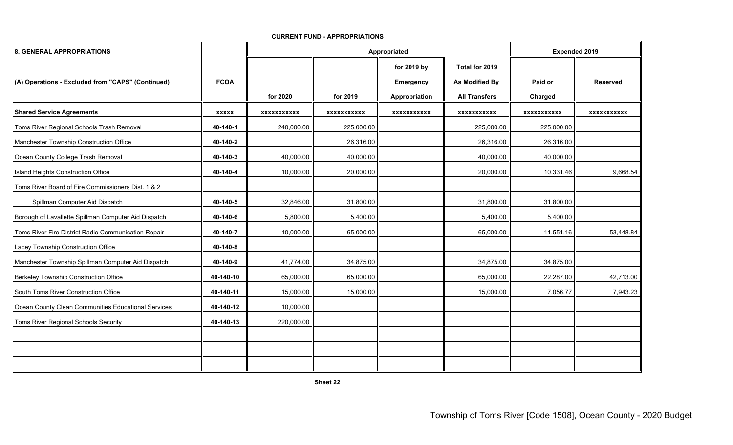| <b>8. GENERAL APPROPRIATIONS</b>                     |              |                    |                    | Appropriated                              |                                                          | <b>Expended 2019</b> |                    |  |
|------------------------------------------------------|--------------|--------------------|--------------------|-------------------------------------------|----------------------------------------------------------|----------------------|--------------------|--|
| (A) Operations - Excluded from "CAPS" (Continued)    | <b>FCOA</b>  | for 2020           | for 2019           | for 2019 by<br>Emergency<br>Appropriation | Total for 2019<br>As Modified By<br><b>All Transfers</b> | Paid or<br>Charged   | <b>Reserved</b>    |  |
| <b>Shared Service Agreements</b>                     | <b>XXXXX</b> | <b>XXXXXXXXXXX</b> | <b>XXXXXXXXXXX</b> | <b>XXXXXXXXXXX</b>                        | <b>XXXXXXXXXXX</b>                                       | <b>XXXXXXXXXXX</b>   | <b>XXXXXXXXXXX</b> |  |
| Toms River Regional Schools Trash Removal            | 40-140-1     | 240,000.00         | 225,000.00         |                                           | 225,000.00                                               | 225,000.00           |                    |  |
| Manchester Township Construction Office              | 40-140-2     |                    | 26,316.00          |                                           | 26,316.00                                                | 26,316.00            |                    |  |
| Ocean County College Trash Removal                   | 40-140-3     | 40,000.00          | 40,000.00          |                                           | 40,000.00                                                | 40,000.00            |                    |  |
| Island Heights Construction Office                   | 40-140-4     | 10,000.00          | 20,000.00          |                                           | 20,000.00                                                | 10,331.46            | 9,668.54           |  |
| Toms River Board of Fire Commissioners Dist. 1 & 2   |              |                    |                    |                                           |                                                          |                      |                    |  |
| Spillman Computer Aid Dispatch                       | 40-140-5     | 32,846.00          | 31,800.00          |                                           | 31,800.00                                                | 31,800.00            |                    |  |
| Borough of Lavallette Spillman Computer Aid Dispatch | 40-140-6     | 5,800.00           | 5,400.00           |                                           | 5,400.00                                                 | 5,400.00             |                    |  |
| Toms River Fire District Radio Communication Repair  | 40-140-7     | 10,000.00          | 65,000.00          |                                           | 65,000.00                                                | 11,551.16            | 53,448.84          |  |
| Lacey Township Construction Office                   | 40-140-8     |                    |                    |                                           |                                                          |                      |                    |  |
| Manchester Township Spillman Computer Aid Dispatch   | 40-140-9     | 41,774.00          | 34,875.00          |                                           | 34,875.00                                                | 34,875.00            |                    |  |
| Berkeley Township Construction Office                | 40-140-10    | 65,000.00          | 65,000.00          |                                           | 65,000.00                                                | 22,287.00            | 42,713.00          |  |
| South Toms River Construction Office                 | 40-140-11    | 15,000.00          | 15,000.00          |                                           | 15,000.00                                                | 7,056.77             | 7,943.23           |  |
| Ocean County Clean Communities Educational Services  | 40-140-12    | 10,000.00          |                    |                                           |                                                          |                      |                    |  |
| Toms River Regional Schools Security                 | 40-140-13    | 220,000.00         |                    |                                           |                                                          |                      |                    |  |
|                                                      |              |                    |                    |                                           |                                                          |                      |                    |  |
|                                                      |              |                    |                    |                                           |                                                          |                      |                    |  |
|                                                      |              |                    |                    |                                           |                                                          |                      |                    |  |

**CURRENT FUND - APPROPRIATIONS**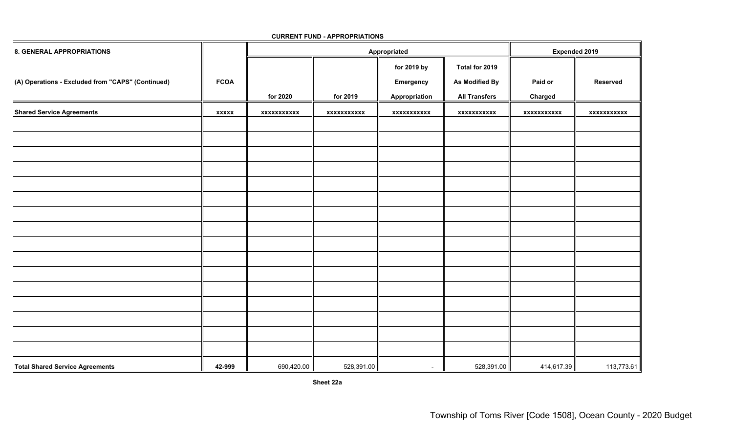| 8. GENERAL APPROPRIATIONS                         |              |                    |                    | Appropriated  |                      | <b>Expended 2019</b> |                 |
|---------------------------------------------------|--------------|--------------------|--------------------|---------------|----------------------|----------------------|-----------------|
|                                                   |              |                    |                    | for 2019 by   | Total for 2019       |                      |                 |
| (A) Operations - Excluded from "CAPS" (Continued) | <b>FCOA</b>  |                    |                    | Emergency     | As Modified By       | Paid or              | <b>Reserved</b> |
|                                                   |              | for 2020           | for 2019           | Appropriation | <b>All Transfers</b> | Charged              |                 |
| <b>Shared Service Agreements</b>                  | <b>XXXXX</b> | <b>XXXXXXXXXXX</b> | <b>XXXXXXXXXXX</b> | xxxxxxxxxxx   | <b>XXXXXXXXXXX</b>   | xxxxxxxxxxx          | xxxxxxxxxxx     |
|                                                   |              |                    |                    |               |                      |                      |                 |
|                                                   |              |                    |                    |               |                      |                      |                 |
|                                                   |              |                    |                    |               |                      |                      |                 |
|                                                   |              |                    |                    |               |                      |                      |                 |
|                                                   |              |                    |                    |               |                      |                      |                 |
|                                                   |              |                    |                    |               |                      |                      |                 |
|                                                   |              |                    |                    |               |                      |                      |                 |
|                                                   |              |                    |                    |               |                      |                      |                 |
|                                                   |              |                    |                    |               |                      |                      |                 |
|                                                   |              |                    |                    |               |                      |                      |                 |
|                                                   |              |                    |                    |               |                      |                      |                 |
|                                                   |              |                    |                    |               |                      |                      |                 |
|                                                   |              |                    |                    |               |                      |                      |                 |
|                                                   |              |                    |                    |               |                      |                      |                 |
|                                                   |              |                    |                    |               |                      |                      |                 |
|                                                   |              |                    |                    |               |                      |                      |                 |
| <b>Total Shared Service Agreements</b>            | 42-999       | 690,420.00         | 528,391.00         | $\sim$        | 528,391.00           | 414,617.39           | 113,773.61      |

**CURRENT FUND - APPROPRIATIONS**

**Sheet 22a**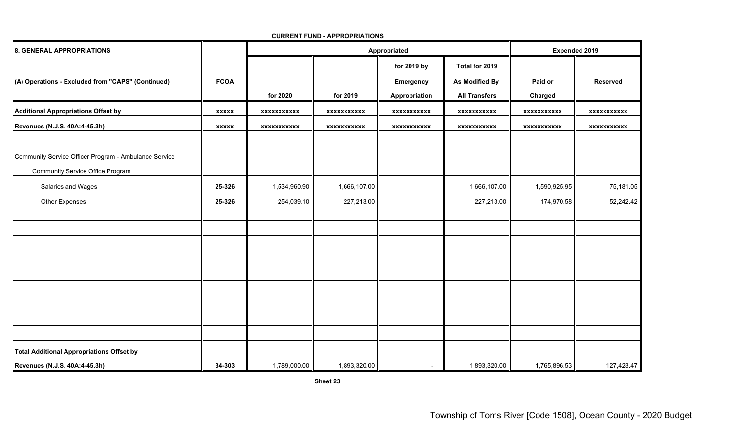| <b>8. GENERAL APPROPRIATIONS</b>                      |              |                    |                    | Appropriated                              |                                                          | <b>Expended 2019</b> |                    |
|-------------------------------------------------------|--------------|--------------------|--------------------|-------------------------------------------|----------------------------------------------------------|----------------------|--------------------|
| (A) Operations - Excluded from "CAPS" (Continued)     | <b>FCOA</b>  | for 2020           | for 2019           | for 2019 by<br>Emergency<br>Appropriation | Total for 2019<br>As Modified By<br><b>All Transfers</b> | Paid or<br>Charged   | <b>Reserved</b>    |
| <b>Additional Appropriations Offset by</b>            | <b>XXXXX</b> | <b>XXXXXXXXXXX</b> | <b>XXXXXXXXXXX</b> | <b>XXXXXXXXXXX</b>                        | <b>XXXXXXXXXXX</b>                                       | XXXXXXXXXXX          | <b>XXXXXXXXXXX</b> |
| Revenues (N.J.S. 40A:4-45.3h)                         | <b>XXXXX</b> | <b>XXXXXXXXXXX</b> | <b>XXXXXXXXXXX</b> | <b>XXXXXXXXXXX</b>                        | <b>XXXXXXXXXXX</b>                                       | <b>XXXXXXXXXXX</b>   | <b>XXXXXXXXXXX</b> |
| Community Service Officer Program - Ambulance Service |              |                    |                    |                                           |                                                          |                      |                    |
| Community Service Office Program                      |              |                    |                    |                                           |                                                          |                      |                    |
| Salaries and Wages                                    | 25-326       | 1,534,960.90       | 1,666,107.00       |                                           | 1,666,107.00                                             | 1,590,925.95         | 75,181.05          |
| Other Expenses                                        | 25-326       | 254,039.10         | 227,213.00         |                                           | 227,213.00                                               | 174,970.58           | 52,242.42          |
|                                                       |              |                    |                    |                                           |                                                          |                      |                    |
|                                                       |              |                    |                    |                                           |                                                          |                      |                    |
|                                                       |              |                    |                    |                                           |                                                          |                      |                    |
|                                                       |              |                    |                    |                                           |                                                          |                      |                    |
|                                                       |              |                    |                    |                                           |                                                          |                      |                    |
|                                                       |              |                    |                    |                                           |                                                          |                      |                    |
|                                                       |              |                    |                    |                                           |                                                          |                      |                    |
| <b>Total Additional Appropriations Offset by</b>      |              |                    |                    |                                           |                                                          |                      |                    |
| Revenues (N.J.S. 40A:4-45.3h)                         | 34-303       | 1,789,000.00       | 1,893,320.00       |                                           | 1,893,320.00                                             | 1,765,896.53         | 127,423.47         |

**CURRENT FUND - APPROPRIATIONS**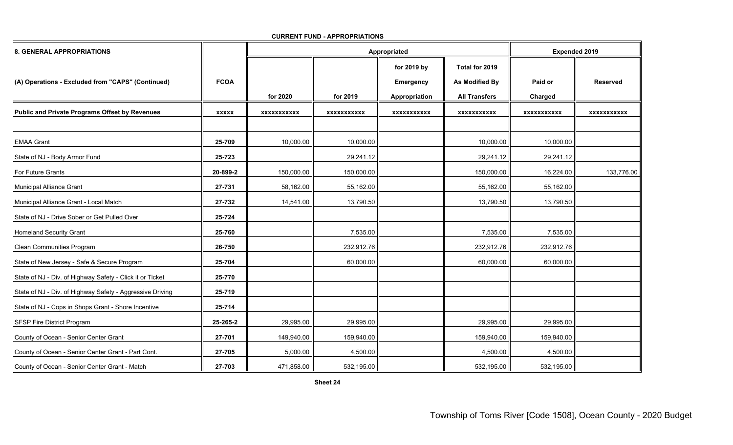| <b>8. GENERAL APPROPRIATIONS</b>                          |              |                    |                    | Appropriated                              |                                                          | <b>Expended 2019</b> |                    |
|-----------------------------------------------------------|--------------|--------------------|--------------------|-------------------------------------------|----------------------------------------------------------|----------------------|--------------------|
| (A) Operations - Excluded from "CAPS" (Continued)         | <b>FCOA</b>  | for 2020           | for 2019           | for 2019 by<br>Emergency<br>Appropriation | Total for 2019<br>As Modified By<br><b>All Transfers</b> | Paid or<br>Charged   | <b>Reserved</b>    |
| <b>Public and Private Programs Offset by Revenues</b>     | <b>XXXXX</b> | <b>XXXXXXXXXXX</b> | <b>XXXXXXXXXXX</b> | <b>XXXXXXXXXXX</b>                        | <b>XXXXXXXXXXX</b>                                       | <b>XXXXXXXXXXX</b>   | <b>XXXXXXXXXXX</b> |
|                                                           |              |                    |                    |                                           |                                                          |                      |                    |
| <b>EMAA Grant</b>                                         | 25-709       | 10,000.00          | 10,000.00          |                                           | 10,000.00                                                | 10,000.00            |                    |
| State of NJ - Body Armor Fund                             | 25-723       |                    | 29,241.12          |                                           | 29,241.12                                                | 29,241.12            |                    |
| For Future Grants                                         | 20-899-2     | 150,000.00         | 150,000.00         |                                           | 150,000.00                                               | 16,224.00            | 133,776.00         |
| <b>Municipal Alliance Grant</b>                           | 27-731       | 58,162.00          | 55,162.00          |                                           | 55,162.00                                                | 55,162.00            |                    |
| Municipal Alliance Grant - Local Match                    | 27-732       | 14,541.00          | 13,790.50          |                                           | 13,790.50                                                | 13,790.50            |                    |
| State of NJ - Drive Sober or Get Pulled Over              | 25-724       |                    |                    |                                           |                                                          |                      |                    |
| <b>Homeland Security Grant</b>                            | 25-760       |                    | 7,535.00           |                                           | 7,535.00                                                 | 7,535.00             |                    |
| Clean Communities Program                                 | 26-750       |                    | 232,912.76         |                                           | 232,912.76                                               | 232,912.76           |                    |
| State of New Jersey - Safe & Secure Program               | 25-704       |                    | 60,000.00          |                                           | 60,000.00                                                | 60,000.00            |                    |
| State of NJ - Div. of Highway Safety - Click it or Ticket | 25-770       |                    |                    |                                           |                                                          |                      |                    |
| State of NJ - Div. of Highway Safety - Aggressive Driving | 25-719       |                    |                    |                                           |                                                          |                      |                    |
| State of NJ - Cops in Shops Grant - Shore Incentive       | 25-714       |                    |                    |                                           |                                                          |                      |                    |
| SFSP Fire District Program                                | 25-265-2     | 29,995.00          | 29,995.00          |                                           | 29,995.00                                                | 29,995.00            |                    |
| County of Ocean - Senior Center Grant                     | 27-701       | 149,940.00         | 159,940.00         |                                           | 159,940.00                                               | 159,940.00           |                    |
| County of Ocean - Senior Center Grant - Part Cont.        | 27-705       | 5,000.00           | 4,500.00           |                                           | 4,500.00                                                 | 4,500.00             |                    |
| County of Ocean - Senior Center Grant - Match             | 27-703       | 471,858.00         | 532,195.00         |                                           | 532,195.00                                               | 532,195.00           |                    |

**CURRENT FUND - APPROPRIATIONS**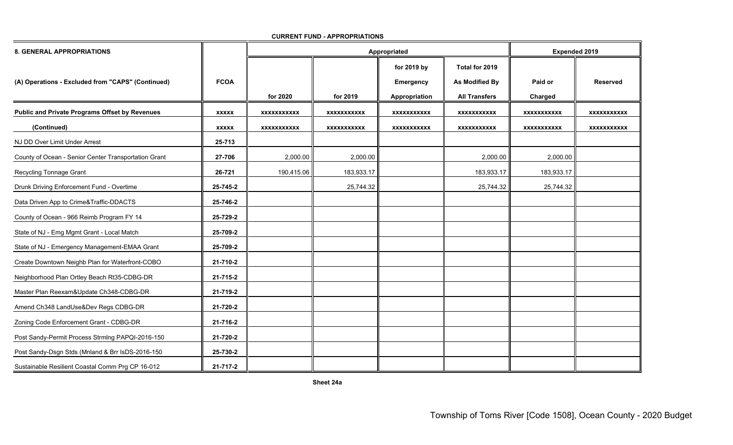| <b>8. GENERAL APPROPRIATIONS</b>                      |              |                    |                    | Appropriated                                     |                                                          | <b>Expended 2019</b> |                    |
|-------------------------------------------------------|--------------|--------------------|--------------------|--------------------------------------------------|----------------------------------------------------------|----------------------|--------------------|
| (A) Operations - Excluded from "CAPS" (Continued)     | <b>FCOA</b>  | for 2020           | for 2019           | for 2019 by<br><b>Emergency</b><br>Appropriation | Total for 2019<br>As Modified By<br><b>All Transfers</b> | Paid or<br>Charged   | <b>Reserved</b>    |
| <b>Public and Private Programs Offset by Revenues</b> | <b>XXXXX</b> | <b>XXXXXXXXXXX</b> | <b>XXXXXXXXXXX</b> | XXXXXXXXXXX                                      | <b>XXXXXXXXXXX</b>                                       | <b>XXXXXXXXXXX</b>   | XXXXXXXXXX         |
| (Continued)                                           | <b>XXXXX</b> | XXXXXXXXXX         | <b>XXXXXXXXXXX</b> | <b>XXXXXXXXXXX</b>                               | <b>XXXXXXXXXXX</b>                                       | <b>XXXXXXXXXXX</b>   | <b>XXXXXXXXXXX</b> |
| NJ DD Over Limit Under Arrest                         | 25-713       |                    |                    |                                                  |                                                          |                      |                    |
| County of Ocean - Senior Center Transportation Grant  | 27-706       | 2,000.00           | 2,000.00           |                                                  | 2,000.00                                                 | 2,000.00             |                    |
| <b>Recycling Tonnage Grant</b>                        | 26-721       | 190,415.06         | 183,933.17         |                                                  | 183,933.17                                               | 183,933.17           |                    |
| Drunk Driving Enforcement Fund - Overtime             | 25-745-2     |                    | 25,744.32          |                                                  | 25,744.32                                                | 25,744.32            |                    |
| Data Driven App to Crime&Traffic-DDACTS               | 25-746-2     |                    |                    |                                                  |                                                          |                      |                    |
| County of Ocean - 966 Reimb Program FY 14             | 25-729-2     |                    |                    |                                                  |                                                          |                      |                    |
| State of NJ - Emg Mgmt Grant - Local Match            | 25-709-2     |                    |                    |                                                  |                                                          |                      |                    |
| State of NJ - Emergency Management-EMAA Grant         | 25-709-2     |                    |                    |                                                  |                                                          |                      |                    |
| Create Downtown Neighb Plan for Waterfront-COBO       | 21-710-2     |                    |                    |                                                  |                                                          |                      |                    |
| Neighborhood Plan Ortley Beach Rt35-CDBG-DR           | 21-715-2     |                    |                    |                                                  |                                                          |                      |                    |
| Master Plan Reexam&Update Ch348-CDBG-DR               | 21-719-2     |                    |                    |                                                  |                                                          |                      |                    |
| Amend Ch348 LandUse&Dev Regs CDBG-DR                  | 21-720-2     |                    |                    |                                                  |                                                          |                      |                    |
| Zoning Code Enforcement Grant - CDBG-DR               | 21-716-2     |                    |                    |                                                  |                                                          |                      |                    |
| Post Sandy-Permit Process StrmIng PAPQI-2016-150      | 21-720-2     |                    |                    |                                                  |                                                          |                      |                    |
| Post Sandy-Dsgn Stds (Mnland & Brr IsDS-2016-150      | 25-730-2     |                    |                    |                                                  |                                                          |                      |                    |
| Sustainable Resilient Coastal Comm Prg CP 16-012      | 21-717-2     |                    |                    |                                                  |                                                          |                      |                    |

**CURRENT FUND - APPROPRIATIONS**

**Sheet 24a**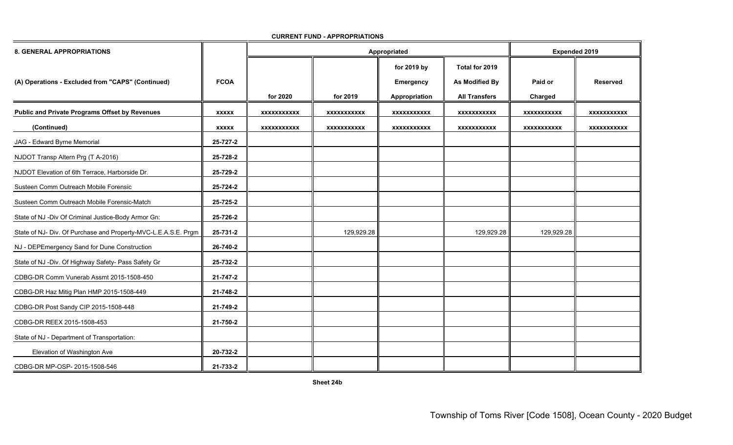| <b>8. GENERAL APPROPRIATIONS</b>                               |              |                    |                    | Appropriated             |                                         | <b>Expended 2019</b> |                    |
|----------------------------------------------------------------|--------------|--------------------|--------------------|--------------------------|-----------------------------------------|----------------------|--------------------|
| (A) Operations - Excluded from "CAPS" (Continued)              | <b>FCOA</b>  |                    |                    | for 2019 by<br>Emergency | Total for 2019<br><b>As Modified By</b> | Paid or              | <b>Reserved</b>    |
|                                                                |              | for 2020           | for 2019           | Appropriation            | <b>All Transfers</b>                    | Charged              |                    |
| <b>Public and Private Programs Offset by Revenues</b>          | <b>XXXXX</b> | <b>XXXXXXXXXXX</b> | <b>XXXXXXXXXXX</b> | XXXXXXXXXX               | <b>XXXXXXXXXXX</b>                      | <b>XXXXXXXXXXX</b>   | <b>XXXXXXXXXXX</b> |
| (Continued)                                                    | <b>XXXXX</b> | <b>XXXXXXXXXXX</b> | <b>XXXXXXXXXXX</b> | <b>XXXXXXXXXXX</b>       | <b>XXXXXXXXXXX</b>                      | <b>XXXXXXXXXXX</b>   | <b>XXXXXXXXXXX</b> |
| JAG - Edward Byrne Memorial                                    | 25-727-2     |                    |                    |                          |                                         |                      |                    |
| NJDOT Transp Altern Prg (T A-2016)                             | 25-728-2     |                    |                    |                          |                                         |                      |                    |
| NJDOT Elevation of 6th Terrace, Harborside Dr.                 | 25-729-2     |                    |                    |                          |                                         |                      |                    |
| Susteen Comm Outreach Mobile Forensic                          | 25-724-2     |                    |                    |                          |                                         |                      |                    |
| Susteen Comm Outreach Mobile Forensic-Match                    | 25-725-2     |                    |                    |                          |                                         |                      |                    |
| State of NJ -Div Of Criminal Justice-Body Armor Gn:            | 25-726-2     |                    |                    |                          |                                         |                      |                    |
| State of NJ- Div. Of Purchase and Property-MVC-L.E.A.S.E. Prgm | 25-731-2     |                    | 129,929.28         |                          | 129,929.28                              | 129,929.28           |                    |
| NJ - DEPEmergency Sand for Dune Construction                   | 26-740-2     |                    |                    |                          |                                         |                      |                    |
| State of NJ -Div. Of Highway Safety- Pass Safety Gr            | 25-732-2     |                    |                    |                          |                                         |                      |                    |
| CDBG-DR Comm Vunerab Assmt 2015-1508-450                       | 21-747-2     |                    |                    |                          |                                         |                      |                    |
| CDBG-DR Haz Mitig Plan HMP 2015-1508-449                       | 21-748-2     |                    |                    |                          |                                         |                      |                    |
| CDBG-DR Post Sandy CIP 2015-1508-448                           | 21-749-2     |                    |                    |                          |                                         |                      |                    |
| CDBG-DR REEX 2015-1508-453                                     | 21-750-2     |                    |                    |                          |                                         |                      |                    |
| State of NJ - Department of Transportation:                    |              |                    |                    |                          |                                         |                      |                    |
| Elevation of Washington Ave                                    | 20-732-2     |                    |                    |                          |                                         |                      |                    |
| CDBG-DR MP-OSP- 2015-1508-546                                  | 21-733-2     |                    |                    |                          |                                         |                      |                    |

**CURRENT FUND - APPROPRIATIONS**

**Sheet 24b**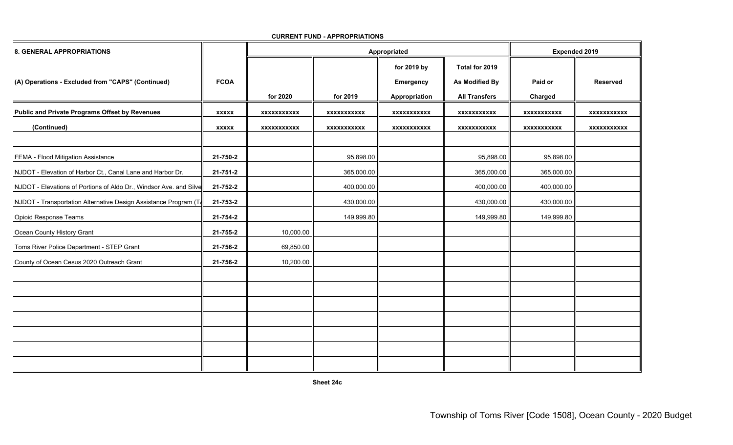|                                                                                |                    |                         |                                 |                                                     | <b>Expended 2019</b>                       |                               |
|--------------------------------------------------------------------------------|--------------------|-------------------------|---------------------------------|-----------------------------------------------------|--------------------------------------------|-------------------------------|
| <b>FCOA</b>                                                                    |                    |                         | for 2019 by<br><b>Emergency</b> | Total for 2019<br>As Modified By                    | Paid or                                    | <b>Reserved</b>               |
|                                                                                |                    |                         |                                 |                                                     |                                            | <b>XXXXXXXXXXX</b>            |
| <b>XXXXX</b>                                                                   | <b>XXXXXXXXXXX</b> | <b>XXXXXXXXXXX</b>      | xxxxxxxxxxx                     | <b>XXXXXXXXXXX</b>                                  | <b>XXXXXXXXXXX</b>                         | <b>XXXXXXXXXXX</b>            |
|                                                                                |                    |                         |                                 |                                                     |                                            |                               |
| 21-750-2                                                                       |                    | 95,898.00               |                                 | 95,898.00                                           | 95,898.00                                  |                               |
| 21-751-2                                                                       |                    | 365,000.00              |                                 | 365,000.00                                          | 365,000.00                                 |                               |
| NJDOT - Elevations of Portions of Aldo Dr., Windsor Ave. and Silve<br>21-752-2 |                    | 400,000.00              |                                 | 400,000.00                                          | 400,000.00                                 |                               |
| NJDOT - Transportation Alternative Design Assistance Program (T/<br>21-753-2   |                    | 430,000.00              |                                 | 430,000.00                                          | 430,000.00                                 |                               |
| 21-754-2                                                                       |                    | 149,999.80              |                                 | 149,999.80                                          | 149,999.80                                 |                               |
| 21-755-2                                                                       | 10,000.00          |                         |                                 |                                                     |                                            |                               |
| 21-756-2                                                                       | 69,850.00          |                         |                                 |                                                     |                                            |                               |
| 21-756-2                                                                       | 10,200.00          |                         |                                 |                                                     |                                            |                               |
|                                                                                |                    |                         |                                 |                                                     |                                            |                               |
|                                                                                |                    |                         |                                 |                                                     |                                            |                               |
|                                                                                |                    |                         |                                 |                                                     |                                            |                               |
|                                                                                |                    |                         |                                 |                                                     |                                            |                               |
|                                                                                |                    |                         |                                 |                                                     |                                            |                               |
|                                                                                |                    |                         |                                 |                                                     |                                            |                               |
|                                                                                |                    |                         |                                 |                                                     |                                            |                               |
|                                                                                | <b>XXXXX</b>       | for 2020<br>xxxxxxxxxxx | for 2019<br><b>XXXXXXXXXXX</b>  | Appropriated<br>Appropriation<br><b>XXXXXXXXXXX</b> | <b>All Transfers</b><br><b>XXXXXXXXXXX</b> | Charged<br><b>XXXXXXXXXXX</b> |

**CURRENT FUND - APPROPRIATIONS**

**Sheet 24c**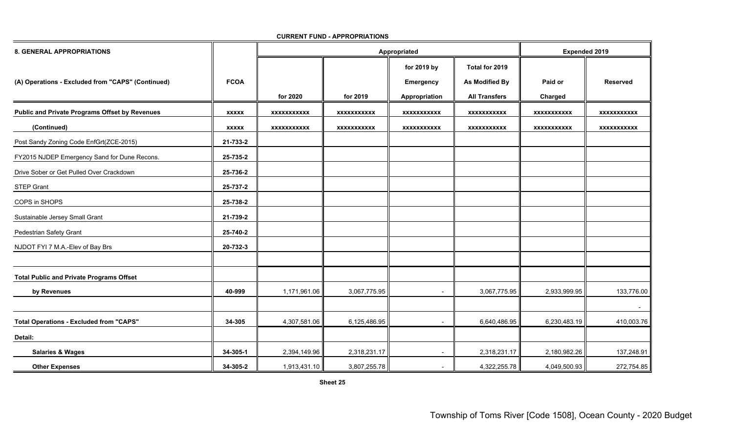| <b>8. GENERAL APPROPRIATIONS</b>                      |              |                    |                    | Appropriated             |                       | <b>Expended 2019</b> |                      |
|-------------------------------------------------------|--------------|--------------------|--------------------|--------------------------|-----------------------|----------------------|----------------------|
|                                                       |              |                    |                    | for 2019 by              | Total for 2019        |                      |                      |
| (A) Operations - Excluded from "CAPS" (Continued)     | <b>FCOA</b>  |                    |                    | <b>Emergency</b>         | <b>As Modified By</b> | Paid or              | <b>Reserved</b>      |
|                                                       |              | for 2020           | for 2019           | Appropriation            | <b>All Transfers</b>  | Charged              |                      |
| <b>Public and Private Programs Offset by Revenues</b> | <b>XXXXX</b> | XXXXXXXXXXX        | XXXXXXXXXXX        | <b>XXXXXXXXXXX</b>       | <b>XXXXXXXXXXX</b>    | <b>XXXXXXXXXXX</b>   | <b>XXXXXXXXXXX</b>   |
| (Continued)                                           | <b>XXXXX</b> | <b>XXXXXXXXXXX</b> | <b>XXXXXXXXXXX</b> | <b>XXXXXXXXXXX</b>       | <b>XXXXXXXXXXX</b>    | <b>XXXXXXXXXXX</b>   | XXXXXXXXXX           |
| Post Sandy Zoning Code EnfGrt(ZCE-2015)               | 21-733-2     |                    |                    |                          |                       |                      |                      |
| FY2015 NJDEP Emergency Sand for Dune Recons.          | 25-735-2     |                    |                    |                          |                       |                      |                      |
| Drive Sober or Get Pulled Over Crackdown              | 25-736-2     |                    |                    |                          |                       |                      |                      |
| <b>STEP Grant</b>                                     | 25-737-2     |                    |                    |                          |                       |                      |                      |
| COPS in SHOPS                                         | 25-738-2     |                    |                    |                          |                       |                      |                      |
| Sustainable Jersey Small Grant                        | 21-739-2     |                    |                    |                          |                       |                      |                      |
| Pedestrian Safety Grant                               | 25-740-2     |                    |                    |                          |                       |                      |                      |
| NJDOT FYI 7 M.A.-Elev of Bay Brs                      | 20-732-3     |                    |                    |                          |                       |                      |                      |
| <b>Total Public and Private Programs Offset</b>       |              |                    |                    |                          |                       |                      |                      |
| by Revenues                                           | 40-999       | 1,171,961.06       | 3,067,775.95       | $\overline{\phantom{a}}$ | 3,067,775.95          | 2,933,999.95         | 133,776.00           |
| <b>Total Operations - Excluded from "CAPS"</b>        | 34-305       | 4,307,581.06       | 6,125,486.95       | $\sim$                   | 6,640,486.95          | 6,230,483.19         | $\sim$<br>410,003.76 |
| Detail:                                               |              |                    |                    |                          |                       |                      |                      |
| <b>Salaries &amp; Wages</b>                           | 34-305-1     | 2,394,149.96       | 2,318,231.17       | $\blacksquare$           | 2,318,231.17          | 2,180,982.26         | 137,248.91           |
| <b>Other Expenses</b>                                 | 34-305-2     | 1,913,431.10       | 3,807,255.78       | $\blacksquare$           | 4,322,255.78          | 4,049,500.93         | 272,754.85           |

**CURRENT FUND - APPROPRIATIONS**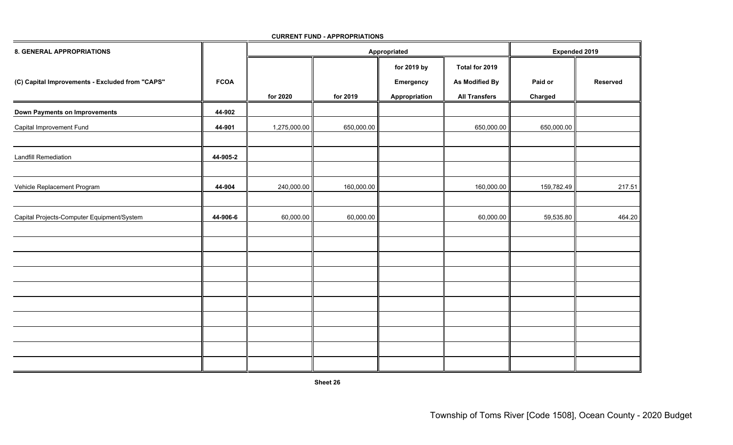| <b>8. GENERAL APPROPRIATIONS</b>                |             | Appropriated |            |               |                      | <b>Expended 2019</b> |          |
|-------------------------------------------------|-------------|--------------|------------|---------------|----------------------|----------------------|----------|
|                                                 |             |              |            | for 2019 by   | Total for 2019       |                      |          |
| (C) Capital Improvements - Excluded from "CAPS" | <b>FCOA</b> |              |            | Emergency     | As Modified By       | Paid or              | Reserved |
|                                                 |             | for 2020     | for 2019   | Appropriation | <b>All Transfers</b> | Charged              |          |
| <b>Down Payments on Improvements</b>            | 44-902      |              |            |               |                      |                      |          |
| Capital Improvement Fund                        | 44-901      | 1,275,000.00 | 650,000.00 |               | 650,000.00           | 650,000.00           |          |
|                                                 |             |              |            |               |                      |                      |          |
| <b>Landfill Remediation</b>                     | 44-905-2    |              |            |               |                      |                      |          |
|                                                 |             |              |            |               |                      |                      |          |
| Vehicle Replacement Program                     | 44-904      | 240,000.00   | 160,000.00 |               | 160,000.00           | 159,782.49           | 217.51   |
|                                                 |             |              |            |               |                      |                      |          |
| Capital Projects-Computer Equipment/System      | 44-906-6    | 60,000.00    | 60,000.00  |               | 60,000.00            | 59,535.80            | 464.20   |
|                                                 |             |              |            |               |                      |                      |          |
|                                                 |             |              |            |               |                      |                      |          |
|                                                 |             |              |            |               |                      |                      |          |
|                                                 |             |              |            |               |                      |                      |          |
|                                                 |             |              |            |               |                      |                      |          |
|                                                 |             |              |            |               |                      |                      |          |
|                                                 |             |              |            |               |                      |                      |          |
|                                                 |             |              |            |               |                      |                      |          |
|                                                 |             |              |            |               |                      |                      |          |
|                                                 |             |              |            |               |                      |                      |          |

**CURRENT FUND - APPROPRIATIONS**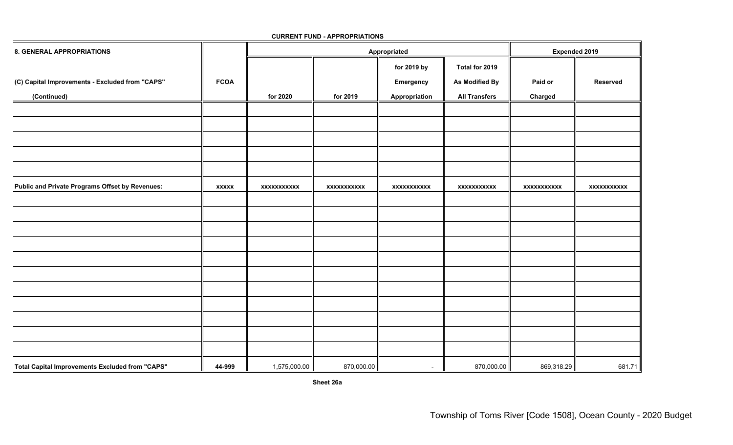| 8. GENERAL APPROPRIATIONS                              |              |                    | Appropriated |                    | <b>Expended 2019</b> |                    |                    |
|--------------------------------------------------------|--------------|--------------------|--------------|--------------------|----------------------|--------------------|--------------------|
|                                                        |              |                    |              | for 2019 by        | Total for 2019       |                    |                    |
| (C) Capital Improvements - Excluded from "CAPS"        | <b>FCOA</b>  |                    |              | Emergency          | As Modified By       | Paid or            | <b>Reserved</b>    |
| (Continued)                                            |              | for 2020           | for 2019     | Appropriation      | <b>All Transfers</b> | Charged            |                    |
|                                                        |              |                    |              |                    |                      |                    |                    |
|                                                        |              |                    |              |                    |                      |                    |                    |
|                                                        |              |                    |              |                    |                      |                    |                    |
|                                                        |              |                    |              |                    |                      |                    |                    |
|                                                        |              |                    |              |                    |                      |                    |                    |
| Public and Private Programs Offset by Revenues:        | <b>XXXXX</b> | <b>XXXXXXXXXXX</b> | xxxxxxxxxxx  | <b>XXXXXXXXXXX</b> | <b>XXXXXXXXXXX</b>   | <b>XXXXXXXXXXX</b> | <b>XXXXXXXXXXX</b> |
|                                                        |              |                    |              |                    |                      |                    |                    |
|                                                        |              |                    |              |                    |                      |                    |                    |
|                                                        |              |                    |              |                    |                      |                    |                    |
|                                                        |              |                    |              |                    |                      |                    |                    |
|                                                        |              |                    |              |                    |                      |                    |                    |
|                                                        |              |                    |              |                    |                      |                    |                    |
|                                                        |              |                    |              |                    |                      |                    |                    |
|                                                        |              |                    |              |                    |                      |                    |                    |
|                                                        |              |                    |              |                    |                      |                    |                    |
|                                                        |              |                    |              |                    |                      |                    |                    |
|                                                        |              |                    |              |                    |                      |                    |                    |
| <b>Total Capital Improvements Excluded from "CAPS"</b> | 44-999       | 1,575,000.00       | 870,000.00   | $\sim$             | 870,000.00           | 869,318.29         | 681.71             |

**CURRENT FUND - APPROPRIATIONS**

**Sheet 26a**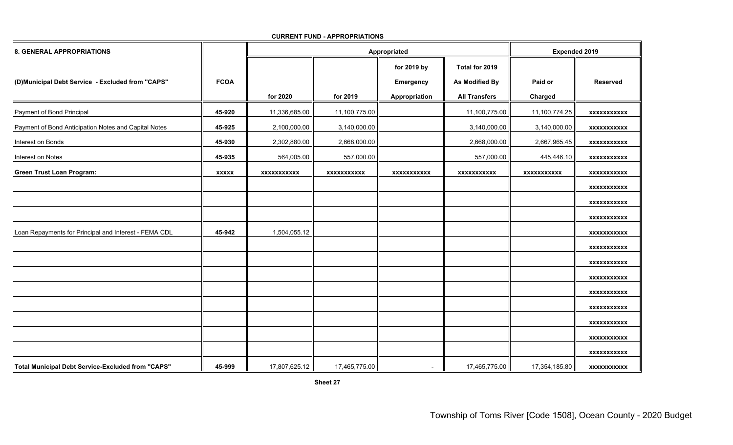| <b>8. GENERAL APPROPRIATIONS</b>                      |              |                    | Appropriated  |                                           | <b>Expended 2019</b>                                     |                    |                    |
|-------------------------------------------------------|--------------|--------------------|---------------|-------------------------------------------|----------------------------------------------------------|--------------------|--------------------|
| (D)Municipal Debt Service - Excluded from "CAPS"      | <b>FCOA</b>  | for 2020           | for 2019      | for 2019 by<br>Emergency<br>Appropriation | Total for 2019<br>As Modified By<br><b>All Transfers</b> | Paid or<br>Charged | <b>Reserved</b>    |
| Payment of Bond Principal                             | 45-920       | 11,336,685.00      | 11,100,775.00 |                                           | 11,100,775.00                                            | 11,100,774.25      | <b>XXXXXXXXXXX</b> |
| Payment of Bond Anticipation Notes and Capital Notes  | 45-925       | 2,100,000.00       | 3,140,000.00  |                                           | 3,140,000.00                                             | 3,140,000.00       | <b>XXXXXXXXXXX</b> |
| Interest on Bonds                                     | 45-930       | 2,302,880.00       | 2,668,000.00  |                                           | 2,668,000.00                                             | 2,667,965.45       | <b>XXXXXXXXXXX</b> |
| Interest on Notes                                     | 45-935       | 564,005.00         | 557,000.00    |                                           | 557,000.00                                               | 445,446.10         | <b>XXXXXXXXXXX</b> |
| <b>Green Trust Loan Program:</b>                      | <b>XXXXX</b> | <b>XXXXXXXXXXX</b> | XXXXXXXXXX    | <b>XXXXXXXXXXX</b>                        | <b>XXXXXXXXXXX</b>                                       | xxxxxxxxxxx        | <b>XXXXXXXXXXX</b> |
|                                                       |              |                    |               |                                           |                                                          |                    | <b>XXXXXXXXXXX</b> |
|                                                       |              |                    |               |                                           |                                                          |                    | <b>XXXXXXXXXXX</b> |
|                                                       |              |                    |               |                                           |                                                          |                    | <b>XXXXXXXXXXX</b> |
| Loan Repayments for Principal and Interest - FEMA CDL | 45-942       | 1,504,055.12       |               |                                           |                                                          |                    | xxxxxxxxxxx        |
|                                                       |              |                    |               |                                           |                                                          |                    | <b>XXXXXXXXXXX</b> |
|                                                       |              |                    |               |                                           |                                                          |                    | <b>XXXXXXXXXXX</b> |
|                                                       |              |                    |               |                                           |                                                          |                    | <b>XXXXXXXXXXX</b> |
|                                                       |              |                    |               |                                           |                                                          |                    | <b>XXXXXXXXXXX</b> |
|                                                       |              |                    |               |                                           |                                                          |                    | xxxxxxxxxxx        |
|                                                       |              |                    |               |                                           |                                                          |                    | <b>XXXXXXXXXXX</b> |
|                                                       |              |                    |               |                                           |                                                          |                    | XXXXXXXXXXX        |
|                                                       |              |                    |               |                                           |                                                          |                    | <b>XXXXXXXXXXX</b> |
| Total Municipal Debt Service-Excluded from "CAPS"     | 45-999       | 17,807,625.12      | 17,465,775.00 |                                           | 17,465,775.00                                            | 17,354,185.80      | <b>XXXXXXXXXXX</b> |

**CURRENT FUND - APPROPRIATIONS**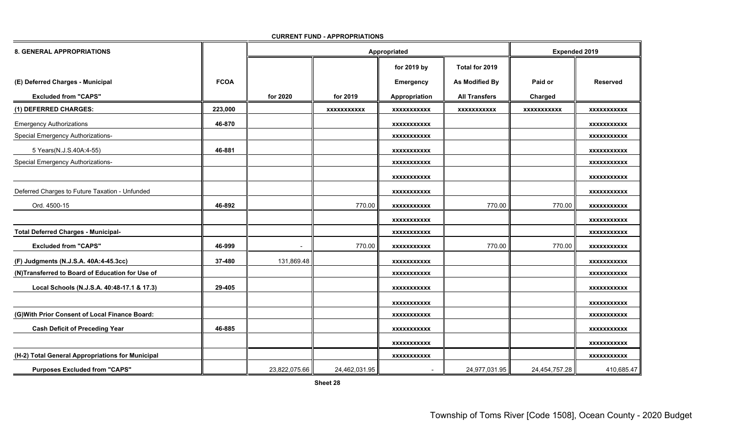| <b>8. GENERAL APPROPRIATIONS</b>                 |             |               | Appropriated       |                    | <b>Expended 2019</b> |                    |                    |
|--------------------------------------------------|-------------|---------------|--------------------|--------------------|----------------------|--------------------|--------------------|
|                                                  |             |               |                    | for 2019 by        | Total for 2019       |                    |                    |
| (E) Deferred Charges - Municipal                 | <b>FCOA</b> |               |                    | <b>Emergency</b>   | As Modified By       | Paid or            | <b>Reserved</b>    |
| <b>Excluded from "CAPS"</b>                      |             | for 2020      | for 2019           | Appropriation      | <b>All Transfers</b> | Charged            |                    |
| (1) DEFERRED CHARGES:                            | 223,000     |               | <b>XXXXXXXXXXX</b> | <b>XXXXXXXXXXX</b> | <b>XXXXXXXXXXX</b>   | <b>XXXXXXXXXXX</b> | <b>XXXXXXXXXXX</b> |
| <b>Emergency Authorizations</b>                  | 46-870      |               |                    | <b>XXXXXXXXXXX</b> |                      |                    | <b>XXXXXXXXXXX</b> |
| Special Emergency Authorizations-                |             |               |                    | <b>XXXXXXXXXXX</b> |                      |                    | <b>XXXXXXXXXXX</b> |
| 5 Years(N.J.S.40A:4-55)                          | 46-881      |               |                    | <b>XXXXXXXXXXX</b> |                      |                    | <b>XXXXXXXXXXX</b> |
| Special Emergency Authorizations-                |             |               |                    | XXXXXXXXXXX        |                      |                    | <b>XXXXXXXXXXX</b> |
|                                                  |             |               |                    | <b>XXXXXXXXXXX</b> |                      |                    | <b>XXXXXXXXXXX</b> |
| Deferred Charges to Future Taxation - Unfunded   |             |               |                    | <b>XXXXXXXXXXX</b> |                      |                    | <b>XXXXXXXXXXX</b> |
| Ord. 4500-15                                     | 46-892      |               | 770.00             | <b>XXXXXXXXXXX</b> | 770.00               | 770.00             | <b>XXXXXXXXXXX</b> |
|                                                  |             |               |                    | <b>XXXXXXXXXXX</b> |                      |                    | <b>XXXXXXXXXXX</b> |
| <b>Total Deferred Charges - Municipal-</b>       |             |               |                    | <b>XXXXXXXXXXX</b> |                      |                    | <b>XXXXXXXXXXX</b> |
| <b>Excluded from "CAPS"</b>                      | 46-999      | $\sim$        | 770.00             | <b>XXXXXXXXXXX</b> | 770.00               | 770.00             | <b>XXXXXXXXXXX</b> |
| (F) Judgments (N.J.S.A. 40A:4-45.3cc)            | 37-480      | 131,869.48    |                    | <b>XXXXXXXXXXX</b> |                      |                    | <b>XXXXXXXXXXX</b> |
| (N)Transferred to Board of Education for Use of  |             |               |                    | <b>XXXXXXXXXXX</b> |                      |                    | <b>XXXXXXXXXXX</b> |
| Local Schools (N.J.S.A. 40:48-17.1 & 17.3)       | 29-405      |               |                    | <b>XXXXXXXXXXX</b> |                      |                    | <b>XXXXXXXXXXX</b> |
|                                                  |             |               |                    | <b>XXXXXXXXXXX</b> |                      |                    | <b>XXXXXXXXXXX</b> |
| (G) With Prior Consent of Local Finance Board:   |             |               |                    | XXXXXXXXXXX        |                      |                    | XXXXXXXXXXX        |
| <b>Cash Deficit of Preceding Year</b>            | 46-885      |               |                    | <b>XXXXXXXXXXX</b> |                      |                    | XXXXXXXXXXX        |
|                                                  |             |               |                    | <b>XXXXXXXXXXX</b> |                      |                    | <b>XXXXXXXXXXX</b> |
| (H-2) Total General Appropriations for Municipal |             |               |                    | <b>XXXXXXXXXXX</b> |                      |                    | <b>XXXXXXXXXXX</b> |
| <b>Purposes Excluded from "CAPS"</b>             |             | 23,822,075.66 | 24,462,031.95      |                    | 24,977,031.95        | 24,454,757.28      | 410,685.47         |

**CURRENT FUND - APPROPRIATIONS**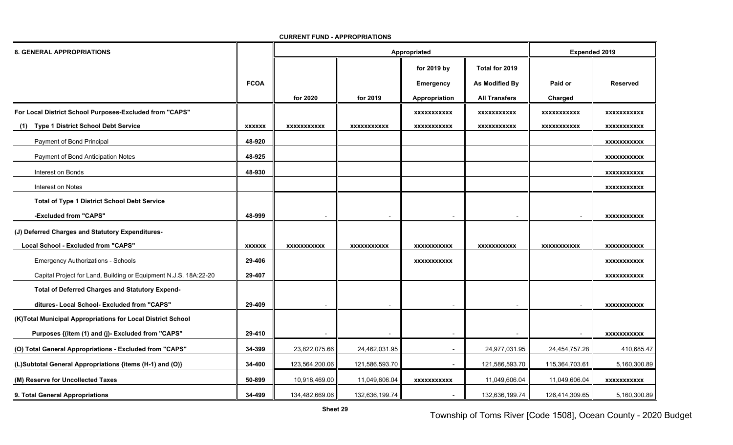| <b>8. GENERAL APPROPRIATIONS</b>                                 |               |                    |                    | Appropriated       |                      | <b>Expended 2019</b> |                    |
|------------------------------------------------------------------|---------------|--------------------|--------------------|--------------------|----------------------|----------------------|--------------------|
|                                                                  |               |                    |                    | for 2019 by        | Total for 2019       |                      |                    |
|                                                                  | <b>FCOA</b>   |                    |                    | Emergency          | As Modified By       | Paid or              | <b>Reserved</b>    |
|                                                                  |               | for 2020           | for 2019           | Appropriation      | <b>All Transfers</b> | Charged              |                    |
| For Local District School Purposes-Excluded from "CAPS"          |               |                    |                    | <b>XXXXXXXXXXX</b> | <b>XXXXXXXXXXX</b>   | <b>XXXXXXXXXXX</b>   | <b>XXXXXXXXXXX</b> |
| <b>Type 1 District School Debt Service</b><br>(1)                | <b>XXXXXX</b> | <b>XXXXXXXXXXX</b> | <b>XXXXXXXXXXX</b> | <b>XXXXXXXXXXX</b> | <b>XXXXXXXXXXX</b>   | <b>XXXXXXXXXXX</b>   | XXXXXXXXXXX        |
| Payment of Bond Principal                                        | 48-920        |                    |                    |                    |                      |                      | <b>XXXXXXXXXXX</b> |
| Payment of Bond Anticipation Notes                               | 48-925        |                    |                    |                    |                      |                      | <b>XXXXXXXXXXX</b> |
| Interest on Bonds                                                | 48-930        |                    |                    |                    |                      |                      | <b>XXXXXXXXXXX</b> |
| Interest on Notes                                                |               |                    |                    |                    |                      |                      | <b>XXXXXXXXXXX</b> |
| <b>Total of Type 1 District School Debt Service</b>              |               |                    |                    |                    |                      |                      |                    |
| -Excluded from "CAPS"                                            | 48-999        |                    |                    |                    |                      |                      | <b>XXXXXXXXXXX</b> |
| (J) Deferred Charges and Statutory Expenditures-                 |               |                    |                    |                    |                      |                      |                    |
| Local School - Excluded from "CAPS"                              | <b>XXXXXX</b> | <b>XXXXXXXXXXX</b> | <b>XXXXXXXXXXX</b> | <b>XXXXXXXXXXX</b> | <b>XXXXXXXXXXX</b>   | <b>XXXXXXXXXXX</b>   | <b>XXXXXXXXXXX</b> |
| <b>Emergency Authorizations - Schools</b>                        | 29-406        |                    |                    | <b>XXXXXXXXXXX</b> |                      |                      | <b>XXXXXXXXXXX</b> |
| Capital Project for Land, Building or Equipment N.J.S. 18A:22-20 | 29-407        |                    |                    |                    |                      |                      | <b>XXXXXXXXXXX</b> |
| Total of Deferred Charges and Statutory Expend-                  |               |                    |                    |                    |                      |                      |                    |
| ditures- Local School- Excluded from "CAPS"                      | 29-409        |                    |                    |                    |                      |                      | <b>XXXXXXXXXXX</b> |
| (K)Total Municipal Appropriations for Local District School      |               |                    |                    |                    |                      |                      |                    |
| Purposes {(item (1) and (j)- Excluded from "CAPS"                | 29-410        |                    |                    |                    |                      |                      | <b>XXXXXXXXXXX</b> |
| (O) Total General Appropriations - Excluded from "CAPS"          | 34-399        | 23,822,075.66      | 24,462,031.95      |                    | 24,977,031.95        | 24,454,757.28        | 410,685.47         |
| (L)Subtotal General Appropriations {items (H-1) and (O)}         | 34-400        | 123,564,200.06     | 121,586,593.70     | $\sim$             | 121,586,593.70       | 115,364,703.61       | 5,160,300.89       |
| (M) Reserve for Uncollected Taxes                                | 50-899        | 10,918,469.00      | 11,049,606.04      | <b>XXXXXXXXXXX</b> | 11,049,606.04        | 11,049,606.04        | <b>XXXXXXXXXXX</b> |
| 9. Total General Appropriations                                  | 34-499        | 134,482,669.06     | 132,636,199.74     |                    | 132,636,199.74       | 126,414,309.65       | 5,160,300.89       |

#### **CURRENT FUND - APPROPRIATIONS**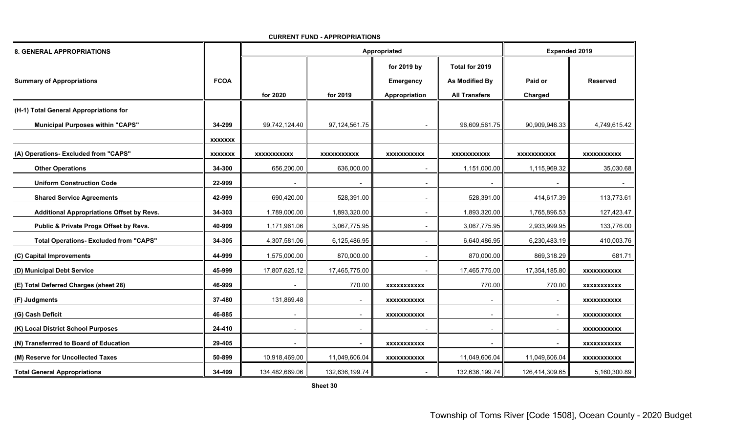| <b>8. GENERAL APPROPRIATIONS</b>              |                |                    | Appropriated             |                          | <b>Expended 2019</b>     |                          |                    |
|-----------------------------------------------|----------------|--------------------|--------------------------|--------------------------|--------------------------|--------------------------|--------------------|
|                                               |                |                    |                          | for 2019 by              | Total for 2019           |                          |                    |
| <b>Summary of Appropriations</b>              | <b>FCOA</b>    |                    |                          | <b>Emergency</b>         | <b>As Modified By</b>    | Paid or                  | <b>Reserved</b>    |
|                                               |                | for 2020           | for 2019                 | Appropriation            | <b>All Transfers</b>     | Charged                  |                    |
| (H-1) Total General Appropriations for        |                |                    |                          |                          |                          |                          |                    |
| <b>Municipal Purposes within "CAPS"</b>       | 34-299         | 99,742,124.40      | 97,124,561.75            |                          | 96,609,561.75            | 90,909,946.33            | 4,749,615.42       |
|                                               | <b>XXXXXXX</b> |                    |                          |                          |                          |                          |                    |
| (A) Operations- Excluded from "CAPS"          | <b>XXXXXXX</b> | <b>XXXXXXXXXXX</b> | <b>XXXXXXXXXXX</b>       | <b>XXXXXXXXXXX</b>       | XXXXXXXXXXX              | <b>XXXXXXXXXXX</b>       | <b>XXXXXXXXXXX</b> |
| <b>Other Operations</b>                       | 34-300         | 656,200.00         | 636,000.00               |                          | 1,151,000.00             | 1,115,969.32             | 35,030.68          |
| <b>Uniform Construction Code</b>              | 22-999         |                    | $\overline{\phantom{a}}$ | $\overline{\phantom{a}}$ |                          |                          | $\sim$             |
| <b>Shared Service Agreements</b>              | 42-999         | 690,420.00         | 528,391.00               |                          | 528,391.00               | 414,617.39               | 113,773.61         |
| Additional Appropriations Offset by Revs.     | 34-303         | 1,789,000.00       | 1,893,320.00             |                          | 1,893,320.00             | 1,765,896.53             | 127,423.47         |
| Public & Private Progs Offset by Revs.        | 40-999         | 1,171,961.06       | 3,067,775.95             |                          | 3,067,775.95             | 2,933,999.95             | 133,776.00         |
| <b>Total Operations- Excluded from "CAPS"</b> | 34-305         | 4,307,581.06       | 6,125,486.95             |                          | 6,640,486.95             | 6,230,483.19             | 410,003.76         |
| (C) Capital Improvements                      | 44-999         | 1,575,000.00       | 870,000.00               |                          | 870,000.00               | 869,318.29               | 681.71             |
| (D) Municipal Debt Service                    | 45-999         | 17,807,625.12      | 17,465,775.00            |                          | 17,465,775.00            | 17,354,185.80            | <b>XXXXXXXXXXX</b> |
| (E) Total Deferred Charges (sheet 28)         | 46-999         |                    | 770.00                   | <b>XXXXXXXXXXX</b>       | 770.00                   | 770.00                   | <b>XXXXXXXXXXX</b> |
| (F) Judgments                                 | 37-480         | 131,869.48         | $\blacksquare$           | <b>XXXXXXXXXXX</b>       | $\overline{\phantom{a}}$ | $\overline{\phantom{a}}$ | <b>XXXXXXXXXXX</b> |
| (G) Cash Deficit                              | 46-885         |                    |                          | <b>XXXXXXXXXXX</b>       |                          |                          | <b>XXXXXXXXXXX</b> |
| (K) Local District School Purposes            | 24-410         |                    |                          |                          |                          |                          | <b>XXXXXXXXXXX</b> |
| (N) Transferrred to Board of Education        | 29-405         |                    |                          | <b>XXXXXXXXXXX</b>       |                          |                          | <b>XXXXXXXXXXX</b> |
| (M) Reserve for Uncollected Taxes             | 50-899         | 10,918,469.00      | 11,049,606.04            | <b>XXXXXXXXXXX</b>       | 11,049,606.04            | 11,049,606.04            | <b>XXXXXXXXXXX</b> |
| <b>Total General Appropriations</b>           | 34-499         | 134,482,669.06     | 132,636,199.74           |                          | 132,636,199.74           | 126,414,309.65           | 5,160,300.89       |

**CURRENT FUND - APPROPRIATIONS**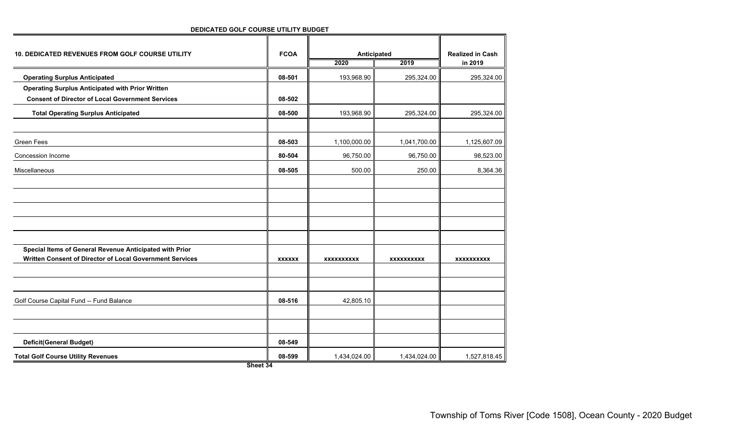#### **DEDICATED GOLF COURSE UTILITY BUDGET**

| <b>10. DEDICATED REVENUES FROM GOLF COURSE UTILITY</b>   | <b>FCOA</b>   | Anticipated       |                   | <b>Realized in Cash</b> |
|----------------------------------------------------------|---------------|-------------------|-------------------|-------------------------|
|                                                          |               | 2020              | 2019              | in 2019                 |
| <b>Operating Surplus Anticipated</b>                     | 08-501        | 193,968.90        | 295,324.00        | 295,324.00              |
| <b>Operating Surplus Anticipated with Prior Written</b>  |               |                   |                   |                         |
| <b>Consent of Director of Local Government Services</b>  | 08-502        |                   |                   |                         |
| <b>Total Operating Surplus Anticipated</b>               | 08-500        | 193,968.90        | 295,324.00        | 295,324.00              |
| <b>Green Fees</b>                                        | 08-503        | 1,100,000.00      | 1,041,700.00      | 1,125,607.09            |
| Concession Income                                        | 80-504        | 96,750.00         | 96,750.00         | 98,523.00               |
| Miscellaneous                                            | 08-505        | 500.00            | 250.00            | 8,364.36                |
|                                                          |               |                   |                   |                         |
|                                                          |               |                   |                   |                         |
|                                                          |               |                   |                   |                         |
|                                                          |               |                   |                   |                         |
| Special Items of General Revenue Anticipated with Prior  |               |                   |                   |                         |
| Written Consent of Director of Local Government Services | <b>XXXXXX</b> | <b>XXXXXXXXXX</b> | <b>XXXXXXXXXX</b> | <b>XXXXXXXXXX</b>       |
|                                                          |               |                   |                   |                         |
| Golf Course Capital Fund -- Fund Balance                 | 08-516        | 42,805.10         |                   |                         |
|                                                          |               |                   |                   |                         |
|                                                          |               |                   |                   |                         |
| <b>Deficit(General Budget)</b>                           | 08-549        |                   |                   |                         |
| <b>Total Golf Course Utility Revenues</b>                | 08-599        | 1,434,024.00      | 1,434,024.00      | 1,527,818.45            |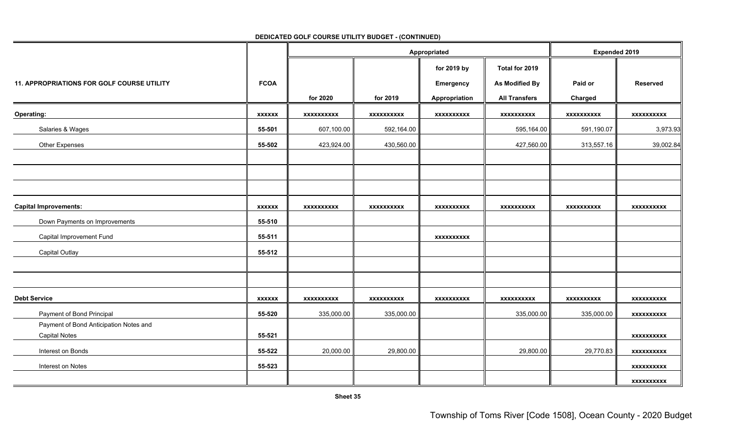|                                                                                             |                  | Appropriated      |                   |                                           |                                                          | <b>Expended 2019</b> |                                        |
|---------------------------------------------------------------------------------------------|------------------|-------------------|-------------------|-------------------------------------------|----------------------------------------------------------|----------------------|----------------------------------------|
| <b>11. APPROPRIATIONS FOR GOLF COURSE UTILITY</b>                                           | <b>FCOA</b>      | for 2020          | for 2019          | for 2019 by<br>Emergency<br>Appropriation | Total for 2019<br>As Modified By<br><b>All Transfers</b> | Paid or<br>Charged   | <b>Reserved</b>                        |
| <b>Operating:</b>                                                                           | <b>XXXXXX</b>    | <b>XXXXXXXXXX</b> | XXXXXXXXXX        | <b>XXXXXXXXXX</b>                         | <b>XXXXXXXXXX</b>                                        | <b>XXXXXXXXXX</b>    | <b>XXXXXXXXXX</b>                      |
| Salaries & Wages                                                                            | 55-501           | 607,100.00        | 592,164.00        |                                           | 595,164.00                                               | 591,190.07           | 3,973.93                               |
| Other Expenses                                                                              | 55-502           | 423,924.00        | 430,560.00        |                                           | 427,560.00                                               | 313,557.16           | 39,002.84                              |
|                                                                                             |                  |                   |                   |                                           |                                                          |                      |                                        |
| <b>Capital Improvements:</b>                                                                | <b>XXXXXX</b>    | <b>XXXXXXXXXX</b> | <b>XXXXXXXXXX</b> | <b>XXXXXXXXXX</b>                         | <b>XXXXXXXXXX</b>                                        | <b>XXXXXXXXXX</b>    | <b>XXXXXXXXXX</b>                      |
| Down Payments on Improvements                                                               | 55-510           |                   |                   |                                           |                                                          |                      |                                        |
| Capital Improvement Fund                                                                    | 55-511           |                   |                   | <b>XXXXXXXXXX</b>                         |                                                          |                      |                                        |
| <b>Capital Outlay</b>                                                                       | 55-512           |                   |                   |                                           |                                                          |                      |                                        |
| <b>Debt Service</b>                                                                         |                  |                   |                   |                                           |                                                          |                      |                                        |
|                                                                                             | <b>XXXXXX</b>    | <b>XXXXXXXXXX</b> | <b>XXXXXXXXXX</b> | <b>XXXXXXXXXX</b>                         | <b>XXXXXXXXXX</b>                                        | <b>XXXXXXXXXX</b>    | XXXXXXXXXX                             |
| Payment of Bond Principal<br>Payment of Bond Anticipation Notes and<br><b>Capital Notes</b> | 55-520<br>55-521 | 335,000.00        | 335,000.00        |                                           | 335,000.00                                               | 335,000.00           | <b>XXXXXXXXXX</b><br><b>XXXXXXXXXX</b> |
| Interest on Bonds                                                                           | 55-522           | 20,000.00         | 29,800.00         |                                           | 29,800.00                                                | 29,770.83            | <b>XXXXXXXXXX</b>                      |
| Interest on Notes                                                                           | 55-523           |                   |                   |                                           |                                                          |                      | <b>XXXXXXXXXX</b>                      |
|                                                                                             |                  |                   |                   |                                           |                                                          |                      | <b>XXXXXXXXXX</b>                      |

# **DEDICATED GOLF COURSE UTILITY BUDGET - (CONTINUED)**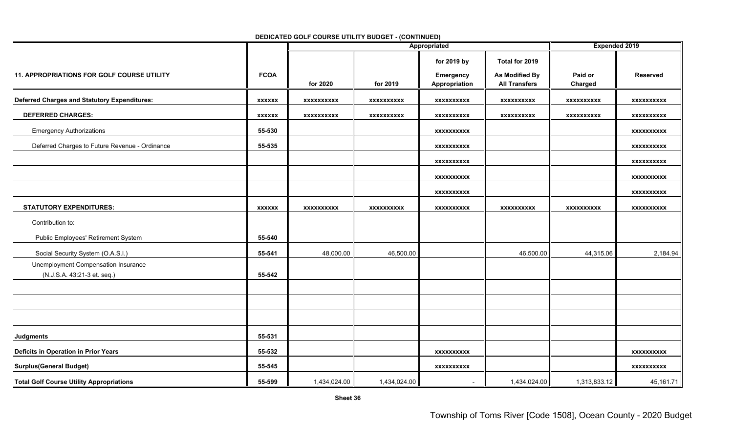|                                                     |               | Appropriated      |                   |                            |                                               | <b>Expended 2019</b> |                   |  |
|-----------------------------------------------------|---------------|-------------------|-------------------|----------------------------|-----------------------------------------------|----------------------|-------------------|--|
|                                                     |               |                   |                   | for 2019 by                | Total for 2019                                |                      |                   |  |
| <b>11. APPROPRIATIONS FOR GOLF COURSE UTILITY</b>   | <b>FCOA</b>   | for 2020          | for 2019          | Emergency<br>Appropriation | <b>As Modified By</b><br><b>All Transfers</b> | Paid or<br>Charged   | <b>Reserved</b>   |  |
| <b>Deferred Charges and Statutory Expenditures:</b> | <b>XXXXXX</b> | <b>XXXXXXXXXX</b> | <b>XXXXXXXXXX</b> | <b>XXXXXXXXXX</b>          | <b>XXXXXXXXXX</b>                             | <b>XXXXXXXXXX</b>    | <b>XXXXXXXXXX</b> |  |
| <b>DEFERRED CHARGES:</b>                            | <b>XXXXXX</b> | <b>XXXXXXXXXX</b> | <b>XXXXXXXXXX</b> | <b>XXXXXXXXXX</b>          | <b>XXXXXXXXXX</b>                             | <b>XXXXXXXXXX</b>    | <b>XXXXXXXXXX</b> |  |
| <b>Emergency Authorizations</b>                     | 55-530        |                   |                   | <b>XXXXXXXXXX</b>          |                                               |                      | <b>XXXXXXXXXX</b> |  |
| Deferred Charges to Future Revenue - Ordinance      | 55-535        |                   |                   | <b>XXXXXXXXXX</b>          |                                               |                      | <b>XXXXXXXXXX</b> |  |
|                                                     |               |                   |                   | xxxxxxxxxx                 |                                               |                      | <b>XXXXXXXXXX</b> |  |
|                                                     |               |                   |                   | <b>XXXXXXXXXX</b>          |                                               |                      | <b>XXXXXXXXXX</b> |  |
|                                                     |               |                   |                   | <b>XXXXXXXXXX</b>          |                                               |                      | <b>XXXXXXXXXX</b> |  |
| <b>STATUTORY EXPENDITURES:</b>                      | <b>XXXXXX</b> | <b>XXXXXXXXXX</b> | <b>XXXXXXXXXX</b> | <b>XXXXXXXXXX</b>          | <b>XXXXXXXXXX</b>                             | <b>XXXXXXXXXX</b>    | <b>XXXXXXXXXX</b> |  |
| Contribution to:                                    |               |                   |                   |                            |                                               |                      |                   |  |
| Public Employees' Retirement System                 | 55-540        |                   |                   |                            |                                               |                      |                   |  |
| Social Security System (O.A.S.I.)                   | 55-541        | 48,000.00         | 46,500.00         |                            | 46,500.00                                     | 44,315.06            | 2,184.94          |  |
| Unemployment Compensation Insurance                 | 55-542        |                   |                   |                            |                                               |                      |                   |  |
| (N.J.S.A. 43:21-3 et. seq.)                         |               |                   |                   |                            |                                               |                      |                   |  |
|                                                     |               |                   |                   |                            |                                               |                      |                   |  |
|                                                     |               |                   |                   |                            |                                               |                      |                   |  |
| <b>Judgments</b>                                    | 55-531        |                   |                   |                            |                                               |                      |                   |  |
| <b>Deficits in Operation in Prior Years</b>         | 55-532        |                   |                   | <b>XXXXXXXXXX</b>          |                                               |                      | <b>XXXXXXXXXX</b> |  |
| <b>Surplus(General Budget)</b>                      | 55-545        |                   |                   | <b>XXXXXXXXXX</b>          |                                               |                      | <b>XXXXXXXXXX</b> |  |
| <b>Total Golf Course Utility Appropriations</b>     | 55-599        | 1,434,024.00      | 1,434,024.00      | $\sim$                     | 1,434,024.00                                  | 1,313,833.12         | 45,161.71         |  |

# **DEDICATED GOLF COURSE UTILITY BUDGET - (CONTINUED)**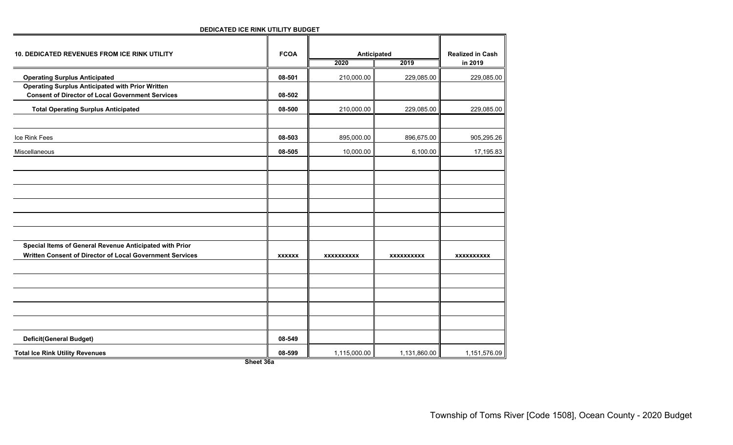| DEDICATED ICE RINK UTILITY BUDGET |  |  |  |  |
|-----------------------------------|--|--|--|--|
|-----------------------------------|--|--|--|--|

| <b>10. DEDICATED REVENUES FROM ICE RINK UTILITY</b>                                                                | <b>FCOA</b>   | Anticipated<br>2020 | 2019              | <b>Realized in Cash</b><br>in 2019 |
|--------------------------------------------------------------------------------------------------------------------|---------------|---------------------|-------------------|------------------------------------|
| <b>Operating Surplus Anticipated</b>                                                                               | 08-501        | 210,000.00          | 229,085.00        | 229,085.00                         |
| <b>Operating Surplus Anticipated with Prior Written</b><br><b>Consent of Director of Local Government Services</b> | 08-502        |                     |                   |                                    |
| <b>Total Operating Surplus Anticipated</b>                                                                         | 08-500        | 210,000.00          | 229,085.00        | 229,085.00                         |
| Ice Rink Fees                                                                                                      | 08-503        | 895,000.00          | 896,675.00        | 905,295.26                         |
| Miscellaneous                                                                                                      | 08-505        | 10,000.00           | 6,100.00          | 17,195.83                          |
|                                                                                                                    |               |                     |                   |                                    |
|                                                                                                                    |               |                     |                   |                                    |
|                                                                                                                    |               |                     |                   |                                    |
| Special Items of General Revenue Anticipated with Prior                                                            |               |                     |                   |                                    |
| Written Consent of Director of Local Government Services                                                           | <b>XXXXXX</b> | <b>XXXXXXXXXX</b>   | <b>XXXXXXXXXX</b> | <b>XXXXXXXXXX</b>                  |
|                                                                                                                    |               |                     |                   |                                    |
|                                                                                                                    |               |                     |                   |                                    |
|                                                                                                                    |               |                     |                   |                                    |
| <b>Deficit(General Budget)</b>                                                                                     | 08-549        |                     |                   |                                    |
| <b>Total Ice Rink Utility Revenues</b><br>Shoot 362                                                                | 08-599        | 1,115,000.00        | 1,131,860.00      | 1,151,576.09                       |

**Sheet 36a**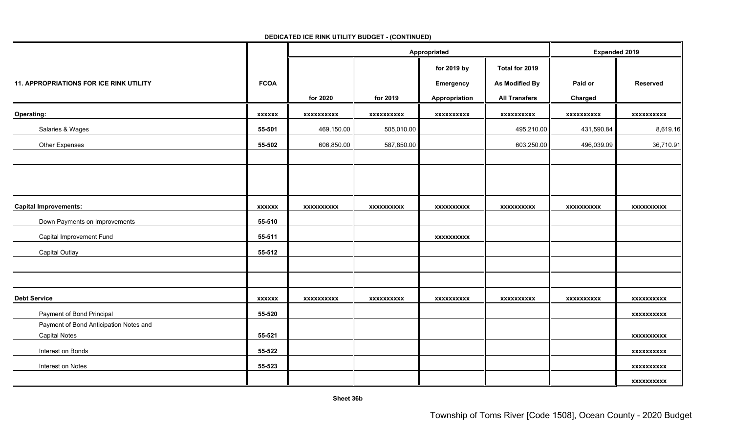|                                                |               |                   | Appropriated      |                   | <b>Expended 2019</b> |                   |                   |
|------------------------------------------------|---------------|-------------------|-------------------|-------------------|----------------------|-------------------|-------------------|
|                                                |               |                   |                   | for 2019 by       | Total for 2019       |                   |                   |
| <b>11. APPROPRIATIONS FOR ICE RINK UTILITY</b> | <b>FCOA</b>   |                   |                   | <b>Emergency</b>  | As Modified By       | Paid or           | <b>Reserved</b>   |
|                                                |               | for 2020          | for 2019          | Appropriation     | <b>All Transfers</b> | Charged           |                   |
| Operating:                                     | <b>XXXXXX</b> | <b>XXXXXXXXXX</b> | XXXXXXXXXX        | <b>XXXXXXXXXX</b> | <b>XXXXXXXXXX</b>    | <b>XXXXXXXXXX</b> | xxxxxxxxxx        |
| Salaries & Wages                               | 55-501        | 469,150.00        | 505,010.00        |                   | 495,210.00           | 431,590.84        | 8,619.16          |
| Other Expenses                                 | 55-502        | 606,850.00        | 587,850.00        |                   | 603,250.00           | 496,039.09        | 36,710.91         |
|                                                |               |                   |                   |                   |                      |                   |                   |
|                                                |               |                   |                   |                   |                      |                   |                   |
| <b>Capital Improvements:</b>                   | <b>XXXXXX</b> | <b>XXXXXXXXXX</b> | <b>XXXXXXXXXX</b> | <b>XXXXXXXXXX</b> | <b>XXXXXXXXXX</b>    | <b>XXXXXXXXXX</b> | <b>XXXXXXXXXX</b> |
| Down Payments on Improvements                  | 55-510        |                   |                   |                   |                      |                   |                   |
| Capital Improvement Fund                       | 55-511        |                   |                   | <b>XXXXXXXXXX</b> |                      |                   |                   |
| Capital Outlay                                 | 55-512        |                   |                   |                   |                      |                   |                   |
|                                                |               |                   |                   |                   |                      |                   |                   |
| <b>Debt Service</b>                            | <b>XXXXXX</b> | <b>XXXXXXXXXX</b> | <b>XXXXXXXXXX</b> | <b>XXXXXXXXXX</b> | <b>XXXXXXXXXX</b>    | <b>XXXXXXXXXX</b> | XXXXXXXXXX        |
| Payment of Bond Principal                      | 55-520        |                   |                   |                   |                      |                   | <b>XXXXXXXXXX</b> |
| Payment of Bond Anticipation Notes and         |               |                   |                   |                   |                      |                   |                   |
| <b>Capital Notes</b>                           | 55-521        |                   |                   |                   |                      |                   | <b>XXXXXXXXXX</b> |
| Interest on Bonds                              | 55-522        |                   |                   |                   |                      |                   | XXXXXXXXXX        |
| Interest on Notes                              | 55-523        |                   |                   |                   |                      |                   | <b>XXXXXXXXXX</b> |
|                                                |               |                   |                   |                   |                      |                   | <b>XXXXXXXXXX</b> |

# **DEDICATED ICE RINK UTILITY BUDGET - (CONTINUED)**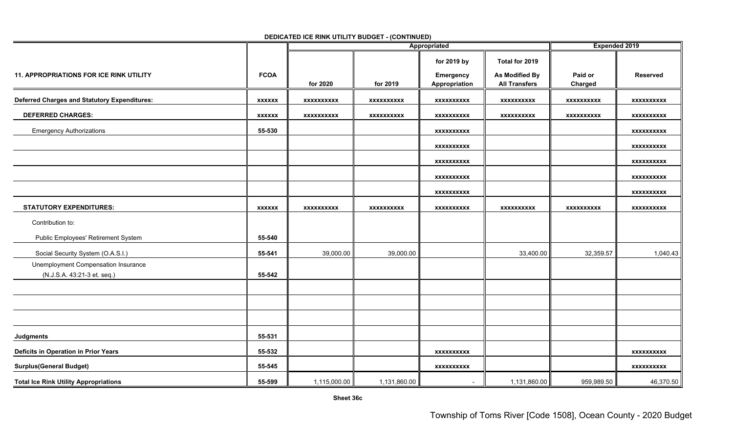|                                                     |               |                   | Appropriated      |                   | <b>Expended 2019</b>  |                   |                   |
|-----------------------------------------------------|---------------|-------------------|-------------------|-------------------|-----------------------|-------------------|-------------------|
|                                                     |               |                   |                   | for 2019 by       | Total for 2019        |                   |                   |
| <b>11. APPROPRIATIONS FOR ICE RINK UTILITY</b>      | <b>FCOA</b>   |                   |                   | Emergency         | <b>As Modified By</b> | Paid or           | <b>Reserved</b>   |
|                                                     |               | for 2020          | for 2019          | Appropriation     | <b>All Transfers</b>  | Charged           |                   |
| <b>Deferred Charges and Statutory Expenditures:</b> | <b>XXXXXX</b> | <b>XXXXXXXXXX</b> | <b>XXXXXXXXXX</b> | <b>XXXXXXXXXX</b> | <b>XXXXXXXXXX</b>     | <b>XXXXXXXXXX</b> | <b>XXXXXXXXXX</b> |
| <b>DEFERRED CHARGES:</b>                            | <b>XXXXXX</b> | XXXXXXXXXX        | <b>XXXXXXXXXX</b> | <b>XXXXXXXXXX</b> | <b>XXXXXXXXXX</b>     | <b>XXXXXXXXXX</b> | <b>XXXXXXXXXX</b> |
| <b>Emergency Authorizations</b>                     | 55-530        |                   |                   | <b>XXXXXXXXXX</b> |                       |                   | <b>XXXXXXXXXX</b> |
|                                                     |               |                   |                   | <b>XXXXXXXXXX</b> |                       |                   | <b>XXXXXXXXXX</b> |
|                                                     |               |                   |                   | <b>XXXXXXXXXX</b> |                       |                   | <b>XXXXXXXXXX</b> |
|                                                     |               |                   |                   | <b>XXXXXXXXXX</b> |                       |                   | <b>XXXXXXXXXX</b> |
|                                                     |               |                   |                   | <b>XXXXXXXXXX</b> |                       |                   | <b>XXXXXXXXXX</b> |
| <b>STATUTORY EXPENDITURES:</b>                      | <b>XXXXXX</b> | <b>XXXXXXXXXX</b> | <b>XXXXXXXXXX</b> | <b>XXXXXXXXXX</b> | XXXXXXXXXX            | <b>XXXXXXXXXX</b> | <b>XXXXXXXXXX</b> |
| Contribution to:                                    |               |                   |                   |                   |                       |                   |                   |
| Public Employees' Retirement System                 | 55-540        |                   |                   |                   |                       |                   |                   |
| Social Security System (O.A.S.I.)                   | 55-541        | 39,000.00         | 39,000.00         |                   | 33,400.00             | 32,359.57         | 1,040.43          |
| Unemployment Compensation Insurance                 |               |                   |                   |                   |                       |                   |                   |
| (N.J.S.A. 43:21-3 et. seq.)                         | 55-542        |                   |                   |                   |                       |                   |                   |
|                                                     |               |                   |                   |                   |                       |                   |                   |
|                                                     |               |                   |                   |                   |                       |                   |                   |
|                                                     |               |                   |                   |                   |                       |                   |                   |
| <b>Judgments</b>                                    | 55-531        |                   |                   |                   |                       |                   |                   |
| Deficits in Operation in Prior Years                | 55-532        |                   |                   | <b>XXXXXXXXXX</b> |                       |                   | <b>XXXXXXXXXX</b> |
| <b>Surplus(General Budget)</b>                      | 55-545        |                   |                   | <b>XXXXXXXXXX</b> |                       |                   | <b>XXXXXXXXXX</b> |
| <b>Total Ice Rink Utility Appropriations</b>        | 55-599        | 1,115,000.00      | 1,131,860.00      | $\blacksquare$    | 1,131,860.00          | 959,989.50        | 46,370.50         |

# **DEDICATED ICE RINK UTILITY BUDGET - (CONTINUED)**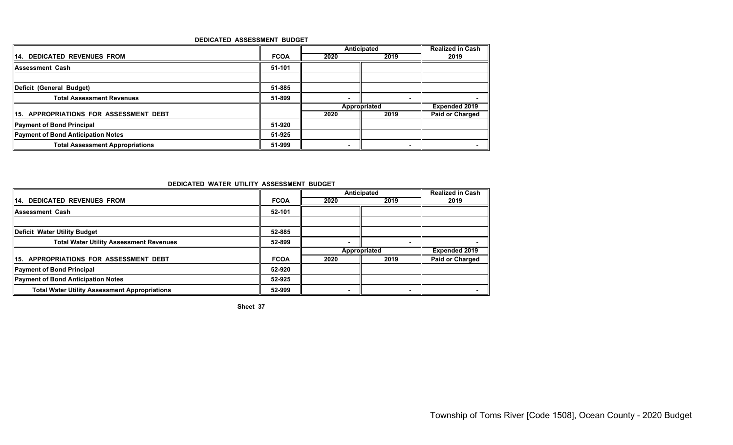#### **DEDICATED ASSESSMENT BUDGET**

|                                           |             | Anticipated  | <b>Realized in Cash</b> |                        |
|-------------------------------------------|-------------|--------------|-------------------------|------------------------|
| 14. DEDICATED REVENUES FROM               | <b>FCOA</b> | 2020         | 2019                    | 2019                   |
| <b>Assessment Cash</b>                    | 51-101      |              |                         |                        |
|                                           |             |              |                         |                        |
| Deficit (General Budget)                  | 51-885      |              |                         |                        |
| <b>Total Assessment Revenues</b>          | 51-899      |              |                         |                        |
|                                           |             | Appropriated |                         | <b>Expended 2019</b>   |
| 15. APPROPRIATIONS FOR ASSESSMENT DEBT    |             | 2020         | 2019                    | <b>Paid or Charged</b> |
| <b>Payment of Bond Principal</b>          | 51-920      |              |                         |                        |
| <b>Payment of Bond Anticipation Notes</b> | 51-925      |              |                         |                        |
| <b>Total Assessment Appropriations</b>    | 51-999      |              |                         |                        |

### **DEDICATED WATER UTILITY ASSESSMENT BUDGET**

|                                                      |             | Anticipated | <b>Realized in Cash</b> |                 |  |
|------------------------------------------------------|-------------|-------------|-------------------------|-----------------|--|
| <b>DEDICATED REVENUES FROM</b><br>ll14.              | <b>FCOA</b> | 2020        | 2019                    | 2019            |  |
| <b>Assessment Cash</b>                               | 52-101      |             |                         |                 |  |
|                                                      |             |             |                         |                 |  |
| Deficit Water Utility Budget                         | 52-885      |             |                         |                 |  |
| <b>Total Water Utility Assessment Revenues</b>       | 52-899      |             |                         |                 |  |
|                                                      |             |             | Appropriated            |                 |  |
| 15. APPROPRIATIONS FOR ASSESSMENT DEBT               | <b>FCOA</b> | 2020        | 2019                    | Paid or Charged |  |
| <b>IPayment of Bond Principal</b>                    | 52-920      |             |                         |                 |  |
| Payment of Bond Anticipation Notes                   | 52-925      |             |                         |                 |  |
| <b>Total Water Utility Assessment Appropriations</b> | 52-999      |             |                         |                 |  |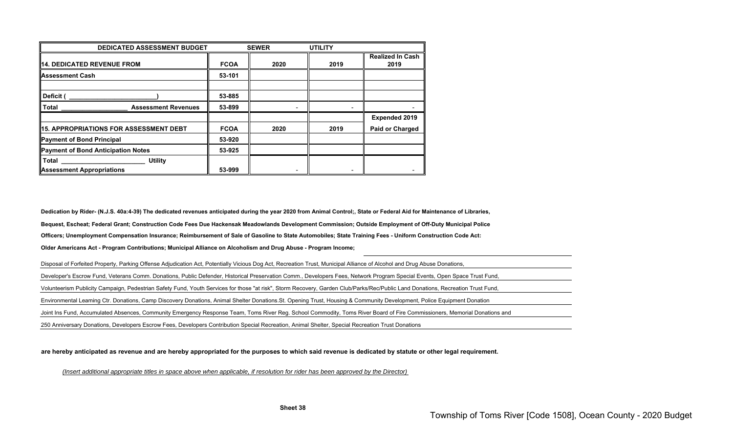| <b>DEDICATED ASSESSMENT BUDGET</b>         |             | <b>SEWER</b> | <b>UTILITY</b> |                          |
|--------------------------------------------|-------------|--------------|----------------|--------------------------|
| <b>I14. DEDICATED REVENUE FROM</b>         | <b>FCOA</b> | 2020         | 2019           | Realized In Cash<br>2019 |
| <b>IAssessment Cash</b>                    | 53-101      |              |                |                          |
| Deficit (                                  | 53-885      |              |                |                          |
| <b>Total</b><br><b>Assessment Revenues</b> | 53-899      |              |                |                          |
|                                            |             |              |                | <b>Expended 2019</b>     |
| l15. APPROPRIATIONS FOR ASSESSMENT DEBT    | <b>FCOA</b> | 2020         | 2019           | <b>Paid or Charged</b>   |
| Payment of Bond Principal                  | 53-920      |              |                |                          |
| Payment of Bond Anticipation Notes         | 53-925      |              |                |                          |
| <b>Utility</b><br><b>Total</b>             |             |              |                |                          |
| <b>Assessment Appropriations</b>           | 53-999      |              |                |                          |

**Dedication by Rider- (N.J.S. 40a:4-39) The dedicated revenues anticipated during the year 2020 from Animal Control;, State or Federal Aid for Maintenance of Libraries, Bequest, Escheat; Federal Grant; Construction Code Fees Due Hackensak Meadowlands Development Commission; Outside Employment of Off-Duty Municipal Police Officers; Unemployment Compensation Insurance; Reimbursement of Sale of Gasoline to State Automobiles; State Training Fees - Uniform Construction Code Act: Older Americans Act - Program Contributions; Municipal Alliance on Alcoholism and Drug Abuse - Program Income;**

Disposal of Forfeited Property, Parking Offense Adjudication Act, Potentially Vicious Dog Act, Recreation Trust, Municipal Alliance of Alcohol and Drug Abuse Donations, Developer's Escrow Fund, Veterans Comm. Donations, Public Defender, Historical Preservation Comm., Developers Fees, Network Program Special Events, Open Space Trust Fund, Volunteerism Publicity Campaign, Pedestrian Safety Fund, Youth Services for those "at risk", Storm Recovery, Garden Club/Parks/Rec/Public Land Donations, Recreation Trust Fund, Environmental Leaming Ctr. Donations, Camp Discovery Donations, Animal Shelter Donations.St. Opening Trust, Housing & Community Development, Police Equipment Donation Joint Ins Fund, Accumulated Absences, Community Emergency Response Team, Toms River Reg. School Commodity, Toms River Board of Fire Commissioners, Memorial Donations and 250 Anniversary Donations, Developers Escrow Fees, Developers Contribution Special Recreation, Animal Shelter, Special Recreation Trust Donations

**are hereby anticipated as revenue and are hereby appropriated for the purposes to which said revenue is dedicated by statute or other legal requirement.**

*(Insert additional appropriate titles in space a bove when applicable, if resolution for rider has been approve d by the Director)*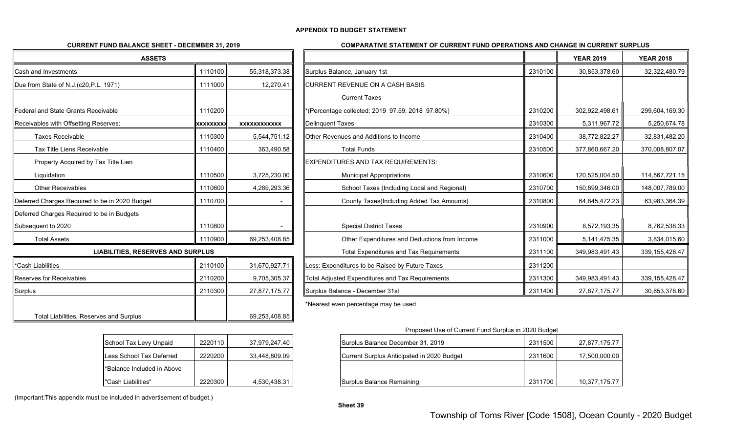## **APPENDIX TO BUDGET STATEMENT**

## **CURRENT FUND BALANCE SHEET - DECEMBER 31, 2019**

| <b>ASSETS</b>                                  |                  |                     |                                               |
|------------------------------------------------|------------------|---------------------|-----------------------------------------------|
| Cash and Investments                           | 1110100          | 55,318,373.38       | Surplus Balance, January 1st                  |
| Due from State of N.J.(c20,P.L. 1971)          | 1111000          | 12,270.41           | <b>ICURRENT REVENUE ON A CASH BASIS</b>       |
|                                                |                  |                     | <b>Current Taxes</b>                          |
| Federal and State Grants Receivable            | 1110200          |                     | *(Percentage collected: 2019 97.59, 2018 97.8 |
| Receivables with Offsetting Reserves:          | <b>XXXXXXXXX</b> | <b>XXXXXXXXXXXX</b> | <b>Delinguent Taxes</b>                       |
| <b>Taxes Receivable</b>                        | 1110300          | 5,544,751.12        | <b>Other Revenues and Additions to Income</b> |
| <b>Tax Title Liens Receivable</b>              | 1110400          | 363,490.58          | <b>Total Funds</b>                            |
| Property Acquired by Tax Title Lien            |                  |                     | EXPENDITURES AND TAX REQUIREMENTS:            |
| Liquidation                                    | 1110500          | 3,725,230.00        | <b>Municipal Appropriations</b>               |
| <b>Other Receivables</b>                       | 1110600          | 4,289,293.36        | School Taxes (Including Local and             |
| Deferred Charges Required to be in 2020 Budget | 1110700          |                     | County Taxes (Including Added Ta              |
| Deferred Charges Required to be in Budgets     |                  |                     |                                               |
| Subsequent to 2020                             | 1110800          |                     | <b>Special District Taxes</b>                 |
| <b>Total Assets</b>                            | 1110900          | 69,253,408.85       | Other Expenditures and Deductior              |
| LIABILITIES. RESERVES AND SURPLUS              |                  |                     | <b>Total Expenditures and Tax Requi</b>       |

| ERSEITEV: INEVERTEV ARD VOIN EVV               |         | <b>10tal Exportantal 00 drive Fax FlogalionTorito</b><br><b>LVIIIV</b> |                                                  |         |  |
|------------------------------------------------|---------|------------------------------------------------------------------------|--------------------------------------------------|---------|--|
| *Cash Liabilities                              | 2110100 | 31,670,927.71                                                          | Less: Expenditures to be Raised by Future Taxes  | 2311200 |  |
| Reserves for Receivables                       | 2110200 | 9,705,305.37                                                           | Total Adjusted Expenditures and Tax Requirements | 2311300 |  |
| Surplus                                        | 2110300 | 27,877,175.77                                                          | <b>I</b> Surplus Balance - December 31st         | 2311400 |  |
|                                                |         |                                                                        | *Nearest even percentage may be used             |         |  |
| <b>Total Liabilities, Reserves and Surplus</b> |         | 69,253,408.85                                                          |                                                  |         |  |

| School Tax Levy Unpaid     | 2220110 | 37,979,247.40 |
|----------------------------|---------|---------------|
| Less School Tax Deferred   | 2220200 | 33,448,809.09 |
| *Balance Included in Above |         |               |
| "Cash Liabilities"         | 2220300 | 4,530,438.31  |

| (Important: This appendix must be included in advertisement of budget.) |  |
|-------------------------------------------------------------------------|--|
|                                                                         |  |

| <b>ASSETS</b>                                  |                 |                     |                                                  |         | <b>YEAR 2019</b> | <b>YEAR 2018</b>  |
|------------------------------------------------|-----------------|---------------------|--------------------------------------------------|---------|------------------|-------------------|
| Cash and Investments                           | 1110100         | 55,318,373.38       | Surplus Balance, January 1st                     | 2310100 | 30,853,378.60    | 32,322,480.79     |
| Due from State of N.J.(c20, P.L. 1971)         | 1111000         | 12,270.41           | <b>ICURRENT REVENUE ON A CASH BASIS</b>          |         |                  |                   |
|                                                |                 |                     | <b>Current Taxes</b>                             |         |                  |                   |
| Federal and State Grants Receivable            | 1110200         |                     | *(Percentage collected: 2019 97.59, 2018 97.80%) | 2310200 | 302,922,498.61   | 299,604,169.30    |
| Receivables with Offsetting Reserves:          | <b>XXXXXXXX</b> | <b>XXXXXXXXXXXX</b> | Delinquent Taxes                                 | 2310300 | 5,311,967.72     | 5,250,674.78      |
| <b>Taxes Receivable</b>                        | 1110300         | 5,544,751.12        | <b>Other Revenues and Additions to Income</b>    | 2310400 | 38,772,822.27    | 32,831,482.20     |
| Tax Title Liens Receivable                     | 1110400         | 363,490.58          | <b>Total Funds</b>                               | 2310500 | 377,860,667.20   | 370,008,807.07    |
| Property Acquired by Tax Title Lien            |                 |                     | EXPENDITURES AND TAX REQUIREMENTS:               |         |                  |                   |
| Liquidation                                    | 1110500         | 3,725,230.00        | <b>Municipal Appropriations</b>                  | 2310600 | 120,525,004.50   | 114,567,721.15    |
| <b>Other Receivables</b>                       | 1110600         | 4,289,293.36        | School Taxes (Including Local and Regional)      | 2310700 | 150,899,346.00   | 148,007,789.00    |
| Deferred Charges Required to be in 2020 Budget | 1110700         |                     | County Taxes (Including Added Tax Amounts)       | 2310800 | 64,845,472.23    | 63,983,364.39     |
| Deferred Charges Required to be in Budgets     |                 |                     |                                                  |         |                  |                   |
| Subsequent to 2020                             | 1110800         |                     | <b>Special District Taxes</b>                    | 2310900 | 8,572,193.35     | 8,762,538.33      |
| <b>Total Assets</b>                            | 1110900         | 69,253,408.85       | Other Expenditures and Deductions from Income    | 2311000 | 5,141,475.35     | 3,834,015.60      |
| <b>LIABILITIES, RESERVES AND SURPLUS</b>       |                 |                     | <b>Total Expenditures and Tax Requirements</b>   | 2311100 | 349,983,491.43   | 339, 155, 428. 47 |
| *Cash Liabilities                              | 2110100         | 31,670,927.71       | Less: Expenditures to be Raised by Future Taxes  | 2311200 |                  |                   |
| Reserves for Receivables                       | 2110200         | 9,705,305.37        | Total Adjusted Expenditures and Tax Requirements | 2311300 | 349,983,491.43   | 339, 155, 428. 47 |
| Surplus                                        | 2110300         | 27,877,175.77       | Surplus Balance - December 31st                  | 2311400 | 27,877,175.77    | 30,853,378.60     |
|                                                |                 |                     |                                                  |         |                  |                   |

**COMPARATIVE STATEMENT OF CURRENT FUND OPERATIONS AND CHANGE IN CURRENT SURPLUS** 

Proposed Use of Current Fund Surplus in 2020 Budget

| School Tax Levy Unpaid     | 2220110 | 37,979,247.40 | Surplus Balance December 31, 2019          | 2311500 | 27,877,175.77 |
|----------------------------|---------|---------------|--------------------------------------------|---------|---------------|
| Less School Tax Deferred   | 2220200 | 33,448,809.09 | Current Surplus Anticipated in 2020 Budget | 2311600 | 17,500,000.00 |
| *Balance Included in Above |         |               |                                            |         |               |
| "Cash Liabilities"         | 2220300 | 4,530,438.31  | Surplus Balance Remaining                  | 2311700 | 10,377,175.77 |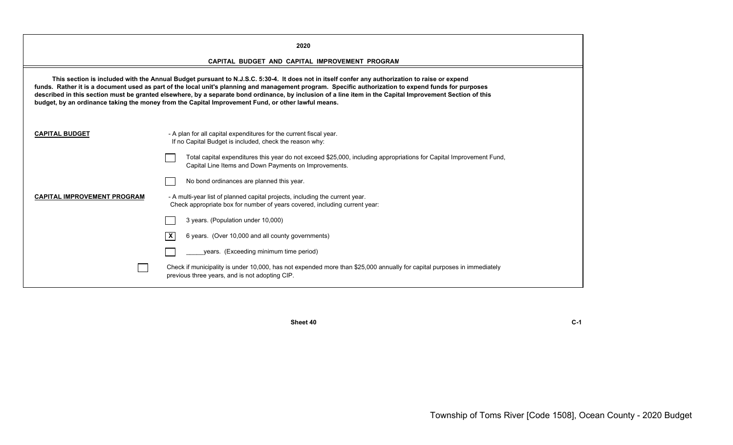|                                                                                                                                                                                                                                                                                                                                                                                                                                                                                                                                                                                                                             | 2020                                                                                                                                                                         |  |  |  |  |  |  |
|-----------------------------------------------------------------------------------------------------------------------------------------------------------------------------------------------------------------------------------------------------------------------------------------------------------------------------------------------------------------------------------------------------------------------------------------------------------------------------------------------------------------------------------------------------------------------------------------------------------------------------|------------------------------------------------------------------------------------------------------------------------------------------------------------------------------|--|--|--|--|--|--|
| CAPITAL BUDGET AND CAPITAL IMPROVEMENT PROGRAM<br>This section is included with the Annual Budget pursuant to N.J.S.C. 5:30-4. It does not in itself confer any authorization to raise or expend<br>funds. Rather it is a document used as part of the local unit's planning and management program. Specific authorization to expend funds for purposes<br>described in this section must be granted elsewhere, by a separate bond ordinance, by inclusion of a line item in the Capital Improvement Section of this<br>budget, by an ordinance taking the money from the Capital Improvement Fund, or other lawful means. |                                                                                                                                                                              |  |  |  |  |  |  |
| <b>CAPITAL BUDGET</b>                                                                                                                                                                                                                                                                                                                                                                                                                                                                                                                                                                                                       | - A plan for all capital expenditures for the current fiscal year.<br>If no Capital Budget is included, check the reason why:                                                |  |  |  |  |  |  |
|                                                                                                                                                                                                                                                                                                                                                                                                                                                                                                                                                                                                                             | Total capital expenditures this year do not exceed \$25,000, including appropriations for Capital Improvement Fund,<br>Capital Line Items and Down Payments on Improvements. |  |  |  |  |  |  |
|                                                                                                                                                                                                                                                                                                                                                                                                                                                                                                                                                                                                                             | No bond ordinances are planned this year.                                                                                                                                    |  |  |  |  |  |  |
| <b>CAPITAL IMPROVEMENT PROGRAM</b>                                                                                                                                                                                                                                                                                                                                                                                                                                                                                                                                                                                          | - A multi-year list of planned capital projects, including the current year.<br>Check appropriate box for number of years covered, including current year:                   |  |  |  |  |  |  |
|                                                                                                                                                                                                                                                                                                                                                                                                                                                                                                                                                                                                                             | 3 years. (Population under 10,000)                                                                                                                                           |  |  |  |  |  |  |
|                                                                                                                                                                                                                                                                                                                                                                                                                                                                                                                                                                                                                             | l X<br>6 years. (Over 10,000 and all county governments)                                                                                                                     |  |  |  |  |  |  |
|                                                                                                                                                                                                                                                                                                                                                                                                                                                                                                                                                                                                                             | years. (Exceeding minimum time period)                                                                                                                                       |  |  |  |  |  |  |
|                                                                                                                                                                                                                                                                                                                                                                                                                                                                                                                                                                                                                             | Check if municipality is under 10,000, has not expended more than \$25,000 annually for capital purposes in immediately<br>previous three years, and is not adopting CIP.    |  |  |  |  |  |  |

**C-1**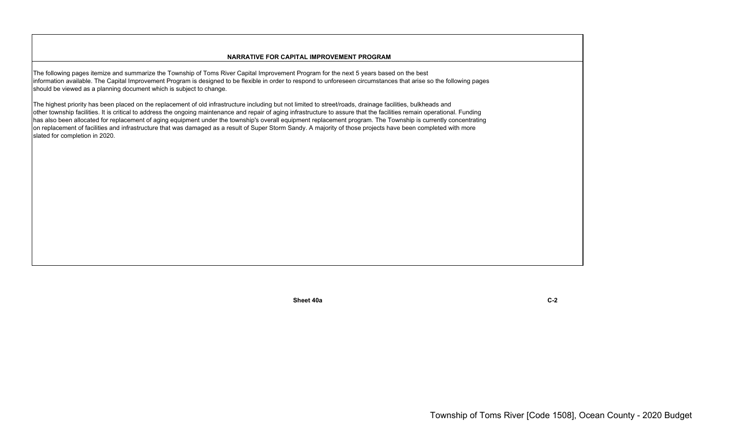### **NARRATIVE FOR CAPITAL IMPROVEMENT PROGRAM**

The following pages itemize and summarize the Township of Toms River Capital Improvement Program for the next 5 years based on the best information available. The Capital Improvement Program is designed to be flexible in order to respond to unforeseen circumstances that arise so the following pages should be viewed as a planning document which is subject to change.

The highest priority has been placed on the replacement of old infrastructure including but not limited to street/roads, drainage facilities, bulkheads and other township facilities. It is critical to address the ongoing maintenance and repair of aging infrastructure to assure that the facilities remain operational. Funding has also been allocated for replacement of aging equipment under the township's overall equipment replacement program. The Township is currently concentrating on replacement of facilities and infrastructure that was damaged as a result of Super Storm Sandy. A majority of those projects have been completed with more slated for completion in 2020.

**Sheet 40a**

**a** C-2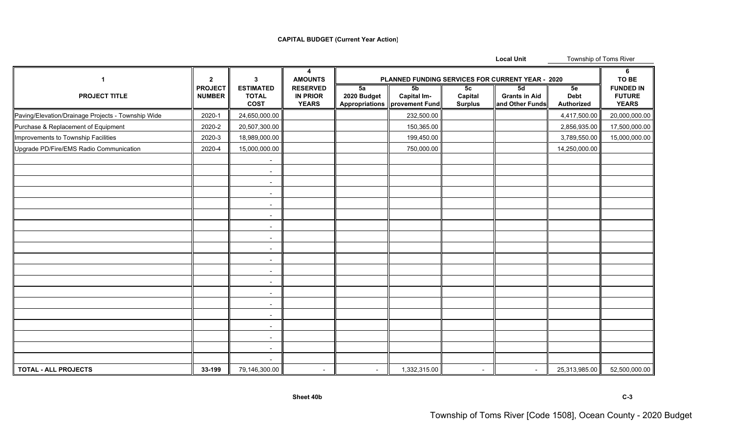# **CAPITAL BUDGET (Current Year Action)**

|                                                    |                                 |                                                 |                                                    |                   |                                                             |                                 | <b>Local Unit</b>                                | Township of Toms River          |                                                   |
|----------------------------------------------------|---------------------------------|-------------------------------------------------|----------------------------------------------------|-------------------|-------------------------------------------------------------|---------------------------------|--------------------------------------------------|---------------------------------|---------------------------------------------------|
| $\mathbf{1}$                                       | $\mathbf{2}$                    | 3                                               | 4<br><b>AMOUNTS</b>                                |                   |                                                             |                                 | PLANNED FUNDING SERVICES FOR CURRENT YEAR - 2020 |                                 | 6<br>TO BE                                        |
| <b>PROJECT TITLE</b>                               | <b>PROJECT</b><br><b>NUMBER</b> | <b>ESTIMATED</b><br><b>TOTAL</b><br><b>COST</b> | <b>RESERVED</b><br><b>IN PRIOR</b><br><b>YEARS</b> | 5a<br>2020 Budget | <b>5b</b><br>Capital Im-<br>Appropriations   provement Fund | 5c<br>Capital<br><b>Surplus</b> | 5d<br><b>Grants in Aid</b><br>and Other Funds    | 5e<br><b>Debt</b><br>Authorized | <b>FUNDED IN</b><br><b>FUTURE</b><br><b>YEARS</b> |
| Paving/Elevation/Drainage Projects - Township Wide | 2020-1                          | 24,650,000.00                                   |                                                    |                   | 232,500.00                                                  |                                 |                                                  | 4,417,500.00                    | 20,000,000.00                                     |
| Purchase & Replacement of Equipment                | 2020-2                          | 20,507,300.00                                   |                                                    |                   | 150,365.00                                                  |                                 |                                                  | 2,856,935.00                    | 17,500,000.00                                     |
| Improvements to Township Facilities                | 2020-3                          | 18,989,000.00                                   |                                                    |                   | 199,450.00                                                  |                                 |                                                  | 3,789,550.00                    | 15,000,000.00                                     |
| Upgrade PD/Fire/EMS Radio Communication            | 2020-4                          | 15,000,000.00                                   |                                                    |                   | 750,000.00                                                  |                                 |                                                  | 14,250,000.00                   |                                                   |
|                                                    |                                 | $\overline{\phantom{a}}$                        |                                                    |                   |                                                             |                                 |                                                  |                                 |                                                   |
|                                                    |                                 | $\sim$                                          |                                                    |                   |                                                             |                                 |                                                  |                                 |                                                   |
|                                                    |                                 | $\sim$                                          |                                                    |                   |                                                             |                                 |                                                  |                                 |                                                   |
|                                                    |                                 | $\sim$                                          |                                                    |                   |                                                             |                                 |                                                  |                                 |                                                   |
|                                                    |                                 | $\sim$                                          |                                                    |                   |                                                             |                                 |                                                  |                                 |                                                   |
|                                                    |                                 | $\overline{\phantom{a}}$                        |                                                    |                   |                                                             |                                 |                                                  |                                 |                                                   |
|                                                    |                                 | $\sim$                                          |                                                    |                   |                                                             |                                 |                                                  |                                 |                                                   |
|                                                    |                                 | $\sim$                                          |                                                    |                   |                                                             |                                 |                                                  |                                 |                                                   |
|                                                    |                                 | $\sim$                                          |                                                    |                   |                                                             |                                 |                                                  |                                 |                                                   |
|                                                    |                                 | $\sim$                                          |                                                    |                   |                                                             |                                 |                                                  |                                 |                                                   |
|                                                    |                                 | $\blacksquare$                                  |                                                    |                   |                                                             |                                 |                                                  |                                 |                                                   |
|                                                    |                                 | $\sim$                                          |                                                    |                   |                                                             |                                 |                                                  |                                 |                                                   |
|                                                    |                                 | $\sim$                                          |                                                    |                   |                                                             |                                 |                                                  |                                 |                                                   |
|                                                    |                                 | $\sim$                                          |                                                    |                   |                                                             |                                 |                                                  |                                 |                                                   |
|                                                    |                                 | $\sim$                                          |                                                    |                   |                                                             |                                 |                                                  |                                 |                                                   |
|                                                    |                                 | $\overline{\phantom{a}}$                        |                                                    |                   |                                                             |                                 |                                                  |                                 |                                                   |
|                                                    |                                 | $\sim$                                          |                                                    |                   |                                                             |                                 |                                                  |                                 |                                                   |
|                                                    |                                 | $\sim$                                          |                                                    |                   |                                                             |                                 |                                                  |                                 |                                                   |
|                                                    |                                 |                                                 |                                                    |                   |                                                             |                                 |                                                  |                                 |                                                   |
| <b>TOTAL - ALL PROJECTS</b>                        | 33-199                          | 79,146,300.00                                   | $\sim$                                             | $\blacksquare$    | 1,332,315.00                                                | $\blacksquare$                  | $\blacksquare$                                   | 25,313,985.00                   | 52,500,000.00                                     |

**C-3**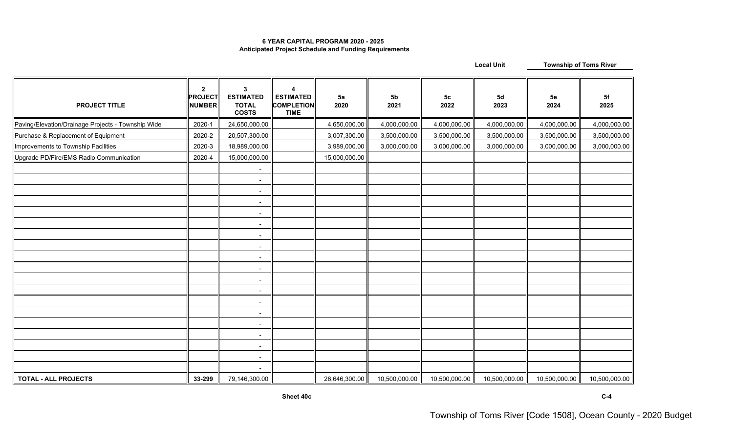## **6 YEAR CAPITAL PROGRAM 2020 - 2025 Anticipated Project Schedule and Funding Requirements**

| <b>Local Unit</b> |  |
|-------------------|--|
|-------------------|--|

**Township of Toms River**

| <b>PROJECT TITLE</b>                               | $\mathbf{2}$<br>PROJECT<br><b>NUMBER</b> | 3<br><b>ESTIMATED</b><br><b>TOTAL</b><br><b>COSTS</b> | Λ<br><b>ESTIMATED</b><br><b>COMPLETION</b><br><b>TIME</b> | 5a<br>2020    | 5 <sub>b</sub><br>2021 | 5 <sub>c</sub><br>2022 | 5d<br>2023    | 5e<br>2024    | 5f<br>2025    |
|----------------------------------------------------|------------------------------------------|-------------------------------------------------------|-----------------------------------------------------------|---------------|------------------------|------------------------|---------------|---------------|---------------|
| Paving/Elevation/Drainage Projects - Township Wide | 2020-1                                   | 24,650,000.00                                         |                                                           | 4,650,000.00  | 4,000,000.00           | 4,000,000.00           | 4,000,000.00  | 4,000,000.00  | 4,000,000.00  |
| Purchase & Replacement of Equipment                | 2020-2                                   | 20,507,300.00                                         |                                                           | 3,007,300.00  | 3,500,000.00           | 3,500,000.00           | 3,500,000.00  | 3,500,000.00  | 3,500,000.00  |
| Improvements to Township Facilities                | 2020-3                                   | 18,989,000.00                                         |                                                           | 3,989,000.00  | 3,000,000.00           | 3,000,000.00           | 3,000,000.00  | 3,000,000.00  | 3,000,000.00  |
| Upgrade PD/Fire/EMS Radio Communication            | 2020-4                                   | 15,000,000.00                                         |                                                           | 15,000,000.00 |                        |                        |               |               |               |
|                                                    |                                          |                                                       |                                                           |               |                        |                        |               |               |               |
|                                                    |                                          | $\sim$                                                |                                                           |               |                        |                        |               |               |               |
|                                                    |                                          | $\blacksquare$                                        |                                                           |               |                        |                        |               |               |               |
|                                                    |                                          | $\overline{\phantom{a}}$                              |                                                           |               |                        |                        |               |               |               |
|                                                    |                                          | $\blacksquare$                                        |                                                           |               |                        |                        |               |               |               |
|                                                    |                                          | $\blacksquare$                                        |                                                           |               |                        |                        |               |               |               |
|                                                    |                                          | $\overline{a}$                                        |                                                           |               |                        |                        |               |               |               |
|                                                    |                                          | $\blacksquare$                                        |                                                           |               |                        |                        |               |               |               |
|                                                    |                                          | $\sim$                                                |                                                           |               |                        |                        |               |               |               |
|                                                    |                                          | $\overline{\phantom{a}}$                              |                                                           |               |                        |                        |               |               |               |
|                                                    |                                          |                                                       |                                                           |               |                        |                        |               |               |               |
|                                                    |                                          | $\blacksquare$                                        |                                                           |               |                        |                        |               |               |               |
|                                                    |                                          | $\overline{\phantom{a}}$                              |                                                           |               |                        |                        |               |               |               |
|                                                    |                                          | $\sim$                                                |                                                           |               |                        |                        |               |               |               |
|                                                    |                                          | $\overline{\phantom{a}}$                              |                                                           |               |                        |                        |               |               |               |
|                                                    |                                          | $\overline{\phantom{a}}$                              |                                                           |               |                        |                        |               |               |               |
|                                                    |                                          | $\blacksquare$                                        |                                                           |               |                        |                        |               |               |               |
|                                                    |                                          | $\overline{\phantom{a}}$                              |                                                           |               |                        |                        |               |               |               |
|                                                    |                                          |                                                       |                                                           |               |                        |                        |               |               |               |
| <b>TOTAL - ALL PROJECTS</b>                        | 33-299                                   | 79,146,300.00                                         |                                                           | 26,646,300.00 | 10,500,000.00          | 10,500,000.00          | 10,500,000.00 | 10,500,000.00 | 10,500,000.00 |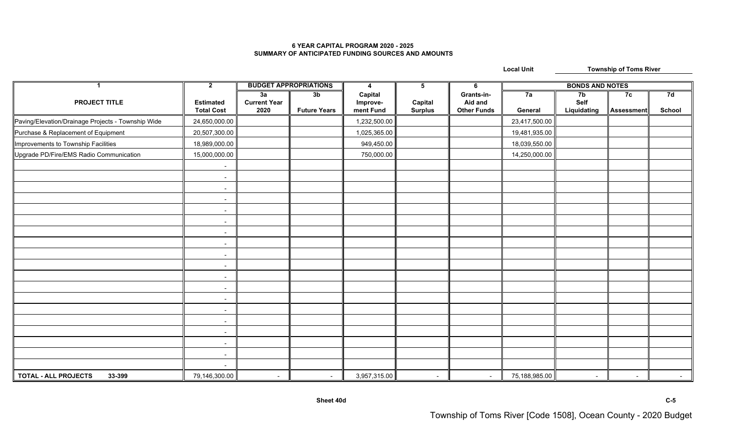### **6 YEAR CAPITAL PROGRAM 2020 - 2025 SUMMARY OF ANTICIPATED FUNDING SOURCES AND AMOUNT S**

**Local Unit Township of Toms River**

| -1                                                 | $\overline{\mathbf{2}}$               | <b>BUDGET APPROPRIATIONS</b>      |                                       | 4                                | 5                         | 6                                           | <b>BONDS AND NOTES</b> |                           |                          |                     |
|----------------------------------------------------|---------------------------------------|-----------------------------------|---------------------------------------|----------------------------------|---------------------------|---------------------------------------------|------------------------|---------------------------|--------------------------|---------------------|
| <b>PROJECT TITLE</b>                               | <b>Estimated</b><br><b>Total Cost</b> | 3a<br><b>Current Year</b><br>2020 | 3 <sub>b</sub><br><b>Future Years</b> | Capital<br>Improve-<br>ment Fund | Capital<br><b>Surplus</b> | Grants-in-<br>Aid and<br><b>Other Funds</b> | 7a<br>General          | 7b<br>Self<br>Liquidating | 7c<br>Assessment         | 7d<br><b>School</b> |
| Paving/Elevation/Drainage Projects - Township Wide | 24,650,000.00                         |                                   |                                       | 1,232,500.00                     |                           |                                             | 23,417,500.00          |                           |                          |                     |
| Purchase & Replacement of Equipment                | 20,507,300.00                         |                                   |                                       | 1,025,365.00                     |                           |                                             | 19,481,935.00          |                           |                          |                     |
| Improvements to Township Facilities                | 18,989,000.00                         |                                   |                                       | 949,450.00                       |                           |                                             | 18,039,550.00          |                           |                          |                     |
| Upgrade PD/Fire/EMS Radio Communication            | 15,000,000.00                         |                                   |                                       | 750,000.00                       |                           |                                             | 14,250,000.00          |                           |                          |                     |
|                                                    | $\sim$                                |                                   |                                       |                                  |                           |                                             |                        |                           |                          |                     |
|                                                    | $\sim$                                |                                   |                                       |                                  |                           |                                             |                        |                           |                          |                     |
|                                                    | $\sim$                                |                                   |                                       |                                  |                           |                                             |                        |                           |                          |                     |
|                                                    | $\sim$                                |                                   |                                       |                                  |                           |                                             |                        |                           |                          |                     |
|                                                    | $\sim$                                |                                   |                                       |                                  |                           |                                             |                        |                           |                          |                     |
|                                                    | $\sim$                                |                                   |                                       |                                  |                           |                                             |                        |                           |                          |                     |
|                                                    | $\sim$                                |                                   |                                       |                                  |                           |                                             |                        |                           |                          |                     |
|                                                    | $\sim$                                |                                   |                                       |                                  |                           |                                             |                        |                           |                          |                     |
|                                                    | $\sim$                                |                                   |                                       |                                  |                           |                                             |                        |                           |                          |                     |
|                                                    | $\sim$                                |                                   |                                       |                                  |                           |                                             |                        |                           |                          |                     |
|                                                    | $\sim$                                |                                   |                                       |                                  |                           |                                             |                        |                           |                          |                     |
|                                                    | $\sim$                                |                                   |                                       |                                  |                           |                                             |                        |                           |                          |                     |
|                                                    | $\sim$                                |                                   |                                       |                                  |                           |                                             |                        |                           |                          |                     |
|                                                    | $\sim$                                |                                   |                                       |                                  |                           |                                             |                        |                           |                          |                     |
|                                                    | $\sim$                                |                                   |                                       |                                  |                           |                                             |                        |                           |                          |                     |
|                                                    | $\sim$                                |                                   |                                       |                                  |                           |                                             |                        |                           |                          |                     |
|                                                    | $\sim$                                |                                   |                                       |                                  |                           |                                             |                        |                           |                          |                     |
|                                                    | $\sim$                                |                                   |                                       |                                  |                           |                                             |                        |                           |                          |                     |
|                                                    | $\sim$                                |                                   |                                       |                                  |                           |                                             |                        |                           |                          |                     |
| <b>TOTAL - ALL PROJECTS</b><br>33-399              | 79,146,300.00                         | $\sim$                            | $\blacksquare$                        | 3,957,315.00                     | $\blacksquare$            | $\sim$                                      | 75,188,985.00          | $\sim$                    | $\overline{\phantom{0}}$ | $\sim$ $-$          |

**C-5**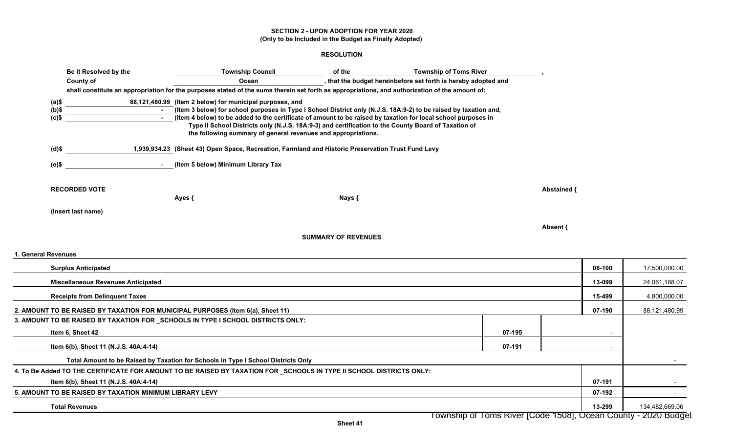### **SECTION 2 - UPON ADOPTION FOR YEAR 2020 (Only to be Included in the Budget as Finally Adopted)**

### **RESOLUTION**

| Be it Resolved by the                                                                                | <b>Township Council</b>                                                           | of the                                                                                                                                                                                                                                                                                                                                                                                                      | <b>Township of Toms River</b>                                  |          |                |  |  |  |  |  |
|------------------------------------------------------------------------------------------------------|-----------------------------------------------------------------------------------|-------------------------------------------------------------------------------------------------------------------------------------------------------------------------------------------------------------------------------------------------------------------------------------------------------------------------------------------------------------------------------------------------------------|----------------------------------------------------------------|----------|----------------|--|--|--|--|--|
| <b>County of</b>                                                                                     |                                                                                   | , that the budget hereinbefore set forth is hereby adopted and<br>Ocean<br>shall constitute an appropriation for the purposes stated of the sums therein set forth as appropriations, and authorization of the amount of:                                                                                                                                                                                   |                                                                |          |                |  |  |  |  |  |
| $(a)$ \$<br>$(b)$ \$<br>$(c)$ \$                                                                     | 88,121,480.99 (Item 2 below) for municipal purposes, and                          | - (Item 3 below) for school purposes in Type I School District only (N.J.S. 18A:9-2) to be raised by taxation and,<br>(Item 4 below) to be added to the certificate of amount to be raised by taxation for local school purposes in<br>Type II School Districts only (N.J.S. 18A:9-3) and certification to the County Board of Taxation of<br>the following summary of general revenues and appropriations. |                                                                |          |                |  |  |  |  |  |
| $(d)$ \$                                                                                             |                                                                                   | 1,939,934.23 (Sheet 43) Open Space, Recreation, Farmland and Historic Preservation Trust Fund Levy                                                                                                                                                                                                                                                                                                          |                                                                |          |                |  |  |  |  |  |
| (e)\$                                                                                                | - (Item 5 below) Minimum Library Tax                                              |                                                                                                                                                                                                                                                                                                                                                                                                             |                                                                |          |                |  |  |  |  |  |
| <b>RECORDED VOTE</b>                                                                                 | Abstained {<br>Nays {<br>Ayes {                                                   |                                                                                                                                                                                                                                                                                                                                                                                                             |                                                                |          |                |  |  |  |  |  |
| (Insert last name)                                                                                   |                                                                                   |                                                                                                                                                                                                                                                                                                                                                                                                             |                                                                |          |                |  |  |  |  |  |
|                                                                                                      |                                                                                   | <b>SUMMARY OF REVENUES</b>                                                                                                                                                                                                                                                                                                                                                                                  |                                                                | Absent { |                |  |  |  |  |  |
| 1. General Revenues                                                                                  |                                                                                   |                                                                                                                                                                                                                                                                                                                                                                                                             |                                                                |          |                |  |  |  |  |  |
| <b>Surplus Anticipated</b>                                                                           |                                                                                   |                                                                                                                                                                                                                                                                                                                                                                                                             |                                                                | 08-100   | 17,500,000.00  |  |  |  |  |  |
| <b>Miscellaneous Revenues Anticipated</b>                                                            |                                                                                   |                                                                                                                                                                                                                                                                                                                                                                                                             |                                                                | 13-099   | 24,061,188.07  |  |  |  |  |  |
| <b>Receipts from Delinquent Taxes</b>                                                                |                                                                                   |                                                                                                                                                                                                                                                                                                                                                                                                             |                                                                | 15-499   | 4,800,000.00   |  |  |  |  |  |
| 2. AMOUNT TO BE RAISED BY TAXATION FOR MUNICIPAL PURPOSES (Item 6(a), Sheet 11)                      |                                                                                   |                                                                                                                                                                                                                                                                                                                                                                                                             |                                                                | 07-190   | 88,121,480.99  |  |  |  |  |  |
| 3. AMOUNT TO BE RAISED BY TAXATION FOR _SCHOOLS IN TYPE I SCHOOL DISTRICTS ONLY:<br>Item 6, Sheet 42 |                                                                                   |                                                                                                                                                                                                                                                                                                                                                                                                             | 07-195                                                         | $\sim$   |                |  |  |  |  |  |
| Item 6(b), Sheet 11 (N.J.S. 40A:4-14)                                                                |                                                                                   |                                                                                                                                                                                                                                                                                                                                                                                                             | 07-191                                                         | $\sim$   |                |  |  |  |  |  |
|                                                                                                      | Total Amount to be Raised by Taxation for Schools in Type I School Districts Only |                                                                                                                                                                                                                                                                                                                                                                                                             |                                                                |          |                |  |  |  |  |  |
|                                                                                                      |                                                                                   | 4. To Be Added TO THE CERTIFICATE FOR AMOUNT TO BE RAISED BY TAXATION FOR_SCHOOLS IN TYPE II SCHOOL DISTRICTS ONLY:                                                                                                                                                                                                                                                                                         |                                                                |          |                |  |  |  |  |  |
| Item 6(b), Sheet 11 (N.J.S. 40A:4-14)                                                                |                                                                                   |                                                                                                                                                                                                                                                                                                                                                                                                             |                                                                | 07-191   |                |  |  |  |  |  |
| 5. AMOUNT TO BE RAISED BY TAXATION MINIMUM LIBRARY LEVY                                              |                                                                                   |                                                                                                                                                                                                                                                                                                                                                                                                             |                                                                | 07-192   |                |  |  |  |  |  |
| <b>Total Revenues</b>                                                                                |                                                                                   |                                                                                                                                                                                                                                                                                                                                                                                                             | Township of Toms River [Code 1508], Ocean County - 2020 Budget | 13-299   | 134,482,669.06 |  |  |  |  |  |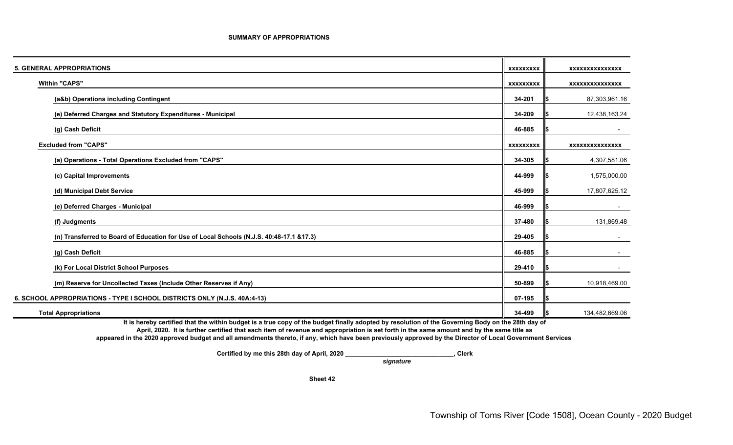#### **SUMMARY OF APPROPRIATIONS**

| <b>5. GENERAL APPROPRIATIONS</b>                                                          | <b>XXXXXXXXX</b> | <b>XXXXXXXXXXXXXXX</b> |
|-------------------------------------------------------------------------------------------|------------------|------------------------|
| <b>Within "CAPS"</b>                                                                      | <b>XXXXXXXXX</b> | <b>XXXXXXXXXXXXXXX</b> |
| (a&b) Operations including Contingent                                                     | 34-201           | 87,303,961.16          |
| (e) Deferred Charges and Statutory Expenditures - Municipal                               | 34-209           | 12,438,163.24          |
| (g) Cash Deficit                                                                          | 46-885           |                        |
| <b>Excluded from "CAPS"</b>                                                               | <b>XXXXXXXXX</b> | <b>XXXXXXXXXXXXXXX</b> |
| (a) Operations - Total Operations Excluded from "CAPS"                                    | 34-305           | 4,307,581.06           |
| (c) Capital Improvements                                                                  | 44-999           | 1,575,000.00           |
| (d) Municipal Debt Service                                                                | 45-999           | 17,807,625.12          |
| (e) Deferred Charges - Municipal                                                          | 46-999           | $\blacksquare$         |
| (f) Judgments                                                                             | 37-480           | 131,869.48             |
| (n) Transferred to Board of Education for Use of Local Schools (N.J.S. 40:48-17.1 & 17.3) | 29-405           |                        |
| (g) Cash Deficit                                                                          | 46-885           |                        |
| (k) For Local District School Purposes                                                    | 29-410           |                        |
| (m) Reserve for Uncollected Taxes (Include Other Reserves if Any)                         | 50-899           | 10,918,469.00          |
| 6. SCHOOL APPROPRIATIONS - TYPE I SCHOOL DISTRICTS ONLY (N.J.S. 40A:4-13)                 | 07-195           |                        |
| <b>Total Appropriations</b>                                                               | 34-499           | 134,482,669.06         |

**It is hereby certified that the within budget is a true copy of the budget finally adopted by resolution of the Governing Body on the 28th day of**

**April, 2020. It is further certified that each item of revenue and appropriation is set forth in the same amount and by the same title as**

**appeared in the 2020 approved budget and all amendments thereto, if any, which have been previously approved by the Director of Local Government Services.**

 **Certified by me this 28th day of April, 2020 \_\_\_\_\_\_\_\_\_\_\_\_\_\_\_\_\_\_\_\_\_\_\_\_\_\_\_\_\_\_\_, Clerk**

 *signature*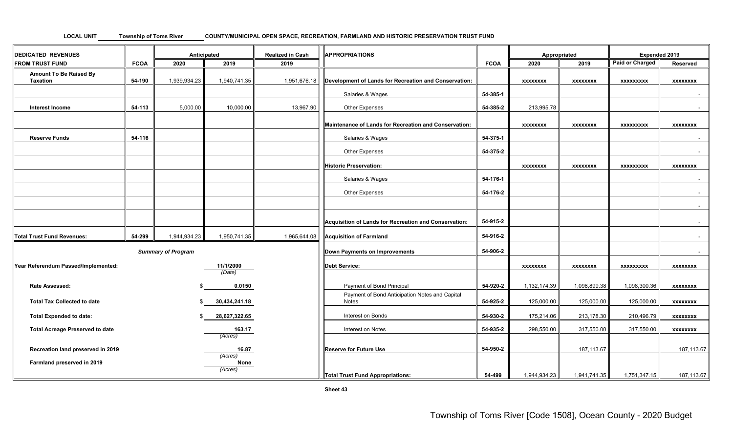| <b>LOCAL UNIT</b> | Township of Toms River | COUNTY/MUNICIPAL OPEN SPACE. RECREATION. FARMLAND AND HISTORIC PRESERVATION TRUST FUND |
|-------------------|------------------------|----------------------------------------------------------------------------------------|
|                   |                        |                                                                                        |

| <b>DEDICATED REVENUES</b>                 |             | Anticipated               |                  | <b>Realized in Cash</b> | APPROPRIATIONS                                          |             | Appropriated    |                 | Expended 2019    |                 |
|-------------------------------------------|-------------|---------------------------|------------------|-------------------------|---------------------------------------------------------|-------------|-----------------|-----------------|------------------|-----------------|
| <b>FROM TRUST FUND</b>                    | <b>FCOA</b> | 2020                      | 2019             | 2019                    |                                                         | <b>FCOA</b> | 2020            | 2019            | Paid or Charged  | Reserved        |
| Amount To Be Raised By<br><b>Taxation</b> | 54-190      | 1,939,934.23              | 1,940,741.35     | 1,951,676.18            | Development of Lands for Recreation and Conservation:   |             | <b>XXXXXXXX</b> | <b>XXXXXXXX</b> | <b>XXXXXXXXX</b> | <b>XXXXXXXX</b> |
|                                           |             |                           |                  |                         | Salaries & Wages                                        | 54-385-1    |                 |                 |                  | $\sim$          |
| <b>Interest Income</b>                    | 54-113      | 5,000.00                  | 10,000.00        | 13,967.90               | Other Expenses                                          | 54-385-2    | 213,995.78      |                 |                  | $\sim$ $-$      |
|                                           |             |                           |                  |                         | Maintenance of Lands for Recreation and Conservation:   |             | <b>XXXXXXXX</b> | <b>XXXXXXXX</b> | <b>XXXXXXXXX</b> | <b>XXXXXXXX</b> |
| <b>Reserve Funds</b>                      | 54-116      |                           |                  |                         | Salaries & Wages                                        | 54-375-1    |                 |                 |                  |                 |
|                                           |             |                           |                  |                         | Other Expenses                                          | 54-375-2    |                 |                 |                  | $\sim$          |
|                                           |             |                           |                  |                         | <b>Historic Preservation:</b>                           |             | <b>XXXXXXXX</b> | <b>XXXXXXXX</b> | <b>XXXXXXXXX</b> | <b>XXXXXXXX</b> |
|                                           |             |                           |                  |                         | Salaries & Wages                                        | 54-176-1    |                 |                 |                  | $\sim$          |
|                                           |             |                           |                  |                         | <b>Other Expenses</b>                                   | 54-176-2    |                 |                 |                  | $\sim$          |
|                                           |             |                           |                  |                         |                                                         |             |                 |                 |                  | $\sim$          |
|                                           |             |                           |                  |                         | Acquisition of Lands for Recreation and Conservation:   | 54-915-2    |                 |                 |                  |                 |
| <b>Total Trust Fund Revenues:</b>         | 54-299      | 1,944,934.23              | 1,950,741.35     | 1,965,644.08            | <b>Acquisition of Farmland</b>                          | 54-916-2    |                 |                 |                  |                 |
|                                           |             | <b>Summary of Program</b> |                  |                         | Down Payments on Improvements                           | 54-906-2    |                 |                 |                  | $\sim$          |
| Year Referendum Passed/Implemented:       |             |                           | 11/1/2000        |                         | Debt Service:                                           |             | <b>XXXXXXXX</b> | <b>XXXXXXXX</b> | <b>XXXXXXXXX</b> | <b>XXXXXXXX</b> |
|                                           |             |                           | (Date)           |                         |                                                         |             |                 |                 |                  |                 |
| <b>Rate Assessed:</b>                     |             |                           | 0.0150           |                         | Payment of Bond Principal                               | 54-920-2    | 1,132,174.39    | 1,098,899.38    | 1,098,300.36     | <b>XXXXXXXX</b> |
| <b>Total Tax Collected to date</b>        |             |                           | 30,434,241.18    |                         | Payment of Bond Anticipation Notes and Capital<br>Notes | 54-925-2    | 125,000.00      | 125,000.00      | 125,000.00       | <b>XXXXXXXX</b> |
| <b>Total Expended to date:</b>            |             |                           | 28,627,322.65    |                         | Interest on Bonds                                       | 54-930-2    | 175,214.06      | 213,178.30      | 210,496.79       | <b>XXXXXXXX</b> |
| <b>Total Acreage Preserved to date</b>    |             |                           | 163.17           |                         | Interest on Notes                                       | 54-935-2    | 298,550.00      | 317,550.00      | 317,550.00       | <b>XXXXXXXX</b> |
|                                           |             |                           | (Acres)          |                         |                                                         |             |                 |                 |                  |                 |
| Recreation land preserved in 2019         |             |                           | 16.87<br>(Acres) |                         | <b>Reserve for Future Use</b>                           | 54-950-2    |                 | 187,113.67      |                  | 187,113.67      |
| Farmland preserved in 2019                |             |                           | None<br>(Acres)  |                         |                                                         |             |                 |                 |                  |                 |
|                                           |             |                           |                  |                         | Total Trust Fund Appropriations:                        | 54-499      | 1,944,934.23    | 1,941,741.35    | 1,751,347.15     | 187,113.67      |